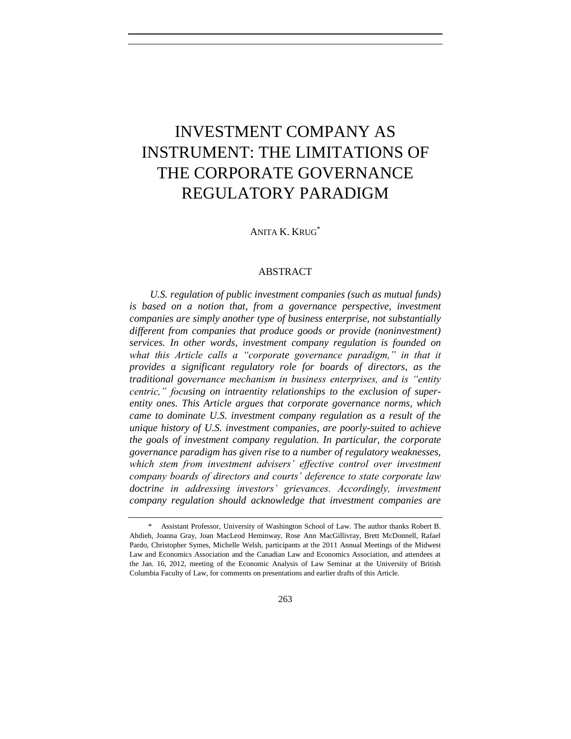# INVESTMENT COMPANY AS INSTRUMENT: THE LIMITATIONS OF THE CORPORATE GOVERNANCE REGULATORY PARADIGM

ANITA K. KRUG<sup>\*</sup>

## ABSTRACT

*U.S. regulation of public investment companies (such as mutual funds)*  is based on a notion that, from a governance perspective, investment *companies are simply another type of business enterprise, not substantially different from companies that produce goods or provide (noninvestment) services. In other words, investment company regulation is founded on what this Article calls a "corporate governance paradigm," in that it provides a significant regulatory role for boards of directors, as the traditional governance mechanism in business enterprises, and is "entity centric," focusing on intraentity relationships to the exclusion of superentity ones. This Article argues that corporate governance norms, which came to dominate U.S. investment company regulation as a result of the unique history of U.S. investment companies, are poorly-suited to achieve the goals of investment company regulation. In particular, the corporate governance paradigm has given rise to a number of regulatory weaknesses,*  which stem from investment advisers' effective control over investment *company boards of directors and courts' deference to state corporate law*  doctrine in addressing investors' grievances. Accordingly, investment *company regulation should acknowledge that investment companies are* 

<sup>\*</sup> Assistant Professor, University of Washington School of Law. The author thanks Robert B. Ahdieh, Joanna Gray, Joan MacLeod Heminway, Rose Ann MacGillivray, Brett McDonnell, Rafael Pardo, Christopher Symes, Michelle Welsh, participants at the 2011 Annual Meetings of the Midwest Law and Economics Association and the Canadian Law and Economics Association, and attendees at the Jan. 16, 2012, meeting of the Economic Analysis of Law Seminar at the University of British Columbia Faculty of Law, for comments on presentations and earlier drafts of this Article.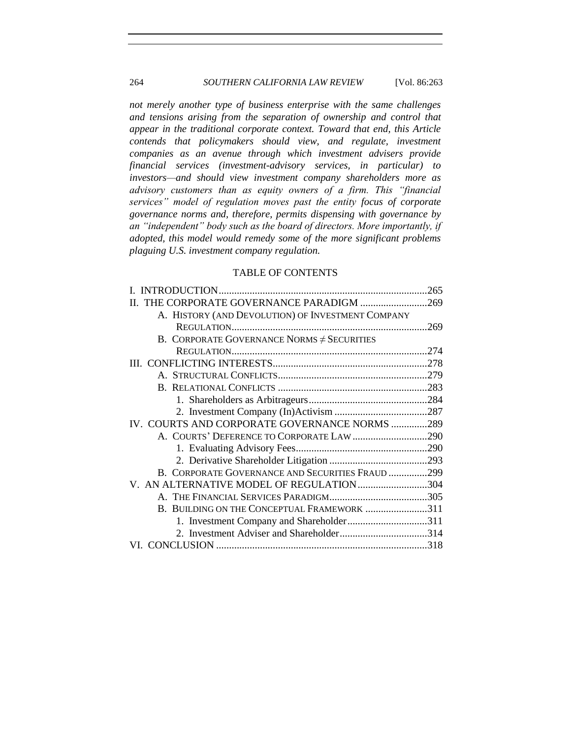## 264 *SOUTHERN CALIFORNIA LAW REVIEW* [Vol. 86:263

*not merely another type of business enterprise with the same challenges and tensions arising from the separation of ownership and control that appear in the traditional corporate context. Toward that end, this Article contends that policymakers should view, and regulate, investment companies as an avenue through which investment advisers provide financial services (investment-advisory services, in particular) to investors—and should view investment company shareholders more as advisory customers than as equity owners of a firm. This "financial services" model of regulation moves past the entity focus of corporate governance norms and, therefore, permits dispensing with governance by an "independent" body such as the board of directors. More importantly, if adopted, this model would remedy some of the more significant problems plaguing U.S. investment company regulation.*

## TABLE OF CONTENTS

|                                                   | .265 |
|---------------------------------------------------|------|
| II. THE CORPORATE GOVERNANCE PARADIGM 269         |      |
| A. HISTORY (AND DEVOLUTION) OF INVESTMENT COMPANY |      |
|                                                   | .269 |
| B. CORPORATE GOVERNANCE NORMS $\neq$ SECURITIES   |      |
|                                                   |      |
|                                                   |      |
|                                                   |      |
|                                                   |      |
|                                                   |      |
|                                                   |      |
| IV. COURTS AND CORPORATE GOVERNANCE NORMS 289     |      |
| A. COURTS' DEFERENCE TO CORPORATE LAW 290         |      |
|                                                   |      |
|                                                   |      |
| B. CORPORATE GOVERNANCE AND SECURITIES FRAUD 299  |      |
| V. AN ALTERNATIVE MODEL OF REGULATION 304         |      |
|                                                   |      |
| B. BUILDING ON THE CONCEPTUAL FRAMEWORK 311       |      |
|                                                   |      |
|                                                   |      |
|                                                   |      |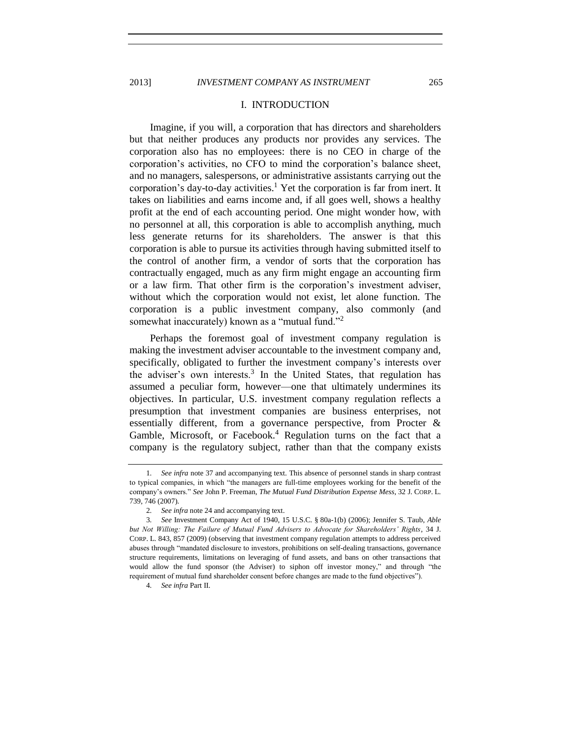<span id="page-2-0"></span>

## <span id="page-2-1"></span>I. INTRODUCTION

Imagine, if you will, a corporation that has directors and shareholders but that neither produces any products nor provides any services. The corporation also has no employees: there is no CEO in charge of the corporation's activities, no CFO to mind the corporation's balance sheet, and no managers, salespersons, or administrative assistants carrying out the corporation's day-to-day activities.<sup>1</sup> Yet the corporation is far from inert. It takes on liabilities and earns income and, if all goes well, shows a healthy profit at the end of each accounting period. One might wonder how, with no personnel at all, this corporation is able to accomplish anything, much less generate returns for its shareholders. The answer is that this corporation is able to pursue its activities through having submitted itself to the control of another firm, a vendor of sorts that the corporation has contractually engaged, much as any firm might engage an accounting firm or a law firm. That other firm is the corporation's investment adviser, without which the corporation would not exist, let alone function. The corporation is a public investment company, also commonly (and somewhat inaccurately) known as a "mutual fund."<sup>2</sup>

Perhaps the foremost goal of investment company regulation is making the investment adviser accountable to the investment company and, specifically, obligated to further the investment company's interests over the adviser's own interests.<sup>3</sup> In the United States, that regulation has assumed a peculiar form, however—one that ultimately undermines its objectives. In particular, U.S. investment company regulation reflects a presumption that investment companies are business enterprises, not essentially different, from a governance perspective, from Procter & Gamble, Microsoft, or Facebook.<sup>4</sup> Regulation turns on the fact that a company is the regulatory subject, rather than that the company exists

<sup>1</sup>*. See infra* not[e 37](#page-10-0) and accompanying text. This absence of personnel stands in sharp contrast to typical companies, in which "the managers are full-time employees working for the benefit of the company's owners." *See* John P. Freeman, *The Mutual Fund Distribution Expense Mess*, 32 J. CORP. L. 739, 746 (2007).

<sup>2</sup>*. See infra* not[e 24](#page-7-0) and accompanying text.

<sup>3</sup>*. See* Investment Company Act of 1940, 15 U.S.C. § 80a-1(b) (2006); Jennifer S. Taub, *Able but Not Willing: The Failure of Mutual Fund Advisers to Advocate for Shareholders' Rights*, 34 J. CORP. L. 843, 857 (2009) (observing that investment company regulation attempts to address perceived abuses through "mandated disclosure to investors, prohibitions on self-dealing transactions, governance structure requirements, limitations on leveraging of fund assets, and bans on other transactions that would allow the fund sponsor (the Adviser) to siphon off investor money," and through "the requirement of mutual fund shareholder consent before changes are made to the fund objectives").

<sup>4</sup>*. See infra* Part II.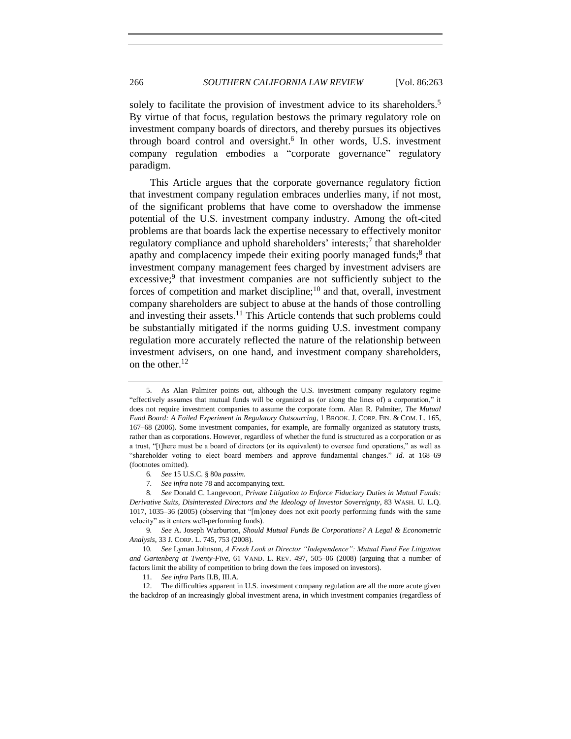solely to facilitate the provision of investment advice to its shareholders.<sup>5</sup> By virtue of that focus, regulation bestows the primary regulatory role on investment company boards of directors, and thereby pursues its objectives through board control and oversight.<sup>6</sup> In other words, U.S. investment company regulation embodies a "corporate governance" regulatory paradigm.

<span id="page-3-2"></span><span id="page-3-0"></span>This Article argues that the corporate governance regulatory fiction that investment company regulation embraces underlies many, if not most, of the significant problems that have come to overshadow the immense potential of the U.S. investment company industry. Among the oft-cited problems are that boards lack the expertise necessary to effectively monitor regulatory compliance and uphold shareholders' interests;<sup>7</sup> that shareholder apathy and complacency impede their exiting poorly managed funds;<sup>8</sup> that investment company management fees charged by investment advisers are excessive;<sup>9</sup> that investment companies are not sufficiently subject to the forces of competition and market discipline;<sup>10</sup> and that, overall, investment company shareholders are subject to abuse at the hands of those controlling and investing their assets.<sup>11</sup> This Article contends that such problems could be substantially mitigated if the norms guiding U.S. investment company regulation more accurately reflected the nature of the relationship between investment advisers, on one hand, and investment company shareholders, on the other.<sup>12</sup>

<span id="page-3-3"></span>

<span id="page-3-1"></span><sup>5.</sup> As Alan Palmiter points out, although the U.S. investment company regulatory regime "effectively assumes that mutual funds will be organized as (or along the lines of) a corporation," it does not require investment companies to assume the corporate form. Alan R. Palmiter, *The Mutual Fund Board: A Failed Experiment in Regulatory Outsourcing*, 1 BROOK. J. CORP. FIN. & COM. L*.* 165, 167–68 (2006). Some investment companies, for example, are formally organized as statutory trusts, rather than as corporations. However, regardless of whether the fund is structured as a corporation or as a trust, "[t]here must be a board of directors (or its equivalent) to oversee fund operations," as well as "shareholder voting to elect board members and approve fundamental changes." *Id.* at 168–69 (footnotes omitted).

<sup>6</sup>*. See* 15 U.S.C. § 80a *passim.*

<sup>7</sup>*. See infra* not[e 78](#page-18-0) and accompanying text.

<sup>8</sup>*. See* Donald C. Langevoort, *Private Litigation to Enforce Fiduciary Duties in Mutual Funds: Derivative Suits, Disinterested Directors and the Ideology of Investor Sovereignty*, 83 WASH. U. L.Q. 1017, 1035–36 (2005) (observing that "[m]oney does not exit poorly performing funds with the same velocity" as it enters well-performing funds).

<sup>9</sup>*. See* A. Joseph Warburton, *Should Mutual Funds Be Corporations? A Legal & Econometric Analysis*, 33 J. CORP. L. 745, 753 (2008).

<sup>10</sup>*. See* Lyman Johnson, *A Fresh Look at Director "Independence": Mutual Fund Fee Litigation and Gartenberg at Twenty-Five*, 61 VAND. L. REV. 497, 505–06 (2008) (arguing that a number of factors limit the ability of competition to bring down the fees imposed on investors).

<sup>11.</sup> *See infra* Parts II.B, III.A.

<sup>12.</sup> The difficulties apparent in U.S. investment company regulation are all the more acute given the backdrop of an increasingly global investment arena, in which investment companies (regardless of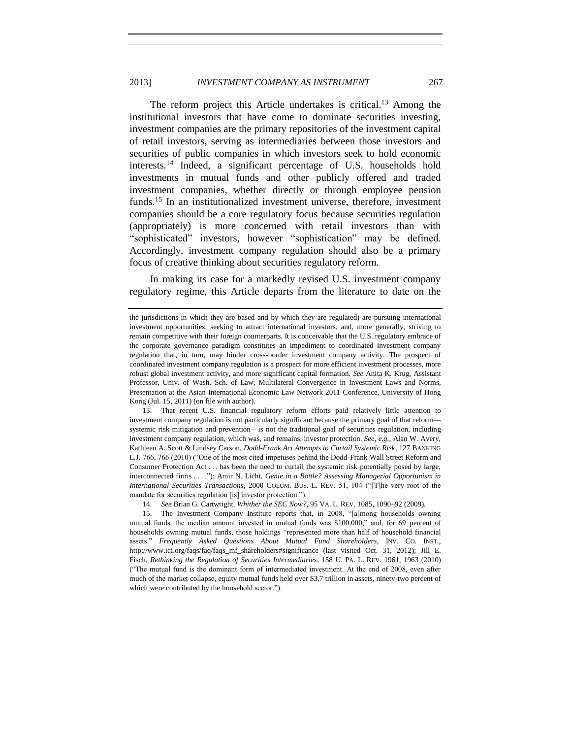## 2013] *INVESTMENT COMPANY AS INSTRUMENT* 267

The reform project this Article undertakes is critical.<sup>13</sup> Among the institutional investors that have come to dominate securities investing, investment companies are the primary repositories of the investment capital of retail investors, serving as intermediaries between those investors and securities of public companies in which investors seek to hold economic interests.<sup>14</sup> Indeed, a significant percentage of U.S. households hold investments in mutual funds and other publicly offered and traded investment companies, whether directly or through employee pension funds.<sup>15</sup> In an institutionalized investment universe, therefore, investment companies should be a core regulatory focus because securities regulation (appropriately) is more concerned with retail investors than with "sophisticated" investors, however "sophistication" may be defined. Accordingly, investment company regulation should also be a primary focus of creative thinking about securities regulatory reform.

<span id="page-4-1"></span>In making its case for a markedly revised U.S. investment company regulatory regime, this Article departs from the literature to date on the

14*. See* Brian G. Cartwright, *Whither the SEC Now?*, 95 VA. L. REV. 1085, 1090–92 (2009).

<span id="page-4-0"></span>

the jurisdictions in which they are based and by which they are regulated) are pursuing international investment opportunities, seeking to attract international investors, and, more generally, striving to remain competitive with their foreign counterparts. It is conceivable that the U.S. regulatory embrace of the corporate governance paradigm constitutes an impediment to coordinated investment company regulation that, in turn, may hinder cross-border investment company activity. The prospect of coordinated investment company regulation is a prospect for more efficient investment processes, more robust global investment activity, and more significant capital formation. *See* Anita K. Krug, Assistant Professor, Univ. of Wash. Sch. of Law, Multilateral Convergence in Investment Laws and Norms, Presentation at the Asian International Economic Law Network 2011 Conference, University of Hong Kong (Jul. 15, 2011) (on file with author).

<sup>13.</sup> That recent U.S. financial regulatory reform efforts paid relatively little attention to investment company regulation is not particularly significant because the primary goal of that reform systemic risk mitigation and prevention—is not the traditional goal of securities regulation, including investment company regulation, which was, and remains, investor protection. *See, e.g.*, Alan W. Avery, Kathleen A. Scott & Lindsey Carson, *Dodd-Frank Act Attempts to Curtail Systemic Risk*, 127 BANKING L.J. 766, 766 (2010) ("One of the most cited impetuses behind the Dodd-Frank Wall Street Reform and Consumer Protection Act . . . has been the need to curtail the systemic risk potentially posed by large, interconnected firms . . . ."); Amir N. Licht, *Genie in a Bottle? Assessing Managerial Opportunism in International Securities Transactions*, 2000 COLUM. BUS. L. REV. 51, 104 ("[T]he very root of the mandate for securities regulation [is] investor protection.").

<sup>15.</sup> The Investment Company Institute reports that, in 2008, "[a]mong households owning mutual funds, the median amount invested in mutual funds was \$100,000," and, for 69 percent of households owning mutual funds, those holdings "represented more than half of household financial assets." *Frequently Asked Questions About Mutual Fund Shareholders*, INV. CO. INST., http://www.ici.org/faqs/faq/faqs\_mf\_shareholders#significance (last visited Oct. 31, 2012); Jill E. Fisch, *Rethinking the Regulation of Securities Intermediaries*, 158 U. PA. L. REV. 1961, 1963 (2010) ("The mutual fund is the dominant form of intermediated investment. At the end of 2008, even after much of the market collapse, equity mutual funds held over \$3.7 trillion in assets, ninety-two percent of which were contributed by the household sector.").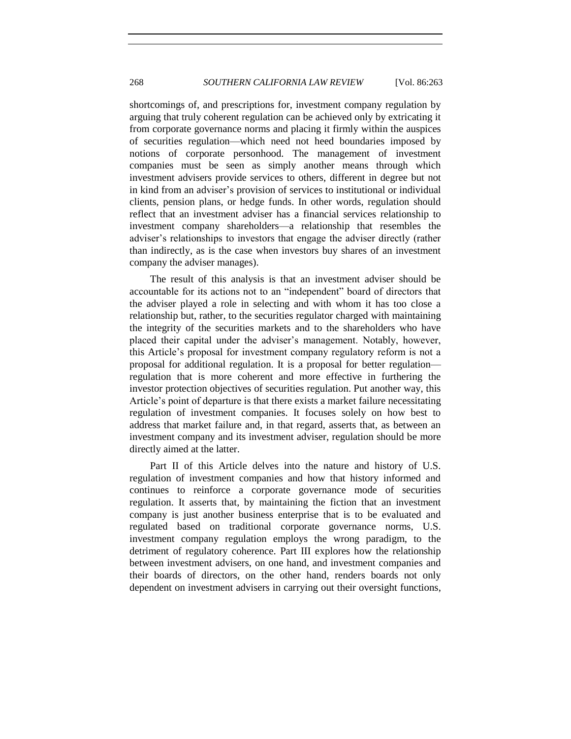shortcomings of, and prescriptions for, investment company regulation by arguing that truly coherent regulation can be achieved only by extricating it from corporate governance norms and placing it firmly within the auspices of securities regulation—which need not heed boundaries imposed by notions of corporate personhood. The management of investment companies must be seen as simply another means through which investment advisers provide services to others, different in degree but not in kind from an adviser's provision of services to institutional or individual clients, pension plans, or hedge funds. In other words, regulation should reflect that an investment adviser has a financial services relationship to investment company shareholders—a relationship that resembles the adviser's relationships to investors that engage the adviser directly (rather than indirectly, as is the case when investors buy shares of an investment company the adviser manages).

The result of this analysis is that an investment adviser should be accountable for its actions not to an "independent" board of directors that the adviser played a role in selecting and with whom it has too close a relationship but, rather, to the securities regulator charged with maintaining the integrity of the securities markets and to the shareholders who have placed their capital under the adviser's management. Notably, however, this Article's proposal for investment company regulatory reform is not a proposal for additional regulation. It is a proposal for better regulation regulation that is more coherent and more effective in furthering the investor protection objectives of securities regulation. Put another way, this Article's point of departure is that there exists a market failure necessitating regulation of investment companies. It focuses solely on how best to address that market failure and, in that regard, asserts that, as between an investment company and its investment adviser, regulation should be more directly aimed at the latter.

Part II of this Article delves into the nature and history of U.S. regulation of investment companies and how that history informed and continues to reinforce a corporate governance mode of securities regulation. It asserts that, by maintaining the fiction that an investment company is just another business enterprise that is to be evaluated and regulated based on traditional corporate governance norms, U.S. investment company regulation employs the wrong paradigm, to the detriment of regulatory coherence. Part III explores how the relationship between investment advisers, on one hand, and investment companies and their boards of directors, on the other hand, renders boards not only dependent on investment advisers in carrying out their oversight functions,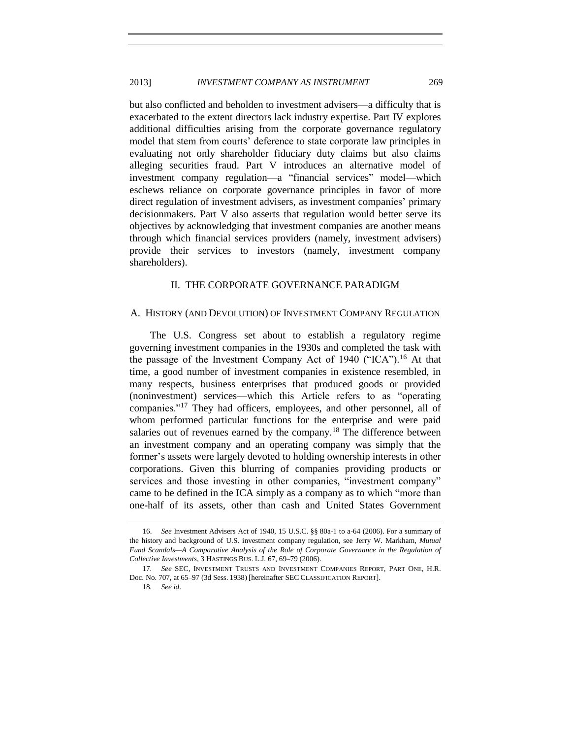but also conflicted and beholden to investment advisers—a difficulty that is exacerbated to the extent directors lack industry expertise. Part IV explores additional difficulties arising from the corporate governance regulatory model that stem from courts' deference to state corporate law principles in evaluating not only shareholder fiduciary duty claims but also claims alleging securities fraud. Part V introduces an alternative model of investment company regulation—a "financial services" model—which eschews reliance on corporate governance principles in favor of more direct regulation of investment advisers, as investment companies' primary decisionmakers. Part V also asserts that regulation would better serve its objectives by acknowledging that investment companies are another means through which financial services providers (namely, investment advisers) provide their services to investors (namely, investment company shareholders).

## <span id="page-6-2"></span>II. THE CORPORATE GOVERNANCE PARADIGM

## <span id="page-6-1"></span><span id="page-6-0"></span>A. HISTORY (AND DEVOLUTION) OF INVESTMENT COMPANY REGULATION

<span id="page-6-3"></span>The U.S. Congress set about to establish a regulatory regime governing investment companies in the 1930s and completed the task with the passage of the Investment Company Act of 1940 ("ICA").<sup>16</sup> At that time, a good number of investment companies in existence resembled, in many respects, business enterprises that produced goods or provided (noninvestment) services—which this Article refers to as "operating companies."<sup>17</sup> They had officers, employees, and other personnel, all of whom performed particular functions for the enterprise and were paid salaries out of revenues earned by the company.<sup>18</sup> The difference between an investment company and an operating company was simply that the former's assets were largely devoted to holding ownership interests in other corporations. Given this blurring of companies providing products or services and those investing in other companies, "investment company" came to be defined in the ICA simply as a company as to which "more than one-half of its assets, other than cash and United States Government

<sup>16.</sup> *See* Investment Advisers Act of 1940, 15 U.S.C. §§ 80a-1 to a-64 (2006). For a summary of the history and background of U.S. investment company regulation, see Jerry W. Markham, *Mutual*  Fund Scandals—A Comparative Analysis of the Role of Corporate Governance in the Regulation of *Collective Investments*, 3 HASTINGS BUS. L.J. 67, 69–79 (2006).

<sup>17</sup>*. See* SEC, INVESTMENT TRUSTS AND INVESTMENT COMPANIES REPORT, PART ONE, H.R. Doc. No. 707, at 65–97 (3d Sess. 1938) [hereinafter SEC CLASSIFICATION REPORT].

<sup>18</sup>*. See id*.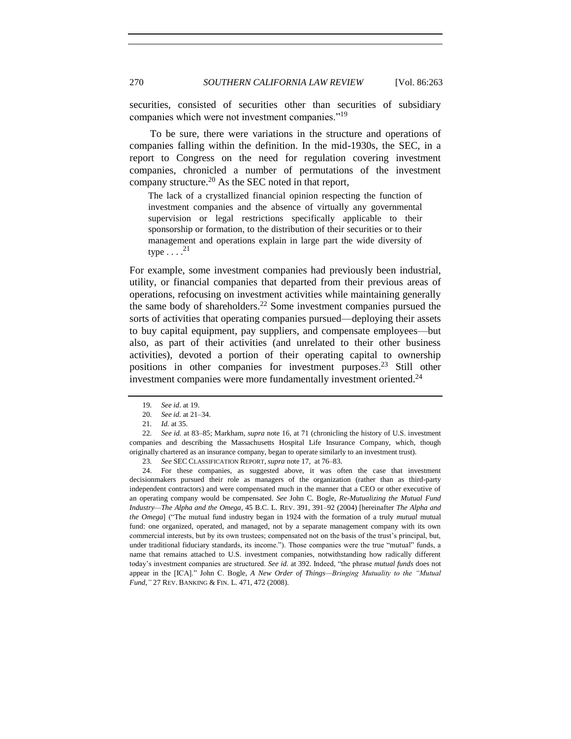securities, consisted of securities other than securities of subsidiary companies which were not investment companies."<sup>19</sup>

To be sure, there were variations in the structure and operations of companies falling within the definition. In the mid-1930s, the SEC, in a report to Congress on the need for regulation covering investment companies, chronicled a number of permutations of the investment company structure. $^{20}$  As the SEC noted in that report,

<span id="page-7-1"></span>The lack of a crystallized financial opinion respecting the function of investment companies and the absence of virtually any governmental supervision or legal restrictions specifically applicable to their sponsorship or formation, to the distribution of their securities or to their management and operations explain in large part the wide diversity of type  $\ldots$  .<sup>21</sup>

For example, some investment companies had previously been industrial, utility, or financial companies that departed from their previous areas of operations, refocusing on investment activities while maintaining generally the same body of shareholders.<sup>22</sup> Some investment companies pursued the sorts of activities that operating companies pursued—deploying their assets to buy capital equipment, pay suppliers, and compensate employees—but also, as part of their activities (and unrelated to their other business activities), devoted a portion of their operating capital to ownership positions in other companies for investment purposes. <sup>23</sup> Still other investment companies were more fundamentally investment oriented.<sup>24</sup>

23*. See* SEC CLASSIFICATION REPORT, *supra* not[e 17,](#page-6-3) at 76–83.

24. For these companies, as suggested above, it was often the case that investment decisionmakers pursued their role as managers of the organization (rather than as third-party independent contractors) and were compensated much in the manner that a CEO or other executive of an operating company would be compensated. *See* John C. Bogle, *Re-Mutualizing the Mutual Fund Industry—The Alpha and the Omega*, 45 B.C. L. REV. 391, 391–92 (2004) [hereinafter *The Alpha and the Omega*] ("The mutual fund industry began in 1924 with the formation of a truly *mutual* mutual fund: one organized, operated, and managed, not by a separate management company with its own commercial interests, but by its own trustees; compensated not on the basis of the trust's principal, but, under traditional fiduciary standards, its income."). Those companies were the true "mutual" funds, a name that remains attached to U.S. investment companies, notwithstanding how radically different today's investment companies are structured. *See id.* at 392. Indeed, "the phrase *mutual funds* does not appear in the [ICA]." John C. Bogle, *A New Order of Things—Bringing Mutuality to the "Mutual Fund*,*"* 27 REV. BANKING & FIN. L. 471, 472 (2008).

<span id="page-7-0"></span><sup>19</sup>*. See id*. at 19.

<sup>20</sup>*. See id.* at 21–34.

<sup>21</sup>*. Id.* at 35.

<sup>22</sup>*. See id.* at 83–85; Markham, *supra* not[e 16,](#page-6-2) at 71 (chronicling the history of U.S. investment companies and describing the Massachusetts Hospital Life Insurance Company, which, though originally chartered as an insurance company, began to operate similarly to an investment trust).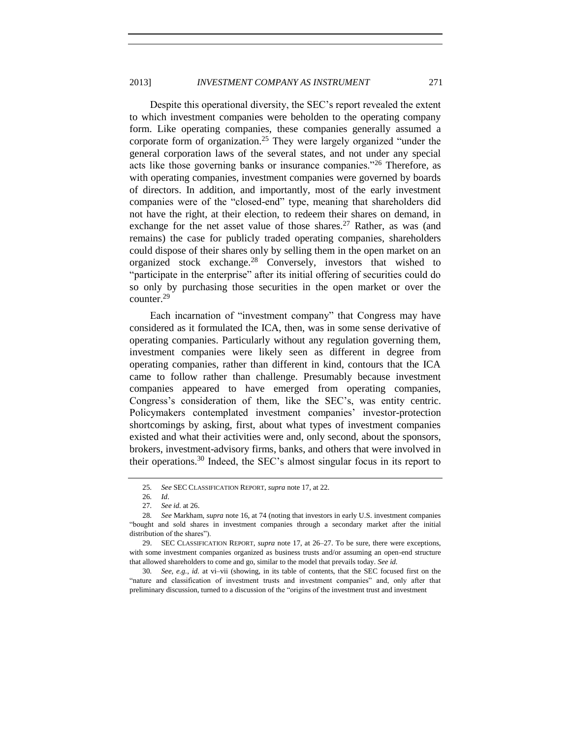## 2013] *INVESTMENT COMPANY AS INSTRUMENT* 271

Despite this operational diversity, the SEC's report revealed the extent to which investment companies were beholden to the operating company form. Like operating companies, these companies generally assumed a corporate form of organization.<sup>25</sup> They were largely organized "under the general corporation laws of the several states, and not under any special acts like those governing banks or insurance companies."<sup>26</sup> Therefore, as with operating companies, investment companies were governed by boards of directors. In addition, and importantly, most of the early investment companies were of the "closed-end" type, meaning that shareholders did not have the right, at their election, to redeem their shares on demand, in exchange for the net asset value of those shares.<sup>27</sup> Rather, as was (and remains) the case for publicly traded operating companies, shareholders could dispose of their shares only by selling them in the open market on an organized stock exchange.<sup>28</sup> Conversely, investors that wished to "participate in the enterprise" after its initial offering of securities could do so only by purchasing those securities in the open market or over the counter.<sup>29</sup>

Each incarnation of "investment company" that Congress may have considered as it formulated the ICA, then, was in some sense derivative of operating companies. Particularly without any regulation governing them, investment companies were likely seen as different in degree from operating companies, rather than different in kind, contours that the ICA came to follow rather than challenge. Presumably because investment companies appeared to have emerged from operating companies, Congress's consideration of them, like the SEC's, was entity centric. Policymakers contemplated investment companies' investor-protection shortcomings by asking, first, about what types of investment companies existed and what their activities were and, only second, about the sponsors, brokers, investment-advisory firms, banks, and others that were involved in their operations.<sup>30</sup> Indeed, the SEC's almost singular focus in its report to

30*. See, e.g.*, *id.* at vi–vii (showing, in its table of contents, that the SEC focused first on the "nature and classification of investment trusts and investment companies" and, only after that preliminary discussion, turned to a discussion of the "origins of the investment trust and investment

<sup>25</sup>*. See* SEC CLASSIFICATION REPORT, *supra* not[e 17,](#page-6-3) at 22.

<sup>26</sup>*. Id*.

<sup>27</sup>*. See id.* at 26.

<sup>28</sup>*. See* Markham, *supra* note [16,](#page-6-2) at 74 (noting that investors in early U.S. investment companies "bought and sold shares in investment companies through a secondary market after the initial distribution of the shares").

<sup>29.</sup> SEC CLASSIFICATION REPORT, *supra* note [17,](#page-6-3) at 26–27. To be sure, there were exceptions, with some investment companies organized as business trusts and/or assuming an open-end structure that allowed shareholders to come and go, similar to the model that prevails today. *See id.*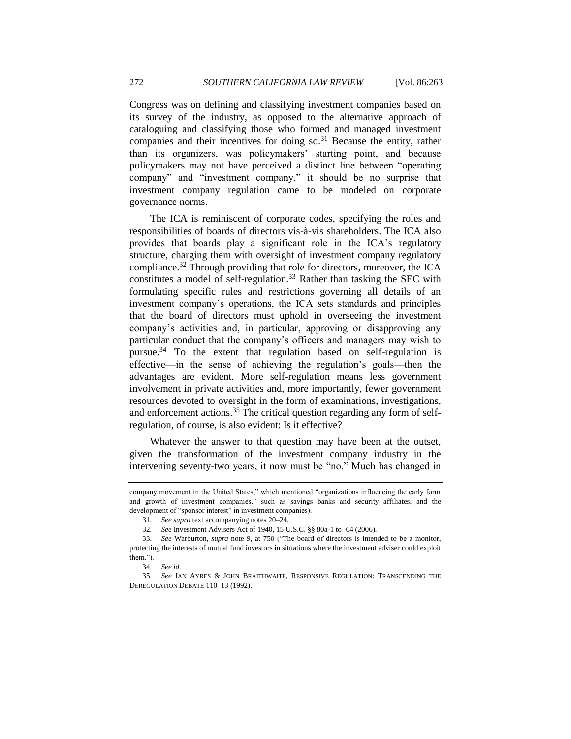Congress was on defining and classifying investment companies based on its survey of the industry, as opposed to the alternative approach of cataloguing and classifying those who formed and managed investment companies and their incentives for doing so. $31$  Because the entity, rather than its organizers, was policymakers' starting point, and because policymakers may not have perceived a distinct line between "operating company" and "investment company," it should be no surprise that investment company regulation came to be modeled on corporate governance norms.

<span id="page-9-0"></span>The ICA is reminiscent of corporate codes, specifying the roles and responsibilities of boards of directors vis-à-vis shareholders. The ICA also provides that boards play a significant role in the ICA's regulatory structure, charging them with oversight of investment company regulatory compliance.<sup>32</sup> Through providing that role for directors, moreover, the ICA constitutes a model of self-regulation.<sup>33</sup> Rather than tasking the SEC with formulating specific rules and restrictions governing all details of an investment company's operations, the ICA sets standards and principles that the board of directors must uphold in overseeing the investment company's activities and, in particular, approving or disapproving any particular conduct that the company's officers and managers may wish to pursue.<sup>34</sup> To the extent that regulation based on self-regulation is effective—in the sense of achieving the regulation's goals—then the advantages are evident. More self-regulation means less government involvement in private activities and, more importantly, fewer government resources devoted to oversight in the form of examinations, investigations, and enforcement actions. $35$  The critical question regarding any form of selfregulation, of course, is also evident: Is it effective?

<span id="page-9-1"></span>Whatever the answer to that question may have been at the outset, given the transformation of the investment company industry in the intervening seventy-two years, it now must be "no." Much has changed in

company movement in the United States," which mentioned "organizations influencing the early form and growth of investment companies," such as savings banks and security affiliates, and the development of "sponsor interest" in investment companies).

<sup>31</sup>*. See supra* text accompanying notes [20–](#page-7-1)[24](#page-7-0)*.*

<sup>32</sup>*. See* Investment Advisers Act of 1940, 15 U.S.C. §§ 80a-1 to -64 (2006)*.*

<sup>33</sup>*. See* Warburton, *supra* note [9,](#page-3-0) at 750 ("The board of directors is intended to be a monitor, protecting the interests of mutual fund investors in situations where the investment adviser could exploit them.").

<sup>34</sup>*. See id.*

<sup>35</sup>*. See* IAN AYRES & JOHN BRAITHWAITE, RESPONSIVE REGULATION: TRANSCENDING THE DEREGULATION DEBATE 110–13 (1992).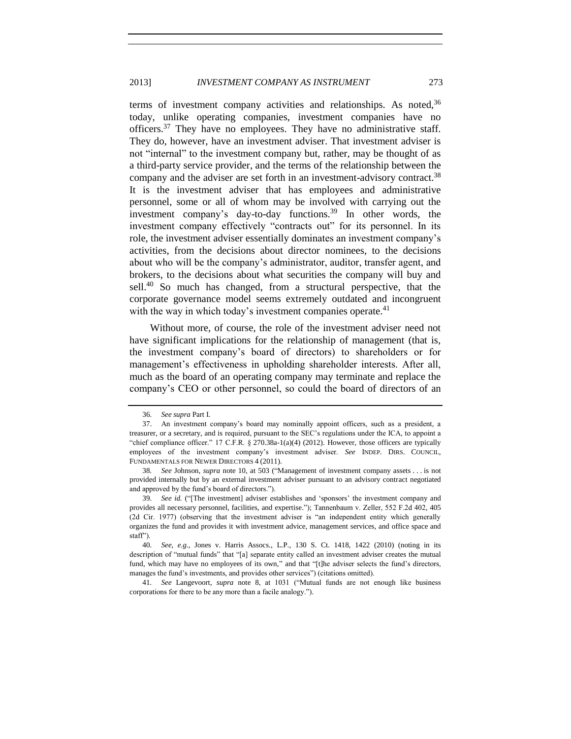<span id="page-10-0"></span>terms of investment company activities and relationships. As noted,<sup>36</sup> today, unlike operating companies, investment companies have no officers.<sup>37</sup> They have no employees. They have no administrative staff. They do, however, have an investment adviser. That investment adviser is not "internal" to the investment company but, rather, may be thought of as a third-party service provider, and the terms of the relationship between the company and the adviser are set forth in an investment-advisory contract.<sup>38</sup> It is the investment adviser that has employees and administrative personnel, some or all of whom may be involved with carrying out the investment company's day-to-day functions.<sup>39</sup> In other words, the investment company effectively "contracts out" for its personnel. In its role, the investment adviser essentially dominates an investment company's activities, from the decisions about director nominees, to the decisions about who will be the company's administrator, auditor, transfer agent, and brokers, to the decisions about what securities the company will buy and sell.<sup>40</sup> So much has changed, from a structural perspective, that the corporate governance model seems extremely outdated and incongruent with the way in which today's investment companies operate. $4<sup>1</sup>$ 

<span id="page-10-1"></span>Without more, of course, the role of the investment adviser need not have significant implications for the relationship of management (that is, the investment company's board of directors) to shareholders or for management's effectiveness in upholding shareholder interests. After all, much as the board of an operating company may terminate and replace the company's CEO or other personnel, so could the board of directors of an

41*. See* Langevoort, *supra* note [8,](#page-3-2) at 1031 ("Mutual funds are not enough like business corporations for there to be any more than a facile analogy.").

<span id="page-10-4"></span><span id="page-10-3"></span><span id="page-10-2"></span>

<sup>36</sup>*. See supra* Part I.

<sup>37.</sup> An investment company's board may nominally appoint officers, such as a president, a treasurer, or a secretary, and is required, pursuant to the SEC's regulations under the ICA, to appoint a "chief compliance officer." 17 C.F.R. § 270.38a-1(a)(4) (2012). However, those officers are typically employees of the investment company's investment adviser. *See* INDEP. DIRS. COUNCIL, FUNDAMENTALS FOR NEWER DIRECTORS 4 (2011).

<sup>38</sup>*. See* Johnson, *supra* note [10,](#page-3-1) at 503 ("Management of investment company assets . . . is not provided internally but by an external investment adviser pursuant to an advisory contract negotiated and approved by the fund's board of directors.").

<sup>39</sup>*. See id.* ("[The investment] adviser establishes and 'sponsors' the investment company and provides all necessary personnel, facilities, and expertise."); Tannenbaum v. Zeller, 552 F.2d 402, 405 (2d Cir. 1977) (observing that the investment adviser is "an independent entity which generally organizes the fund and provides it with investment advice, management services, and office space and staff").

<sup>40</sup>*. See, e.g.*, Jones v. Harris Assocs., L.P., 130 S. Ct. 1418, 1422 (2010) (noting in its description of "mutual funds" that "[a] separate entity called an investment adviser creates the mutual fund, which may have no employees of its own," and that "[t]he adviser selects the fund's directors, manages the fund's investments, and provides other services") (citations omitted).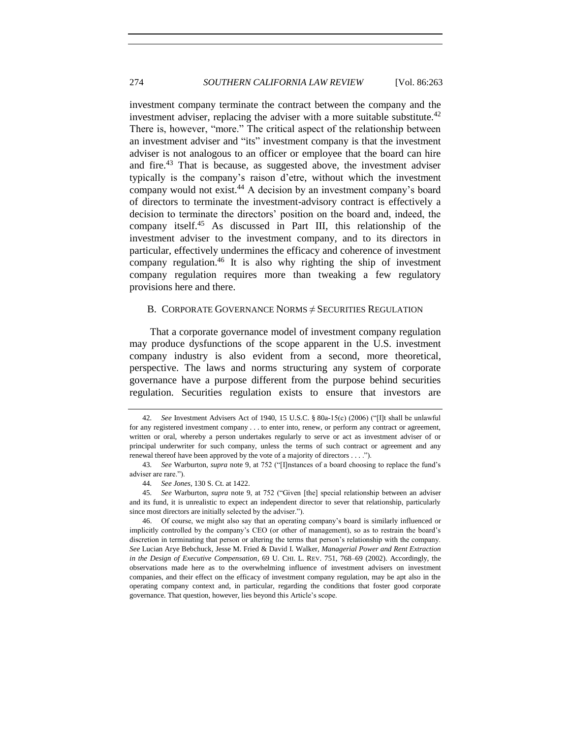<span id="page-11-1"></span>investment company terminate the contract between the company and the investment adviser, replacing the adviser with a more suitable substitute.<sup>42</sup> There is, however, "more." The critical aspect of the relationship between an investment adviser and "its" investment company is that the investment adviser is not analogous to an officer or employee that the board can hire and fire.<sup>43</sup> That is because, as suggested above, the investment adviser typically is the company's raison d'etre, without which the investment company would not exist.<sup>44</sup> A decision by an investment company's board of directors to terminate the investment-advisory contract is effectively a decision to terminate the directors' position on the board and, indeed, the company itself.<sup>45</sup> As discussed in Part III, this relationship of the investment adviser to the investment company, and to its directors in particular, effectively undermines the efficacy and coherence of investment company regulation.<sup>46</sup> It is also why righting the ship of investment company regulation requires more than tweaking a few regulatory provisions here and there.

## <span id="page-11-2"></span><span id="page-11-0"></span>B. CORPORATE GOVERNANCE NORMS  $\neq$  SECURITIES REGULATION

That a corporate governance model of investment company regulation may produce dysfunctions of the scope apparent in the U.S. investment company industry is also evident from a second, more theoretical, perspective. The laws and norms structuring any system of corporate governance have a purpose different from the purpose behind securities regulation. Securities regulation exists to ensure that investors are

<sup>42</sup>*. See* Investment Advisers Act of 1940, 15 U.S.C. § 80a-15(c) (2006) ("[I]t shall be unlawful for any registered investment company . . . to enter into, renew, or perform any contract or agreement, written or oral, whereby a person undertakes regularly to serve or act as investment adviser of or principal underwriter for such company, unless the terms of such contract or agreement and any renewal thereof have been approved by the vote of a majority of directors . . . .").

<sup>43</sup>*. See* Warburton, *supra* note [9,](#page-3-0) at 752 ("[I]nstances of a board choosing to replace the fund's adviser are rare.").

<sup>44</sup>*. See Jones*, 130 S. Ct. at 1422.

<sup>45</sup>*. See* Warburton, *supra* note [9,](#page-3-0) at 752 ("Given [the] special relationship between an adviser and its fund, it is unrealistic to expect an independent director to sever that relationship, particularly since most directors are initially selected by the adviser.").

<sup>46.</sup> Of course, we might also say that an operating company's board is similarly influenced or implicitly controlled by the company's CEO (or other of management), so as to restrain the board's discretion in terminating that person or altering the terms that person's relationship with the company. *See* Lucian Arye Bebchuck, Jesse M. Fried & David I. Walker, *Managerial Power and Rent Extraction in the Design of Executive Compensation*, 69 U. CHI. L. REV. 751, 768–69 (2002). Accordingly, the observations made here as to the overwhelming influence of investment advisers on investment companies, and their effect on the efficacy of investment company regulation, may be apt also in the operating company context and, in particular, regarding the conditions that foster good corporate governance. That question, however, lies beyond this Article's scope.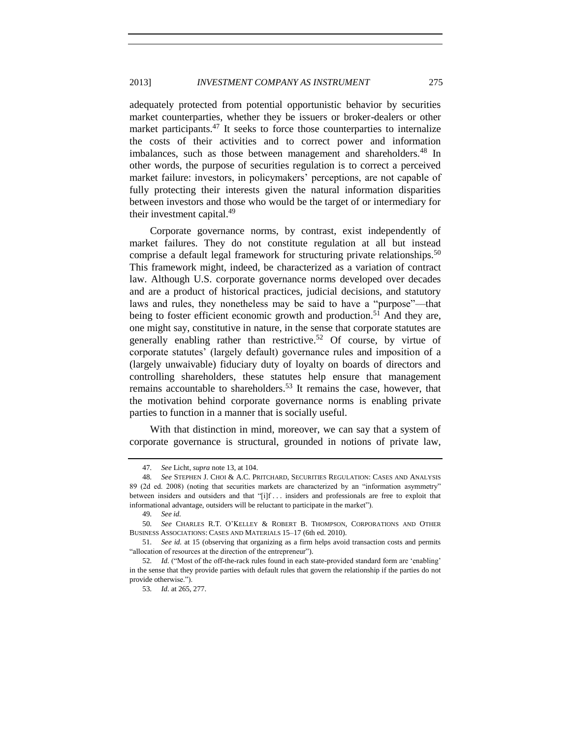adequately protected from potential opportunistic behavior by securities market counterparties, whether they be issuers or broker-dealers or other market participants.<sup>47</sup> It seeks to force those counterparties to internalize the costs of their activities and to correct power and information imbalances, such as those between management and shareholders.<sup>48</sup> In other words, the purpose of securities regulation is to correct a perceived market failure: investors, in policymakers' perceptions, are not capable of fully protecting their interests given the natural information disparities between investors and those who would be the target of or intermediary for their investment capital.<sup>49</sup>

<span id="page-12-0"></span>Corporate governance norms, by contrast, exist independently of market failures. They do not constitute regulation at all but instead comprise a default legal framework for structuring private relationships.<sup>50</sup> This framework might, indeed, be characterized as a variation of contract law. Although U.S. corporate governance norms developed over decades and are a product of historical practices, judicial decisions, and statutory laws and rules, they nonetheless may be said to have a "purpose"—that being to foster efficient economic growth and production.<sup>51</sup> And they are, one might say, constitutive in nature, in the sense that corporate statutes are generally enabling rather than restrictive.<sup>52</sup> Of course, by virtue of corporate statutes' (largely default) governance rules and imposition of a (largely unwaivable) fiduciary duty of loyalty on boards of directors and controlling shareholders, these statutes help ensure that management remains accountable to shareholders.<sup>53</sup> It remains the case, however, that the motivation behind corporate governance norms is enabling private parties to function in a manner that is socially useful.

With that distinction in mind, moreover, we can say that a system of corporate governance is structural, grounded in notions of private law,

<sup>47</sup>*. See* Licht, *supra* not[e 13,](#page-4-0) at 104.

<sup>48</sup>*. See* STEPHEN J. CHOI & A.C. PRITCHARD, SECURITIES REGULATION: CASES AND ANALYSIS 89 (2d ed. 2008) (noting that securities markets are characterized by an "information asymmetry" between insiders and outsiders and that "[i]f . . . insiders and professionals are free to exploit that informational advantage, outsiders will be reluctant to participate in the market").

<sup>49</sup>*. See id.*

<sup>50</sup>*. See* CHARLES R.T. O'KELLEY & ROBERT B. THOMPSON, CORPORATIONS AND OTHER BUSINESS ASSOCIATIONS: CASES AND MATERIALS 15–17 (6th ed. 2010).

<sup>51</sup>*. See id.* at 15 (observing that organizing as a firm helps avoid transaction costs and permits "allocation of resources at the direction of the entrepreneur").

<sup>52</sup>*. Id.* ("Most of the off-the-rack rules found in each state-provided standard form are 'enabling' in the sense that they provide parties with default rules that govern the relationship if the parties do not provide otherwise.").

<sup>53</sup>*. Id.* at 265, 277.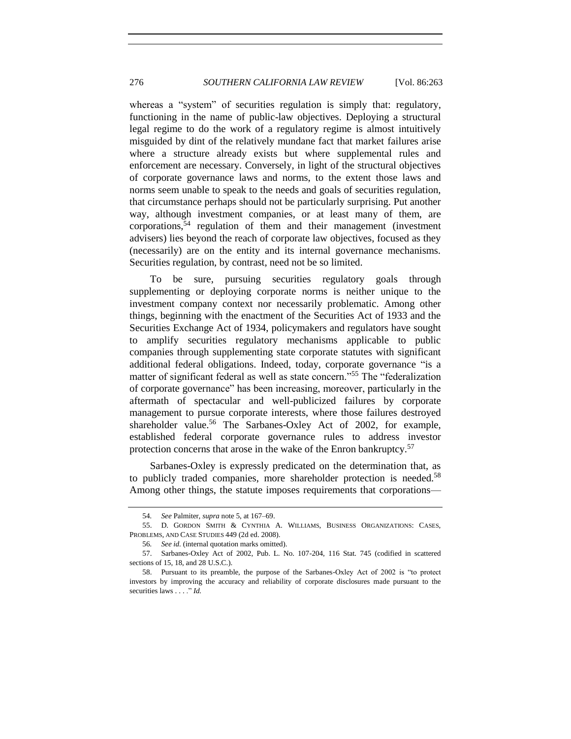whereas a "system" of securities regulation is simply that: regulatory, functioning in the name of public-law objectives. Deploying a structural legal regime to do the work of a regulatory regime is almost intuitively misguided by dint of the relatively mundane fact that market failures arise where a structure already exists but where supplemental rules and enforcement are necessary. Conversely, in light of the structural objectives of corporate governance laws and norms, to the extent those laws and norms seem unable to speak to the needs and goals of securities regulation, that circumstance perhaps should not be particularly surprising. Put another way, although investment companies, or at least many of them, are  $corporations, <sup>54</sup>$  regulation of them and their management (investment advisers) lies beyond the reach of corporate law objectives, focused as they (necessarily) are on the entity and its internal governance mechanisms. Securities regulation, by contrast, need not be so limited.

To be sure, pursuing securities regulatory goals through supplementing or deploying corporate norms is neither unique to the investment company context nor necessarily problematic. Among other things, beginning with the enactment of the Securities Act of 1933 and the Securities Exchange Act of 1934, policymakers and regulators have sought to amplify securities regulatory mechanisms applicable to public companies through supplementing state corporate statutes with significant additional federal obligations. Indeed, today, corporate governance "is a matter of significant federal as well as state concern.<sup>"55</sup> The "federalization" of corporate governance" has been increasing, moreover, particularly in the aftermath of spectacular and well-publicized failures by corporate management to pursue corporate interests, where those failures destroyed shareholder value.<sup>56</sup> The Sarbanes-Oxley Act of 2002, for example, established federal corporate governance rules to address investor protection concerns that arose in the wake of the Enron bankruptcy.<sup>57</sup>

Sarbanes-Oxley is expressly predicated on the determination that, as to publicly traded companies, more shareholder protection is needed.<sup>58</sup> Among other things, the statute imposes requirements that corporations—

<sup>54</sup>*. See* Palmiter, *supra* not[e 5,](#page-3-3) at 167–69.

<sup>55.</sup> D. GORDON SMITH & CYNTHIA A. WILLIAMS, BUSINESS ORGANIZATIONS: CASES, PROBLEMS, AND CASE STUDIES 449 (2d ed. 2008).

<sup>56</sup>*. See id.* (internal quotation marks omitted).

<sup>57.</sup> Sarbanes-Oxley Act of 2002, Pub. L. No. 107-204, 116 Stat. 745 (codified in scattered sections of 15, 18, and 28 U.S.C.).

<sup>58.</sup> Pursuant to its preamble, the purpose of the Sarbanes-Oxley Act of 2002 is "to protect investors by improving the accuracy and reliability of corporate disclosures made pursuant to the securities laws . . . ." *Id.*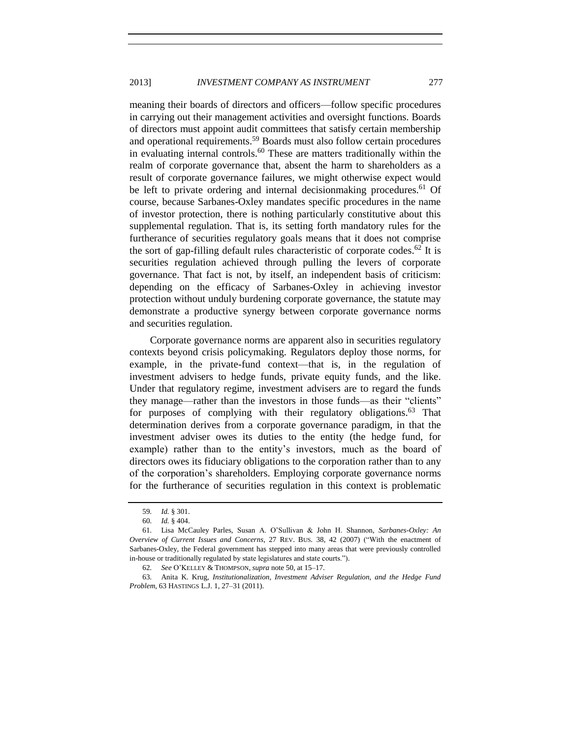meaning their boards of directors and officers—follow specific procedures in carrying out their management activities and oversight functions. Boards of directors must appoint audit committees that satisfy certain membership and operational requirements.<sup>59</sup> Boards must also follow certain procedures in evaluating internal controls.<sup>60</sup> These are matters traditionally within the realm of corporate governance that, absent the harm to shareholders as a result of corporate governance failures, we might otherwise expect would be left to private ordering and internal decision making procedures.<sup>61</sup> Of course, because Sarbanes-Oxley mandates specific procedures in the name of investor protection, there is nothing particularly constitutive about this supplemental regulation. That is, its setting forth mandatory rules for the furtherance of securities regulatory goals means that it does not comprise the sort of gap-filling default rules characteristic of corporate codes.<sup>62</sup> It is securities regulation achieved through pulling the levers of corporate governance. That fact is not, by itself, an independent basis of criticism: depending on the efficacy of Sarbanes-Oxley in achieving investor protection without unduly burdening corporate governance, the statute may demonstrate a productive synergy between corporate governance norms and securities regulation.

Corporate governance norms are apparent also in securities regulatory contexts beyond crisis policymaking. Regulators deploy those norms, for example, in the private-fund context—that is, in the regulation of investment advisers to hedge funds, private equity funds, and the like. Under that regulatory regime, investment advisers are to regard the funds they manage—rather than the investors in those funds—as their "clients" for purposes of complying with their regulatory obligations. $63$  That determination derives from a corporate governance paradigm, in that the investment adviser owes its duties to the entity (the hedge fund, for example) rather than to the entity's investors, much as the board of directors owes its fiduciary obligations to the corporation rather than to any of the corporation's shareholders. Employing corporate governance norms for the furtherance of securities regulation in this context is problematic

<span id="page-14-0"></span><sup>59</sup>*. Id.* § 301.

<sup>60</sup>*. Id.* § 404.

<sup>61</sup>*.* Lisa McCauley Parles, Susan A. O'Sullivan & John H. Shannon, *Sarbanes-Oxley: An Overview of Current Issues and Concerns*, 27 REV. BUS. 38, 42 (2007) ("With the enactment of Sarbanes-Oxley, the Federal government has stepped into many areas that were previously controlled in-house or traditionally regulated by state legislatures and state courts.").

<sup>62</sup>*. See* O'KELLEY & THOMPSON, *supra* not[e 50,](#page-12-0) at 15–17.

<sup>63</sup>*.* Anita K. Krug, *Institutionalization, Investment Adviser Regulation, and the Hedge Fund Problem*, 63 HASTINGS L.J. 1, 27–31 (2011).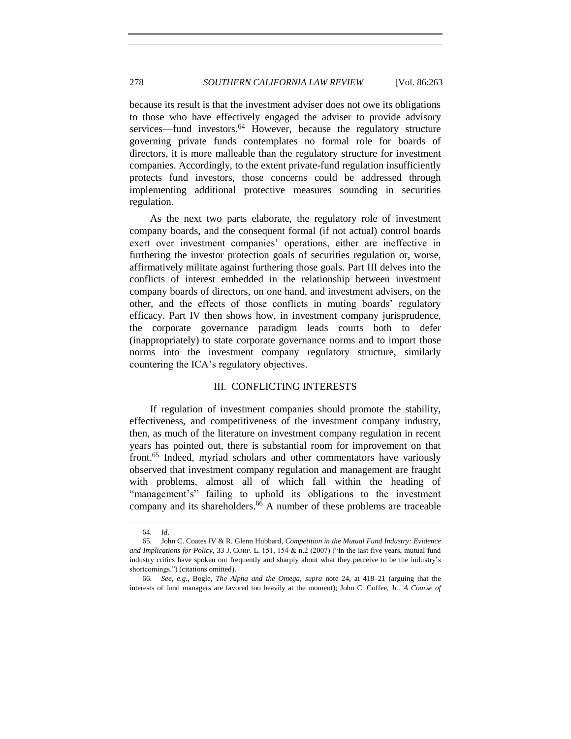because its result is that the investment adviser does not owe its obligations to those who have effectively engaged the adviser to provide advisory services—fund investors. $64$  However, because the regulatory structure governing private funds contemplates no formal role for boards of directors, it is more malleable than the regulatory structure for investment companies. Accordingly, to the extent private-fund regulation insufficiently protects fund investors, those concerns could be addressed through implementing additional protective measures sounding in securities regulation.

As the next two parts elaborate, the regulatory role of investment company boards, and the consequent formal (if not actual) control boards exert over investment companies' operations, either are ineffective in furthering the investor protection goals of securities regulation or, worse, affirmatively militate against furthering those goals. Part III delves into the conflicts of interest embedded in the relationship between investment company boards of directors, on one hand, and investment advisers, on the other, and the effects of those conflicts in muting boards' regulatory efficacy. Part IV then shows how, in investment company jurisprudence, the corporate governance paradigm leads courts both to defer (inappropriately) to state corporate governance norms and to import those norms into the investment company regulatory structure, similarly countering the ICA's regulatory objectives.

## III. CONFLICTING INTERESTS

<span id="page-15-1"></span><span id="page-15-0"></span>If regulation of investment companies should promote the stability, effectiveness, and competitiveness of the investment company industry, then, as much of the literature on investment company regulation in recent years has pointed out, there is substantial room for improvement on that front.<sup>65</sup> Indeed, myriad scholars and other commentators have variously observed that investment company regulation and management are fraught with problems, almost all of which fall within the heading of "management's" failing to uphold its obligations to the investment company and its shareholders.<sup>66</sup> A number of these problems are traceable

<span id="page-15-2"></span><sup>64</sup>*. Id*.

<sup>65</sup>*.* John C. Coates IV & R. Glenn Hubbard, *Competition in the Mutual Fund Industry: Evidence and Implications for Policy*, 33 J. CORP. L. 151, 154 & n.2 (2007) ("In the last five years, mutual fund industry critics have spoken out frequently and sharply about what they perceive to be the industry's shortcomings.") (citations omitted).

<sup>66</sup>*. See, e.g.*, Bogle, *The Alpha and the Omega*, *supra* note [24,](#page-7-0) at 418–21 (arguing that the interests of fund managers are favored too heavily at the moment); John C. Coffee, Jr., *A Course of*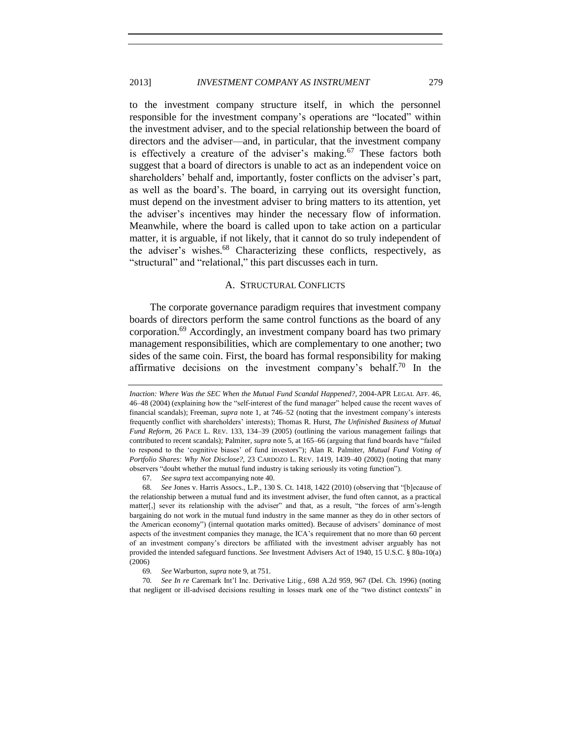to the investment company structure itself, in which the personnel responsible for the investment company's operations are "located" within the investment adviser, and to the special relationship between the board of directors and the adviser—and, in particular, that the investment company is effectively a creature of the adviser's making.<sup>67</sup> These factors both suggest that a board of directors is unable to act as an independent voice on shareholders' behalf and, importantly, foster conflicts on the adviser's part, as well as the board's. The board, in carrying out its oversight function, must depend on the investment adviser to bring matters to its attention, yet the adviser's incentives may hinder the necessary flow of information. Meanwhile, where the board is called upon to take action on a particular matter, it is arguable, if not likely, that it cannot do so truly independent of the adviser's wishes.<sup>68</sup> Characterizing these conflicts, respectively, as "structural" and "relational," this part discusses each in turn.

#### <span id="page-16-2"></span><span id="page-16-1"></span>A. STRUCTURAL CONFLICTS

<span id="page-16-3"></span><span id="page-16-0"></span>The corporate governance paradigm requires that investment company boards of directors perform the same control functions as the board of any corporation.<sup>69</sup> Accordingly, an investment company board has two primary management responsibilities, which are complementary to one another; two sides of the same coin. First, the board has formal responsibility for making affirmative decisions on the investment company's behalf.<sup>70</sup> In the

67*. See supra* text accompanying not[e 40.](#page-10-1)

68*. See* Jones v. Harris Assocs., L.P., 130 S. Ct. 1418, 1422 (2010) (observing that "[b]ecause of the relationship between a mutual fund and its investment adviser, the fund often cannot, as a practical matter[,] sever its relationship with the adviser" and that, as a result, "the forces of arm's-length bargaining do not work in the mutual fund industry in the same manner as they do in other sectors of the American economy") (internal quotation marks omitted). Because of advisers' dominance of most aspects of the investment companies they manage, the ICA's requirement that no more than 60 percent of an investment company's directors be affiliated with the investment adviser arguably has not provided the intended safeguard functions. *See* Investment Advisers Act of 1940, 15 U.S.C. § 80a-10(a) (2006)

69*. See* Warburton, *supra* not[e 9,](#page-3-0) at 751.

70*. See In re* Caremark Int'l Inc. Derivative Litig., 698 A.2d 959, 967 (Del. Ch. 1996) (noting that negligent or ill-advised decisions resulting in losses mark one of the "two distinct contexts" in

*Inaction: Where Was the SEC When the Mutual Fund Scandal Happened?,* 2004-APR LEGAL AFF. 46, 46–48 (2004) (explaining how the "self-interest of the fund manager" helped cause the recent waves of financial scandals); Freeman, *supra* note [1,](#page-2-1) at 746–52 (noting that the investment company's interests frequently conflict with shareholders' interests); Thomas R. Hurst, *The Unfinished Business of Mutual Fund Reform*, 26 PACE L. REV. 133, 134–39 (2005) (outlining the various management failings that contributed to recent scandals); Palmiter, *supra* not[e 5,](#page-3-3) at 165–66 (arguing that fund boards have "failed to respond to the 'cognitive biases' of fund investors"); Alan R. Palmiter, *Mutual Fund Voting of Portfolio Shares: Why Not Disclose?,* 23 CARDOZO L. REV. 1419, 1439–40 (2002) (noting that many observers "doubt whether the mutual fund industry is taking seriously its voting function").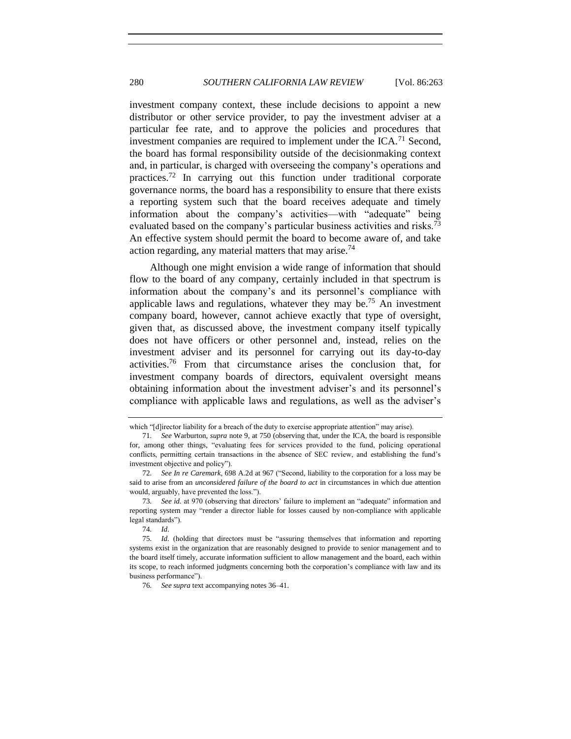investment company context, these include decisions to appoint a new distributor or other service provider, to pay the investment adviser at a particular fee rate, and to approve the policies and procedures that investment companies are required to implement under the  $ICA.^{71}$  Second, the board has formal responsibility outside of the decisionmaking context and, in particular, is charged with overseeing the company's operations and practices.<sup>72</sup> In carrying out this function under traditional corporate governance norms, the board has a responsibility to ensure that there exists a reporting system such that the board receives adequate and timely information about the company's activities—with "adequate" being evaluated based on the company's particular business activities and risks.<sup>73</sup> An effective system should permit the board to become aware of, and take action regarding, any material matters that may arise.<sup>74</sup>

<span id="page-17-1"></span><span id="page-17-0"></span>Although one might envision a wide range of information that should flow to the board of any company, certainly included in that spectrum is information about the company's and its personnel's compliance with applicable laws and regulations, whatever they may be.<sup>75</sup> An investment company board, however, cannot achieve exactly that type of oversight, given that, as discussed above, the investment company itself typically does not have officers or other personnel and, instead, relies on the investment adviser and its personnel for carrying out its day-to-day activities.<sup>76</sup> From that circumstance arises the conclusion that, for investment company boards of directors, equivalent oversight means obtaining information about the investment adviser's and its personnel's compliance with applicable laws and regulations, as well as the adviser's

which "[d]irector liability for a breach of the duty to exercise appropriate attention" may arise).

<sup>71</sup>*. See* Warburton, *supra* note [9,](#page-3-0) at 750 (observing that, under the ICA, the board is responsible for, among other things, "evaluating fees for services provided to the fund, policing operational conflicts, permitting certain transactions in the absence of SEC review, and establishing the fund's investment objective and policy").

<sup>72</sup>*. See In re Caremark*, 698 A.2d at 967 ("Second, liability to the corporation for a loss may be said to arise from an *unconsidered failure of the board to act* in circumstances in which due attention would, arguably, have prevented the loss.").

<sup>73</sup>*. See id.* at 970 (observing that directors' failure to implement an "adequate" information and reporting system may "render a director liable for losses caused by non-compliance with applicable legal standards").

<sup>74</sup>*. Id*.

<sup>75</sup>*. Id.* (holding that directors must be "assuring themselves that information and reporting systems exist in the organization that are reasonably designed to provide to senior management and to the board itself timely, accurate information sufficient to allow management and the board, each within its scope, to reach informed judgments concerning both the corporation's compliance with law and its business performance").

<sup>76</sup>*. See supra* text accompanying notes [36–](#page-10-2)[41.](#page-10-3)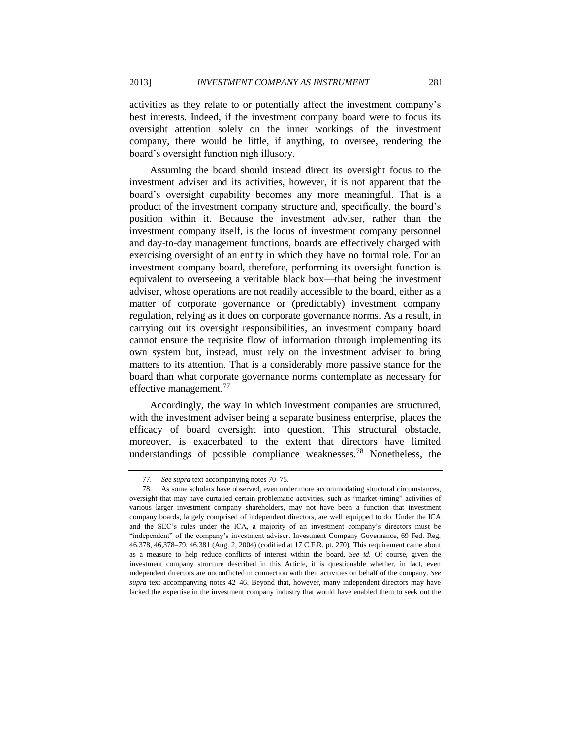activities as they relate to or potentially affect the investment company's best interests. Indeed, if the investment company board were to focus its oversight attention solely on the inner workings of the investment company, there would be little, if anything, to oversee, rendering the board's oversight function nigh illusory.

Assuming the board should instead direct its oversight focus to the investment adviser and its activities, however, it is not apparent that the board's oversight capability becomes any more meaningful. That is a product of the investment company structure and, specifically, the board's position within it. Because the investment adviser, rather than the investment company itself, is the locus of investment company personnel and day-to-day management functions, boards are effectively charged with exercising oversight of an entity in which they have no formal role. For an investment company board, therefore, performing its oversight function is equivalent to overseeing a veritable black box—that being the investment adviser, whose operations are not readily accessible to the board, either as a matter of corporate governance or (predictably) investment company regulation, relying as it does on corporate governance norms. As a result, in carrying out its oversight responsibilities, an investment company board cannot ensure the requisite flow of information through implementing its own system but, instead, must rely on the investment adviser to bring matters to its attention. That is a considerably more passive stance for the board than what corporate governance norms contemplate as necessary for effective management.<sup>77</sup>

Accordingly, the way in which investment companies are structured, with the investment adviser being a separate business enterprise, places the efficacy of board oversight into question. This structural obstacle, moreover, is exacerbated to the extent that directors have limited understandings of possible compliance weaknesses.<sup>78</sup> Nonetheless, the

<span id="page-18-0"></span><sup>77</sup>*. See supra* text accompanying notes [70–](#page-16-1)[75.](#page-17-0)

<sup>78.</sup> As some scholars have observed, even under more accommodating structural circumstances, oversight that may have curtailed certain problematic activities, such as "market-timing" activities of various larger investment company shareholders, may not have been a function that investment company boards, largely comprised of independent directors, are well equipped to do. Under the ICA and the SEC's rules under the ICA, a majority of an investment company's directors must be "independent" of the company's investment adviser. Investment Company Governance, 69 Fed. Reg. 46,378, 46,378–79, 46,381 (Aug. 2, 2004) (codified at 17 C.F.R. pt. 270). This requirement came about as a measure to help reduce conflicts of interest within the board. *See id.* Of course, given the investment company structure described in this Article, it is questionable whether, in fact, even independent directors are unconflicted in connection with their activities on behalf of the company. *See supra* text accompanying notes [42–](#page-11-1)[46.](#page-11-2) Beyond that, however, many independent directors may have lacked the expertise in the investment company industry that would have enabled them to seek out the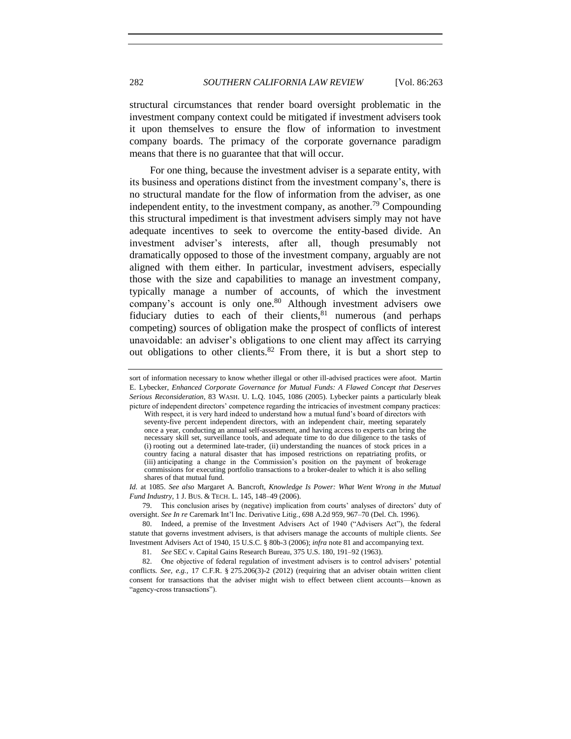structural circumstances that render board oversight problematic in the investment company context could be mitigated if investment advisers took it upon themselves to ensure the flow of information to investment company boards. The primacy of the corporate governance paradigm means that there is no guarantee that that will occur.

For one thing, because the investment adviser is a separate entity, with its business and operations distinct from the investment company's, there is no structural mandate for the flow of information from the adviser, as one independent entity, to the investment company, as another.<sup>79</sup> Compounding this structural impediment is that investment advisers simply may not have adequate incentives to seek to overcome the entity-based divide. An investment adviser's interests, after all, though presumably not dramatically opposed to those of the investment company, arguably are not aligned with them either. In particular, investment advisers, especially those with the size and capabilities to manage an investment company, typically manage a number of accounts, of which the investment company's account is only one.<sup>80</sup> Although investment advisers owe fiduciary duties to each of their clients, $81$  numerous (and perhaps competing) sources of obligation make the prospect of conflicts of interest unavoidable: an adviser's obligations to one client may affect its carrying out obligations to other clients.<sup>82</sup> From there, it is but a short step to

<span id="page-19-0"></span>sort of information necessary to know whether illegal or other ill-advised practices were afoot. Martin E. Lybecker, *Enhanced Corporate Governance for Mutual Funds: A Flawed Concept that Deserves Serious Reconsideration*, 83 WASH. U. L.Q. 1045, 1086 (2005). Lybecker paints a particularly bleak picture of independent directors' competence regarding the intricacies of investment company practices:

With respect, it is very hard indeed to understand how a mutual fund's board of directors with seventy-five percent independent directors, with an independent chair, meeting separately once a year, conducting an annual self-assessment, and having access to experts can bring the necessary skill set, surveillance tools, and adequate time to do due diligence to the tasks of (i) rooting out a determined late-trader, (ii) understanding the nuances of stock prices in a country facing a natural disaster that has imposed restrictions on repatriating profits, or (iii) anticipating a change in the Commission's position on the payment of brokerage commissions for executing portfolio transactions to a broker-dealer to which it is also selling shares of that mutual fund.

*Id.* at 1085. *See also* Margaret A. Bancroft, *Knowledge Is Power: What Went Wrong in the Mutual Fund Industry*, 1 J. BUS. & TECH. L. 145, 148–49 (2006).

<sup>79.</sup> This conclusion arises by (negative) implication from courts' analyses of directors' duty of oversight. *See In re* Caremark Int'l Inc. Derivative Litig., 698 A.2d 959, 967–70 (Del. Ch. 1996).

<sup>80.</sup> Indeed, a premise of the Investment Advisers Act of 1940 ("Advisers Act"), the federal statute that governs investment advisers, is that advisers manage the accounts of multiple clients. *See* Investment Advisers Act of 1940, 15 U.S.C. § 80b-3 (2006); *infra* not[e 81](#page-19-0) and accompanying text.

<sup>81</sup>*. See* SEC v. Capital Gains Research Bureau, 375 U.S. 180, 191–92 (1963).

<sup>82.</sup> One objective of federal regulation of investment advisers is to control advisers' potential conflicts. *See, e.g.,* 17 C.F.R. § 275.206(3)-2 (2012) (requiring that an adviser obtain written client consent for transactions that the adviser might wish to effect between client accounts—known as "agency-cross transactions").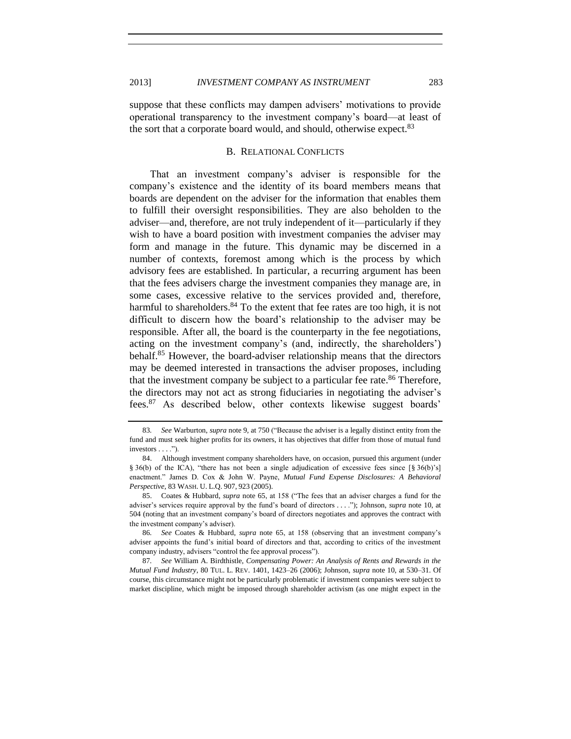<span id="page-20-0"></span>suppose that these conflicts may dampen advisers' motivations to provide operational transparency to the investment company's board—at least of the sort that a corporate board would, and should, otherwise expect.<sup>83</sup>

## B. RELATIONAL CONFLICTS

That an investment company's adviser is responsible for the company's existence and the identity of its board members means that boards are dependent on the adviser for the information that enables them to fulfill their oversight responsibilities. They are also beholden to the adviser—and, therefore, are not truly independent of it—particularly if they wish to have a board position with investment companies the adviser may form and manage in the future. This dynamic may be discerned in a number of contexts, foremost among which is the process by which advisory fees are established. In particular, a recurring argument has been that the fees advisers charge the investment companies they manage are, in some cases, excessive relative to the services provided and, therefore, harmful to shareholders.  $84$  To the extent that fee rates are too high, it is not difficult to discern how the board's relationship to the adviser may be responsible. After all, the board is the counterparty in the fee negotiations, acting on the investment company's (and, indirectly, the shareholders') behalf.<sup>85</sup> However, the board-adviser relationship means that the directors may be deemed interested in transactions the adviser proposes, including that the investment company be subject to a particular fee rate.<sup>86</sup> Therefore, the directors may not act as strong fiduciaries in negotiating the adviser's fees.<sup>87</sup> As described below, other contexts likewise suggest boards'

86*. See* Coates & Hubbard, *supra* note [65,](#page-15-1) at 158 (observing that an investment company's adviser appoints the fund's initial board of directors and that, according to critics of the investment company industry, advisers "control the fee approval process").

87*. See* William A. Birdthistle, *Compensating Power: An Analysis of Rents and Rewards in the Mutual Fund Industry*, 80 TUL. L. REV. 1401, 1423–26 (2006); Johnson, *supra* not[e 10,](#page-3-1) at 530–31. Of course, this circumstance might not be particularly problematic if investment companies were subject to market discipline, which might be imposed through shareholder activism (as one might expect in the

<span id="page-20-1"></span><sup>83</sup>*. See* Warburton, *supra* not[e 9,](#page-3-0) at 750 ("Because the adviser is a legally distinct entity from the fund and must seek higher profits for its owners, it has objectives that differ from those of mutual fund investors . . . .").

<sup>84.</sup> Although investment company shareholders have, on occasion, pursued this argument (under § 36(b) of the ICA), "there has not been a single adjudication of excessive fees since [§ 36(b)'s] enactment." James D. Cox & John W. Payne, *Mutual Fund Expense Disclosures: A Behavioral Perspective*, 83 WASH. U. L.Q. 907, 923 (2005).

<sup>85.</sup> Coates & Hubbard, *supra* note [65,](#page-15-1) at 158 ("The fees that an adviser charges a fund for the adviser's services require approval by the fund's board of directors . . . ."); Johnson, *supra* not[e 10,](#page-3-1) at 504 (noting that an investment company's board of directors negotiates and approves the contract with the investment company's adviser).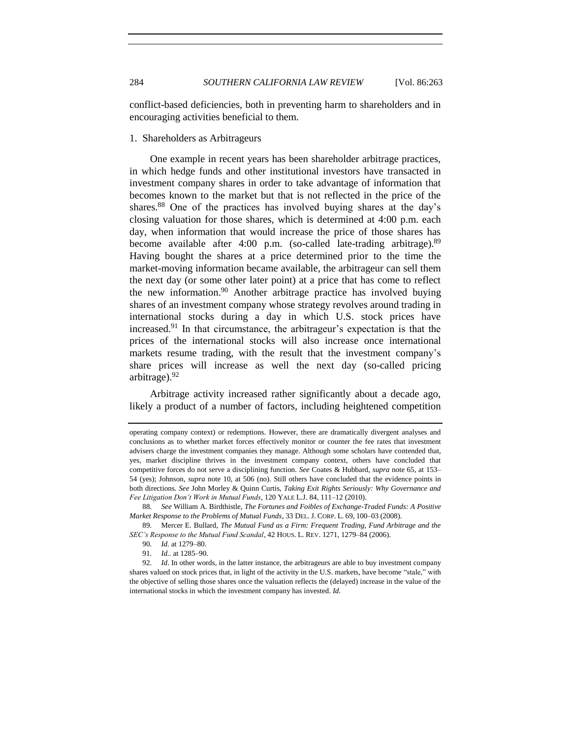conflict-based deficiencies, both in preventing harm to shareholders and in encouraging activities beneficial to them.

## <span id="page-21-0"></span>1. Shareholders as Arbitrageurs

<span id="page-21-1"></span>One example in recent years has been shareholder arbitrage practices, in which hedge funds and other institutional investors have transacted in investment company shares in order to take advantage of information that becomes known to the market but that is not reflected in the price of the shares.<sup>88</sup> One of the practices has involved buying shares at the day's closing valuation for those shares, which is determined at 4:00 p.m. each day, when information that would increase the price of those shares has become available after 4:00 p.m. (so-called late-trading arbitrage). $89$ Having bought the shares at a price determined prior to the time the market-moving information became available, the arbitrageur can sell them the next day (or some other later point) at a price that has come to reflect the new information.<sup>90</sup> Another arbitrage practice has involved buying shares of an investment company whose strategy revolves around trading in international stocks during a day in which U.S. stock prices have increased.<sup>91</sup> In that circumstance, the arbitrageur's expectation is that the prices of the international stocks will also increase once international markets resume trading, with the result that the investment company's share prices will increase as well the next day (so-called pricing arbitrage).<sup>92</sup>

Arbitrage activity increased rather significantly about a decade ago, likely a product of a number of factors, including heightened competition

operating company context) or redemptions. However, there are dramatically divergent analyses and conclusions as to whether market forces effectively monitor or counter the fee rates that investment advisers charge the investment companies they manage. Although some scholars have contended that, yes, market discipline thrives in the investment company context, others have concluded that competitive forces do not serve a disciplining function. *See* Coates & Hubbard, *supra* not[e 65,](#page-15-1) at 153– 54 (yes); Johnson, *supra* note [10,](#page-3-1) at 506 (no). Still others have concluded that the evidence points in both directions. *See* John Morley & Quinn Curtis, *Taking Exit Rights Seriously: Why Governance and Fee Litigation Don't Work in Mutual Funds*, 120 YALE L.J. 84, 111–12 (2010).

<sup>88</sup>*. See* William A. Birdthistle, *The Fortunes and Foibles of Exchange-Traded Funds: A Positive Market Response to the Problems of Mutual Funds*, 33 DEL. J. CORP. L. 69, 100–03 (2008).

<sup>89</sup>*.* Mercer E. Bullard, *The Mutual Fund as a Firm: Frequent Trading, Fund Arbitrage and the SEC's Response to the Mutual Fund Scandal*, 42 HOUS. L. REV. 1271, 1279–84 (2006).

<sup>90</sup>*. Id.* at 1279–80.

<sup>91</sup>*. Id..* at 1285–90.

<sup>92</sup>*. Id*. In other words, in the latter instance, the arbitrageurs are able to buy investment company shares valued on stock prices that, in light of the activity in the U.S. markets, have become "stale," with the objective of selling those shares once the valuation reflects the (delayed) increase in the value of the international stocks in which the investment company has invested. *Id.*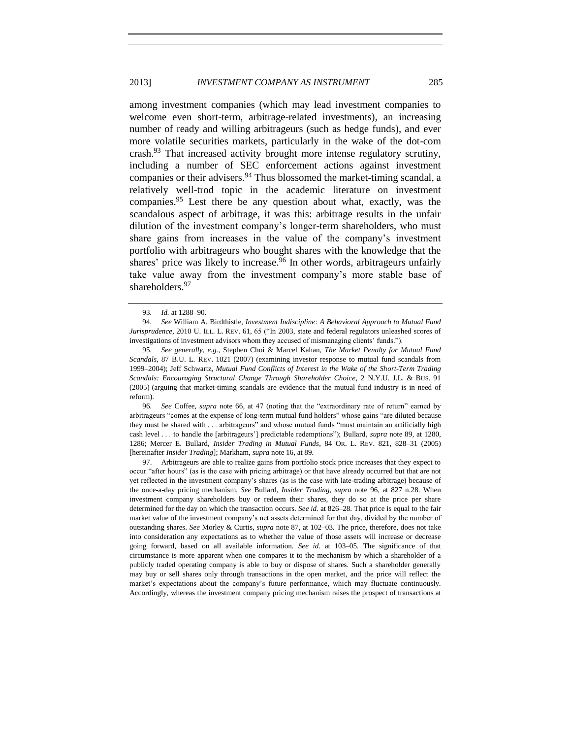<span id="page-22-1"></span>among investment companies (which may lead investment companies to welcome even short-term, arbitrage-related investments), an increasing number of ready and willing arbitrageurs (such as hedge funds), and ever more volatile securities markets, particularly in the wake of the dot-com crash.<sup>93</sup> That increased activity brought more intense regulatory scrutiny, including a number of SEC enforcement actions against investment companies or their advisers.<sup>94</sup> Thus blossomed the market-timing scandal, a relatively well-trod topic in the academic literature on investment companies.<sup>95</sup> Lest there be any question about what, exactly, was the scandalous aspect of arbitrage, it was this: arbitrage results in the unfair dilution of the investment company's longer-term shareholders, who must share gains from increases in the value of the company's investment portfolio with arbitrageurs who bought shares with the knowledge that the shares' price was likely to increase.<sup>96</sup> In other words, arbitrageurs unfairly take value away from the investment company's more stable base of shareholders.<sup>97</sup>

96*. See* Coffee, *supra* note [66,](#page-15-2) at 47 (noting that the "extraordinary rate of return" earned by arbitrageurs "comes at the expense of long-term mutual fund holders" whose gains "are diluted because they must be shared with . . . arbitrageurs" and whose mutual funds "must maintain an artificially high cash level . . . to handle the [arbitrageurs'] predictable redemptions"); Bullard, *supra* note [89,](#page-21-1) at 1280, 1286; Mercer E. Bullard, *Insider Trading in Mutual Funds*, 84 OR. L. REV. 821, 828–31 (2005) [hereinafter *Insider Trading*]; Markham, *supra* not[e 16,](#page-6-2) at 89.

97. Arbitrageurs are able to realize gains from portfolio stock price increases that they expect to occur "after hours" (as is the case with pricing arbitrage) or that have already occurred but that are not yet reflected in the investment company's shares (as is the case with late-trading arbitrage) because of the once-a-day pricing mechanism. *See* Bullard, *Insider Trading*, *supra* note [96,](#page-22-0) at 827 n.28. When investment company shareholders buy or redeem their shares, they do so at the price per share determined for the day on which the transaction occurs. *See id.* at 826–28. That price is equal to the fair market value of the investment company's net assets determined for that day, divided by the number of outstanding shares. *See* Morley & Curtis, *supra* note [87,](#page-20-1) at 102–03. The price, therefore, does not take into consideration any expectations as to whether the value of those assets will increase or decrease going forward, based on all available information. *See id.* at 103–05. The significance of that circumstance is more apparent when one compares it to the mechanism by which a shareholder of a publicly traded operating company is able to buy or dispose of shares. Such a shareholder generally may buy or sell shares only through transactions in the open market, and the price will reflect the market's expectations about the company's future performance, which may fluctuate continuously. Accordingly, whereas the investment company pricing mechanism raises the prospect of transactions at

<span id="page-22-2"></span><span id="page-22-0"></span><sup>93</sup>*. Id.* at 1288–90.

<sup>94</sup>*. See* William A. Birdthistle, *Investment Indiscipline: A Behavioral Approach to Mutual Fund Jurisprudence*, 2010 U. ILL. L. REV. 61, 65 ("In 2003, state and federal regulators unleashed scores of investigations of investment advisors whom they accused of mismanaging clients' funds.").

<sup>95</sup>*. See generally, e.g.*, Stephen Choi & Marcel Kahan, *The Market Penalty for Mutual Fund Scandals*, 87 B.U. L. REV. 1021 (2007) (examining investor response to mutual fund scandals from 1999–2004); Jeff Schwartz, *Mutual Fund Conflicts of Interest in the Wake of the Short-Term Trading Scandals: Encouraging Structural Change Through Shareholder Choice*, 2 N.Y.U. J.L. & BUS. 91 (2005) (arguing that market-timing scandals are evidence that the mutual fund industry is in need of reform).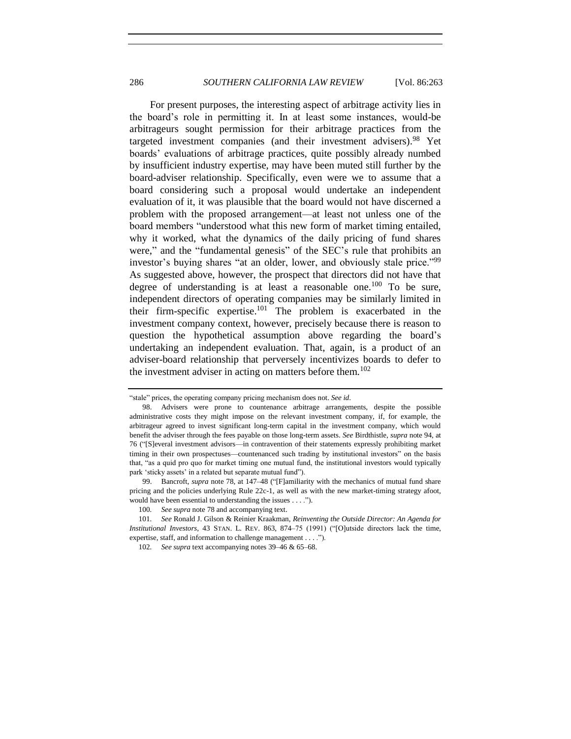For present purposes, the interesting aspect of arbitrage activity lies in the board's role in permitting it. In at least some instances, would-be arbitrageurs sought permission for their arbitrage practices from the targeted investment companies (and their investment advisers).<sup>98</sup> Yet boards' evaluations of arbitrage practices, quite possibly already numbed by insufficient industry expertise, may have been muted still further by the board-adviser relationship. Specifically, even were we to assume that a board considering such a proposal would undertake an independent evaluation of it, it was plausible that the board would not have discerned a problem with the proposed arrangement—at least not unless one of the board members "understood what this new form of market timing entailed, why it worked, what the dynamics of the daily pricing of fund shares were," and the "fundamental genesis" of the SEC's rule that prohibits an investor's buying shares "at an older, lower, and obviously stale price."<sup>99</sup> As suggested above, however, the prospect that directors did not have that degree of understanding is at least a reasonable one.<sup>100</sup> To be sure, independent directors of operating companies may be similarly limited in their firm-specific expertise.<sup>101</sup> The problem is exacerbated in the investment company context, however, precisely because there is reason to question the hypothetical assumption above regarding the board's undertaking an independent evaluation. That, again, is a product of an adviser-board relationship that perversely incentivizes boards to defer to the investment adviser in acting on matters before them.<sup>102</sup>

<sup>&</sup>quot;stale" prices, the operating company pricing mechanism does not. *See id*.

<sup>98.</sup> Advisers were prone to countenance arbitrage arrangements, despite the possible administrative costs they might impose on the relevant investment company, if, for example, the arbitrageur agreed to invest significant long-term capital in the investment company, which would benefit the adviser through the fees payable on those long-term assets. *See* Birdthistle, *supra* not[e 94,](#page-22-1) at 76 ("[S]everal investment advisors—in contravention of their statements expressly prohibiting market timing in their own prospectuses—countenanced such trading by institutional investors" on the basis that, "as a quid pro quo for market timing one mutual fund, the institutional investors would typically park 'sticky assets' in a related but separate mutual fund").

<sup>99.</sup> Bancroft, *supra* not[e 78,](#page-18-0) at 147–48 ("[F]amiliarity with the mechanics of mutual fund share pricing and the policies underlying Rule 22c-1, as well as with the new market-timing strategy afoot, would have been essential to understanding the issues . . . .").

<sup>100</sup>*. See supra* not[e 78](#page-18-0) and accompanying text.

<sup>101</sup>*. See* Ronald J. Gilson & Reinier Kraakman, *Reinventing the Outside Director: An Agenda for Institutional Investors*, 43 STAN. L. REV. 863, 874–75 (1991) ("[O]utside directors lack the time, expertise, staff, and information to challenge management . . . .").

<sup>102</sup>*. See supra* text accompanying notes [39–](#page-10-4)[46](#page-11-2) [& 65](#page-15-1)[–68.](#page-16-2)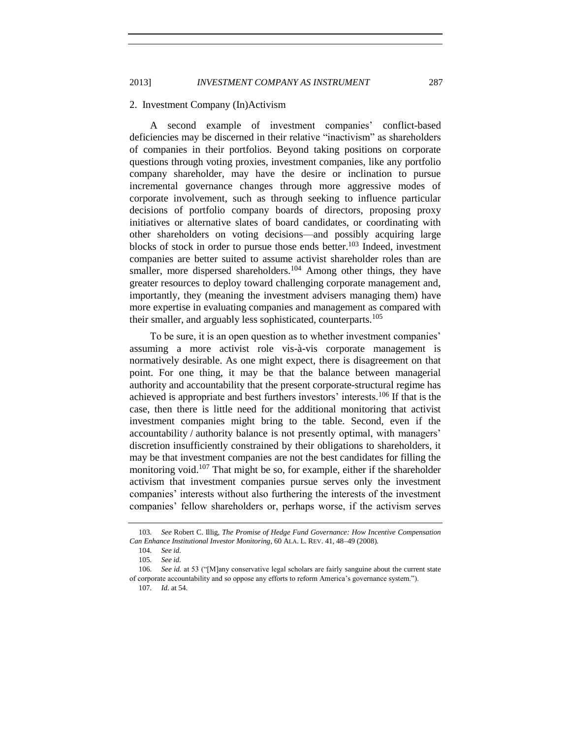#### <span id="page-24-0"></span>2. Investment Company (In)Activism

A second example of investment companies' conflict-based deficiencies may be discerned in their relative "inactivism" as shareholders of companies in their portfolios. Beyond taking positions on corporate questions through voting proxies, investment companies, like any portfolio company shareholder, may have the desire or inclination to pursue incremental governance changes through more aggressive modes of corporate involvement, such as through seeking to influence particular decisions of portfolio company boards of directors, proposing proxy initiatives or alternative slates of board candidates, or coordinating with other shareholders on voting decisions—and possibly acquiring large blocks of stock in order to pursue those ends better. <sup>103</sup> Indeed, investment companies are better suited to assume activist shareholder roles than are smaller, more dispersed shareholders.<sup>104</sup> Among other things, they have greater resources to deploy toward challenging corporate management and, importantly, they (meaning the investment advisers managing them) have more expertise in evaluating companies and management as compared with their smaller, and arguably less sophisticated, counterparts.<sup>105</sup>

To be sure, it is an open question as to whether investment companies' assuming a more activist role vis-à-vis corporate management is normatively desirable. As one might expect, there is disagreement on that point. For one thing, it may be that the balance between managerial authority and accountability that the present corporate-structural regime has achieved is appropriate and best furthers investors' interests.<sup>106</sup> If that is the case, then there is little need for the additional monitoring that activist investment companies might bring to the table. Second, even if the accountability / authority balance is not presently optimal, with managers' discretion insufficiently constrained by their obligations to shareholders, it may be that investment companies are not the best candidates for filling the monitoring void.<sup>107</sup> That might be so, for example, either if the shareholder activism that investment companies pursue serves only the investment companies' interests without also furthering the interests of the investment companies' fellow shareholders or, perhaps worse, if the activism serves

<sup>103</sup>*. See* Robert C. Illig, *The Promise of Hedge Fund Governance: How Incentive Compensation Can Enhance Institutional Investor Monitoring*, 60 ALA. L. REV. 41, 48–49 (2008).

<sup>104</sup>*. See id.*

<sup>105</sup>*. See id.*

<sup>106</sup>*. See id.* at 53 ("[M]any conservative legal scholars are fairly sanguine about the current state of corporate accountability and so oppose any efforts to reform America's governance system.").

<sup>107</sup>*. Id.* at 54.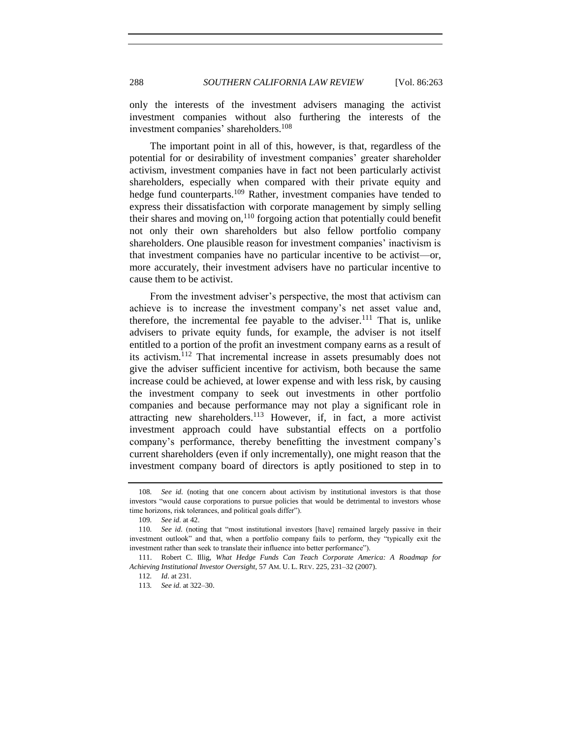only the interests of the investment advisers managing the activist investment companies without also furthering the interests of the investment companies' shareholders.<sup>108</sup>

The important point in all of this, however, is that, regardless of the potential for or desirability of investment companies' greater shareholder activism, investment companies have in fact not been particularly activist shareholders, especially when compared with their private equity and hedge fund counterparts.<sup>109</sup> Rather, investment companies have tended to express their dissatisfaction with corporate management by simply selling their shares and moving on, $110$  forgoing action that potentially could benefit not only their own shareholders but also fellow portfolio company shareholders. One plausible reason for investment companies' inactivism is that investment companies have no particular incentive to be activist—or, more accurately, their investment advisers have no particular incentive to cause them to be activist.

From the investment adviser's perspective, the most that activism can achieve is to increase the investment company's net asset value and, therefore, the incremental fee payable to the adviser.<sup>111</sup> That is, unlike advisers to private equity funds, for example, the adviser is not itself entitled to a portion of the profit an investment company earns as a result of its activism.<sup>112</sup> That incremental increase in assets presumably does not give the adviser sufficient incentive for activism, both because the same increase could be achieved, at lower expense and with less risk, by causing the investment company to seek out investments in other portfolio companies and because performance may not play a significant role in attracting new shareholders.<sup>113</sup> However, if, in fact, a more activist investment approach could have substantial effects on a portfolio company's performance, thereby benefitting the investment company's current shareholders (even if only incrementally), one might reason that the investment company board of directors is aptly positioned to step in to

<sup>108</sup>*. See id.* (noting that one concern about activism by institutional investors is that those investors "would cause corporations to pursue policies that would be detrimental to investors whose time horizons, risk tolerances, and political goals differ").

<sup>109</sup>*. See id.* at 42.

<sup>110</sup>*. See id.* (noting that "most institutional investors [have] remained largely passive in their investment outlook" and that, when a portfolio company fails to perform, they "typically exit the investment rather than seek to translate their influence into better performance").

<sup>111.</sup> Robert C. Illig, *What Hedge Funds Can Teach Corporate America: A Roadmap for Achieving Institutional Investor Oversight*, 57 AM. U. L. REV. 225, 231–32 (2007).

<sup>112</sup>*. Id*. at 231.

<sup>113</sup>*. See id.* at 322–30.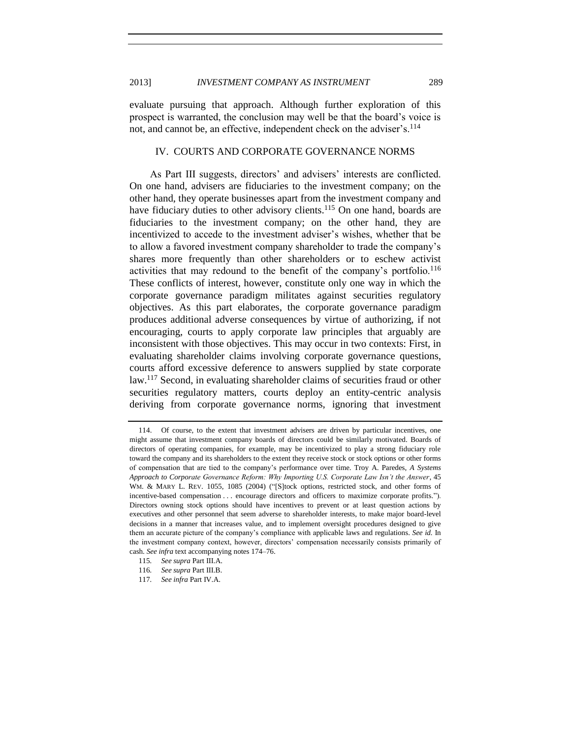evaluate pursuing that approach. Although further exploration of this prospect is warranted, the conclusion may well be that the board's voice is not, and cannot be, an effective, independent check on the adviser's.<sup>114</sup>

## <span id="page-26-0"></span>IV. COURTS AND CORPORATE GOVERNANCE NORMS

As Part III suggests, directors' and advisers' interests are conflicted. On one hand, advisers are fiduciaries to the investment company; on the other hand, they operate businesses apart from the investment company and have fiduciary duties to other advisory clients.<sup>115</sup> On one hand, boards are fiduciaries to the investment company; on the other hand, they are incentivized to accede to the investment adviser's wishes, whether that be to allow a favored investment company shareholder to trade the company's shares more frequently than other shareholders or to eschew activist activities that may redound to the benefit of the company's portfolio.<sup>116</sup> These conflicts of interest, however, constitute only one way in which the corporate governance paradigm militates against securities regulatory objectives. As this part elaborates, the corporate governance paradigm produces additional adverse consequences by virtue of authorizing, if not encouraging, courts to apply corporate law principles that arguably are inconsistent with those objectives. This may occur in two contexts: First, in evaluating shareholder claims involving corporate governance questions, courts afford excessive deference to answers supplied by state corporate law.<sup>117</sup> Second, in evaluating shareholder claims of securities fraud or other securities regulatory matters, courts deploy an entity-centric analysis deriving from corporate governance norms, ignoring that investment

<sup>114.</sup> Of course, to the extent that investment advisers are driven by particular incentives, one might assume that investment company boards of directors could be similarly motivated. Boards of directors of operating companies, for example, may be incentivized to play a strong fiduciary role toward the company and its shareholders to the extent they receive stock or stock options or other forms of compensation that are tied to the company's performance over time. Troy A. Paredes, *A Systems Approach to Corporate Governance Reform: Why Importing U.S. Corporate Law Isn't the Answer*, 45 WM. & MARY L. REV. 1055, 1085 (2004) ("[S]tock options, restricted stock, and other forms of incentive-based compensation . . . encourage directors and officers to maximize corporate profits."). Directors owning stock options should have incentives to prevent or at least question actions by executives and other personnel that seem adverse to shareholder interests, to make major board-level decisions in a manner that increases value, and to implement oversight procedures designed to give them an accurate picture of the company's compliance with applicable laws and regulations. *See id.* In the investment company context, however, directors' compensation necessarily consists primarily of cash. *See infra* text accompanying note[s 174](#page-35-0)[–76.](#page-36-1)

<sup>115</sup>*. See supra* Part III.A.

<sup>116</sup>*. See supra* Part III.B.

<sup>117</sup>*. See infra* Part IV.A.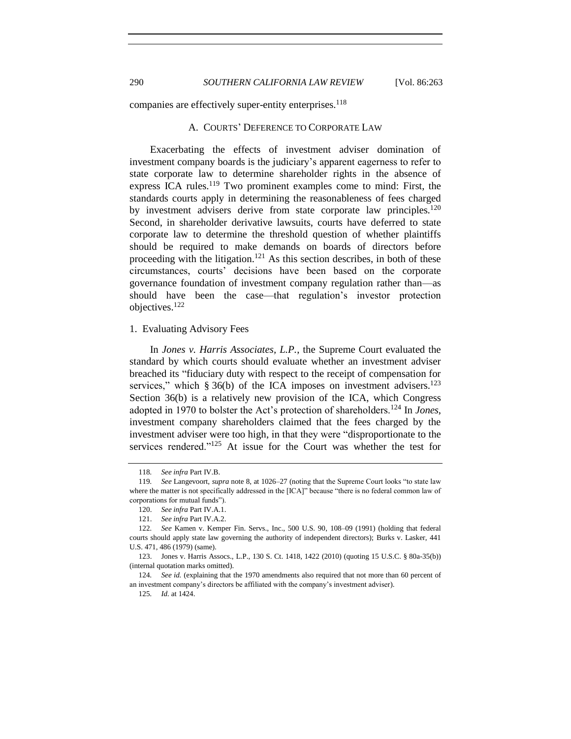<span id="page-27-0"></span>companies are effectively super-entity enterprises.<sup>118</sup>

#### A. COURTS' DEFERENCE TO CORPORATE LAW

Exacerbating the effects of investment adviser domination of investment company boards is the judiciary's apparent eagerness to refer to state corporate law to determine shareholder rights in the absence of express ICA rules.<sup>119</sup> Two prominent examples come to mind: First, the standards courts apply in determining the reasonableness of fees charged by investment advisers derive from state corporate law principles.<sup>120</sup> Second, in shareholder derivative lawsuits, courts have deferred to state corporate law to determine the threshold question of whether plaintiffs should be required to make demands on boards of directors before proceeding with the litigation.<sup>121</sup> As this section describes, in both of these circumstances, courts' decisions have been based on the corporate governance foundation of investment company regulation rather than—as should have been the case—that regulation's investor protection objectives.<sup>122</sup>

#### <span id="page-27-1"></span>1. Evaluating Advisory Fees

In *Jones v. Harris Associates, L.P.*, the Supreme Court evaluated the standard by which courts should evaluate whether an investment adviser breached its "fiduciary duty with respect to the receipt of compensation for services," which § 36(b) of the ICA imposes on investment advisers. $123$ Section 36(b) is a relatively new provision of the ICA, which Congress adopted in 1970 to bolster the Act's protection of shareholders.<sup>124</sup> In *Jones*, investment company shareholders claimed that the fees charged by the investment adviser were too high, in that they were "disproportionate to the services rendered."<sup>125</sup> At issue for the Court was whether the test for

125*. Id.* at 1424.

<sup>118</sup>*. See infra* Part IV.B.

<sup>119</sup>*. See* Langevoort, *supra* note [8,](#page-3-2) at 1026–27 (noting that the Supreme Court looks "to state law where the matter is not specifically addressed in the [ICA]" because "there is no federal common law of corporations for mutual funds").

<sup>120.</sup> *See infra* Part IV.A.1.

<sup>121.</sup> *See infra* Part IV.A.2.

<sup>122</sup>*. See* Kamen v. Kemper Fin. Servs., Inc., 500 U.S. 90, 108–09 (1991) (holding that federal courts should apply state law governing the authority of independent directors); Burks v. Lasker, 441 U.S. 471, 486 (1979) (same).

<sup>123.</sup> Jones v. Harris Assocs., L.P., 130 S. Ct. 1418, 1422 (2010) (quoting 15 U.S.C. § 80a-35(b)) (internal quotation marks omitted).

<sup>124</sup>*. See id.* (explaining that the 1970 amendments also required that not more than 60 percent of an investment company's directors be affiliated with the company's investment adviser).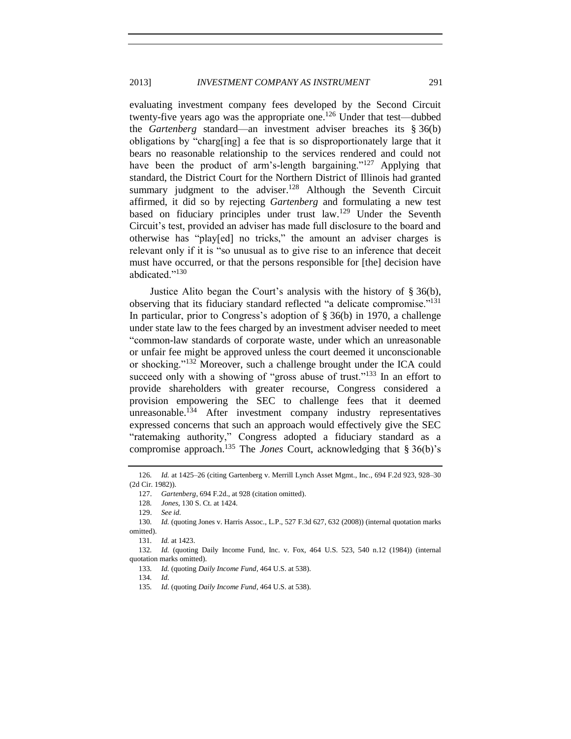evaluating investment company fees developed by the Second Circuit twenty-five years ago was the appropriate one.<sup>126</sup> Under that test—dubbed the *Gartenberg* standard—an investment adviser breaches its § 36(b) obligations by "charg[ing] a fee that is so disproportionately large that it bears no reasonable relationship to the services rendered and could not have been the product of arm's-length bargaining."<sup>127</sup> Applying that standard, the District Court for the Northern District of Illinois had granted summary judgment to the adviser.<sup>128</sup> Although the Seventh Circuit affirmed, it did so by rejecting *Gartenberg* and formulating a new test based on fiduciary principles under trust law.<sup>129</sup> Under the Seventh Circuit's test, provided an adviser has made full disclosure to the board and otherwise has "play[ed] no tricks," the amount an adviser charges is relevant only if it is "so unusual as to give rise to an inference that deceit must have occurred, or that the persons responsible for [the] decision have abdicated."<sup>130</sup>

Justice Alito began the Court's analysis with the history of § 36(b), observing that its fiduciary standard reflected "a delicate compromise."<sup>131</sup> In particular, prior to Congress's adoption of § 36(b) in 1970, a challenge under state law to the fees charged by an investment adviser needed to meet "common-law standards of corporate waste, under which an unreasonable or unfair fee might be approved unless the court deemed it unconscionable or shocking."<sup>132</sup> Moreover, such a challenge brought under the ICA could succeed only with a showing of "gross abuse of trust."<sup>133</sup> In an effort to provide shareholders with greater recourse, Congress considered a provision empowering the SEC to challenge fees that it deemed unreasonable.<sup>134</sup> After investment company industry representatives expressed concerns that such an approach would effectively give the SEC "ratemaking authority," Congress adopted a fiduciary standard as a compromise approach.<sup>135</sup> The *Jones* Court, acknowledging that § 36(b)'s

<sup>126</sup>*. Id.* at 1425–26 (citing Gartenberg v. Merrill Lynch Asset Mgmt., Inc., 694 F.2d 923, 928–30 (2d Cir. 1982)).

<sup>127.</sup> *Gartenberg*, 694 F.2d., at 928 (citation omitted).

<sup>128</sup>*. Jones*, 130 S. Ct. at 1424.

<sup>129.</sup> *See id.*

<sup>130</sup>*. Id.* (quoting Jones v. Harris Assoc., L.P., 527 F.3d 627, 632 (2008)) (internal quotation marks omitted).

<sup>131</sup>*. Id.* at 1423.

<sup>132</sup>*. Id.* (quoting Daily Income Fund, Inc. v. Fox, 464 U.S. 523, 540 n.12 (1984)) (internal quotation marks omitted).

<sup>133</sup>*. Id.* (quoting *Daily Income Fund*, 464 U.S. at 538).

<sup>134</sup>*. Id.*

<sup>135</sup>*. Id.* (quoting *Daily Income Fund*, 464 U.S. at 538).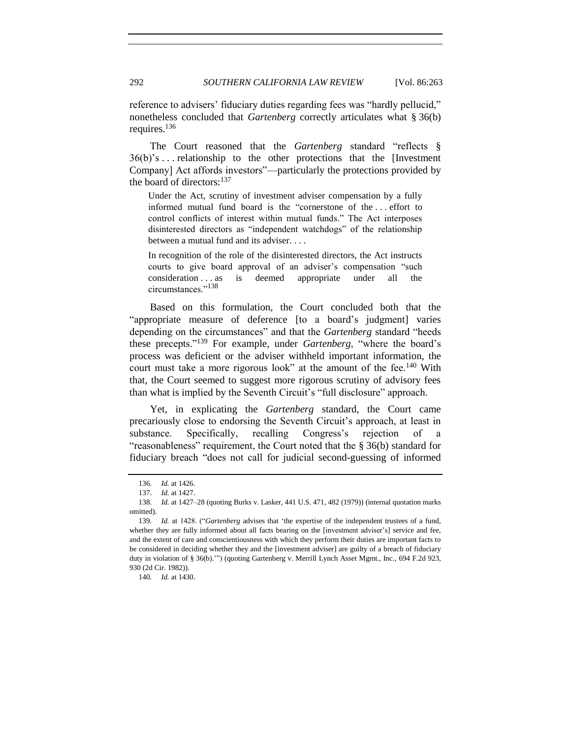reference to advisers' fiduciary duties regarding fees was "hardly pellucid," nonetheless concluded that *Gartenberg* correctly articulates what § 36(b) requires.<sup>136</sup>

The Court reasoned that the *Gartenberg* standard "reflects § 36(b)'s . . . relationship to the other protections that the [Investment Company] Act affords investors"—particularly the protections provided by the board of directors:<sup>137</sup>

Under the Act, scrutiny of investment adviser compensation by a fully informed mutual fund board is the "cornerstone of the . . . effort to control conflicts of interest within mutual funds." The Act interposes disinterested directors as "independent watchdogs" of the relationship between a mutual fund and its adviser. . . .

In recognition of the role of the disinterested directors, the Act instructs courts to give board approval of an adviser's compensation "such consideration . . . as is deemed appropriate under all the circumstances."<sup>138</sup>

Based on this formulation, the Court concluded both that the "appropriate measure of deference [to a board's judgment] varies depending on the circumstances" and that the *Gartenberg* standard "heeds these precepts."<sup>139</sup> For example, under *Gartenberg*, "where the board's process was deficient or the adviser withheld important information, the court must take a more rigorous look" at the amount of the fee.<sup>140</sup> With that, the Court seemed to suggest more rigorous scrutiny of advisory fees than what is implied by the Seventh Circuit's "full disclosure" approach.

Yet, in explicating the *Gartenberg* standard, the Court came precariously close to endorsing the Seventh Circuit's approach, at least in substance. Specifically, recalling Congress's rejection of "reasonableness" requirement, the Court noted that the § 36(b) standard for fiduciary breach "does not call for judicial second-guessing of informed

<sup>136</sup>*. Id.* at 1426.

<sup>137</sup>*. Id.* at 1427.

<sup>138</sup>*. Id.* at 1427–28 (quoting Burks v. Lasker, 441 U.S. 471, 482 (1979)) (internal quotation marks omitted).

<sup>139</sup>*. Id.* at 1428. ("*Gartenberg* advises that 'the expertise of the independent trustees of a fund, whether they are fully informed about all facts bearing on the [investment adviser's] service and fee, and the extent of care and conscientiousness with which they perform their duties are important facts to be considered in deciding whether they and the [investment adviser] are guilty of a breach of fiduciary duty in violation of § 36(b).'") (quoting Gartenberg v. Merrill Lynch Asset Mgmt., Inc., 694 F.2d 923, 930 (2d Cir. 1982)).

<sup>140</sup>*. Id.* at 1430.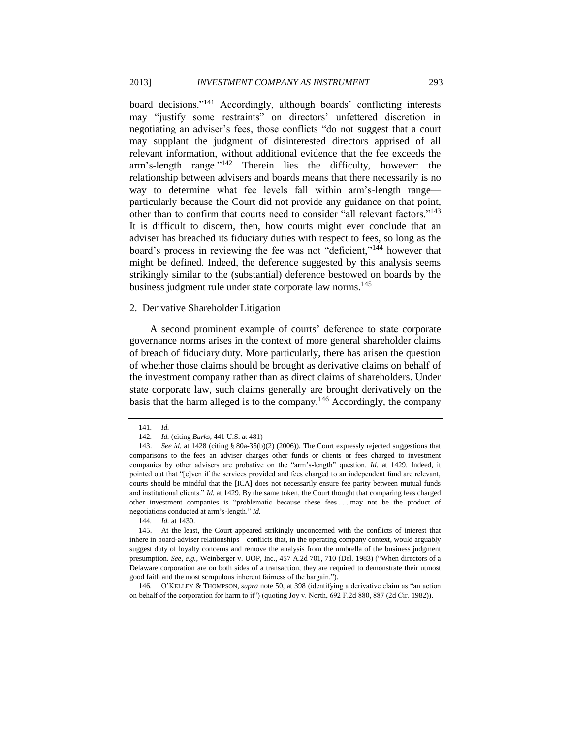## 2013] *INVESTMENT COMPANY AS INSTRUMENT* 293

board decisions."<sup>141</sup> Accordingly, although boards' conflicting interests may "justify some restraints" on directors' unfettered discretion in negotiating an adviser's fees, those conflicts "do not suggest that a court may supplant the judgment of disinterested directors apprised of all relevant information, without additional evidence that the fee exceeds the arm's-length range." $142$  Therein lies the difficulty, however: the relationship between advisers and boards means that there necessarily is no way to determine what fee levels fall within arm's-length range particularly because the Court did not provide any guidance on that point, other than to confirm that courts need to consider "all relevant factors."<sup>143</sup> It is difficult to discern, then, how courts might ever conclude that an adviser has breached its fiduciary duties with respect to fees, so long as the board's process in reviewing the fee was not "deficient,"<sup>144</sup> however that might be defined. Indeed, the deference suggested by this analysis seems strikingly similar to the (substantial) deference bestowed on boards by the business judgment rule under state corporate law norms.<sup>145</sup>

## <span id="page-30-0"></span>2. Derivative Shareholder Litigation

A second prominent example of courts' deference to state corporate governance norms arises in the context of more general shareholder claims of breach of fiduciary duty. More particularly, there has arisen the question of whether those claims should be brought as derivative claims on behalf of the investment company rather than as direct claims of shareholders. Under state corporate law, such claims generally are brought derivatively on the basis that the harm alleged is to the company.<sup>146</sup> Accordingly, the company

146*.* O'KELLEY & THOMPSON, *supra* not[e 50,](#page-12-0) at 398 (identifying a derivative claim as "an action on behalf of the corporation for harm to it") (quoting Joy v. North, 692 F.2d 880, 887 (2d Cir. 1982)).

<sup>141</sup>*. Id.*

<sup>142</sup>*. Id.* (citing *Burks*, 441 U.S. at 481)

<sup>143.</sup> *See id.* at 1428 (citing § 80a-35(b)(2) (2006)). The Court expressly rejected suggestions that comparisons to the fees an adviser charges other funds or clients or fees charged to investment companies by other advisers are probative on the "arm's-length" question. *Id.* at 1429. Indeed, it pointed out that "[e]ven if the services provided and fees charged to an independent fund are relevant, courts should be mindful that the [ICA] does not necessarily ensure fee parity between mutual funds and institutional clients." *Id.* at 1429. By the same token, the Court thought that comparing fees charged other investment companies is "problematic because these fees . . . may not be the product of negotiations conducted at arm's-length." *Id.*

<sup>144</sup>*. Id.* at 1430.

<sup>145.</sup> At the least, the Court appeared strikingly unconcerned with the conflicts of interest that inhere in board-adviser relationships—conflicts that, in the operating company context, would arguably suggest duty of loyalty concerns and remove the analysis from the umbrella of the business judgment presumption. *See, e.g.*, Weinberger v. UOP, Inc., 457 A.2d 701, 710 (Del. 1983) ("When directors of a Delaware corporation are on both sides of a transaction, they are required to demonstrate their utmost good faith and the most scrupulous inherent fairness of the bargain.").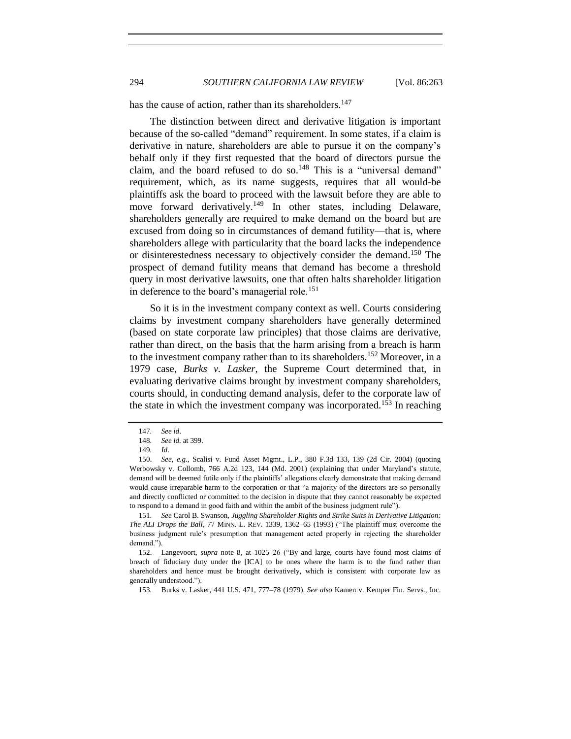has the cause of action, rather than its shareholders.<sup>147</sup>

The distinction between direct and derivative litigation is important because of the so-called "demand" requirement. In some states, if a claim is derivative in nature, shareholders are able to pursue it on the company's behalf only if they first requested that the board of directors pursue the claim, and the board refused to do so.<sup>148</sup> This is a "universal demand" requirement, which, as its name suggests, requires that all would-be plaintiffs ask the board to proceed with the lawsuit before they are able to move forward derivatively.<sup>149</sup> In other states, including Delaware, shareholders generally are required to make demand on the board but are excused from doing so in circumstances of demand futility—that is, where shareholders allege with particularity that the board lacks the independence or disinterestedness necessary to objectively consider the demand.<sup>150</sup> The prospect of demand futility means that demand has become a threshold query in most derivative lawsuits, one that often halts shareholder litigation in deference to the board's managerial role.<sup>151</sup>

So it is in the investment company context as well. Courts considering claims by investment company shareholders have generally determined (based on state corporate law principles) that those claims are derivative, rather than direct, on the basis that the harm arising from a breach is harm to the investment company rather than to its shareholders.<sup>152</sup> Moreover, in a 1979 case, *Burks v. Lasker*, the Supreme Court determined that, in evaluating derivative claims brought by investment company shareholders, courts should, in conducting demand analysis, defer to the corporate law of the state in which the investment company was incorporated.<sup>153</sup> In reaching

<sup>147</sup>*. See id*.

<sup>148</sup>*. See id.* at 399.

<sup>149</sup>*. Id*.

<sup>150.</sup> *See, e.g.*, Scalisi v. Fund Asset Mgmt., L.P., 380 F.3d 133, 139 (2d Cir. 2004) (quoting Werbowsky v. Collomb, 766 A.2d 123, 144 (Md. 2001) (explaining that under Maryland's statute, demand will be deemed futile only if the plaintiffs' allegations clearly demonstrate that making demand would cause irreparable harm to the corporation or that "a majority of the directors are so personally and directly conflicted or committed to the decision in dispute that they cannot reasonably be expected to respond to a demand in good faith and within the ambit of the business judgment rule").

<sup>151</sup>*. See* Carol B. Swanson, *Juggling Shareholder Rights and Strike Suits in Derivative Litigation: The ALI Drops the Ball*, 77 MINN. L. REV. 1339, 1362–65 (1993) ("The plaintiff must overcome the business judgment rule's presumption that management acted properly in rejecting the shareholder demand.").

<sup>152.</sup> Langevoort, *supra* note [8,](#page-3-2) at 1025–26 ("By and large, courts have found most claims of breach of fiduciary duty under the [ICA] to be ones where the harm is to the fund rather than shareholders and hence must be brought derivatively, which is consistent with corporate law as generally understood.").

<sup>153</sup>*.* Burks v. Lasker, 441 U.S. 471, 777–78 (1979). *See also* Kamen v. Kemper Fin. Servs., Inc.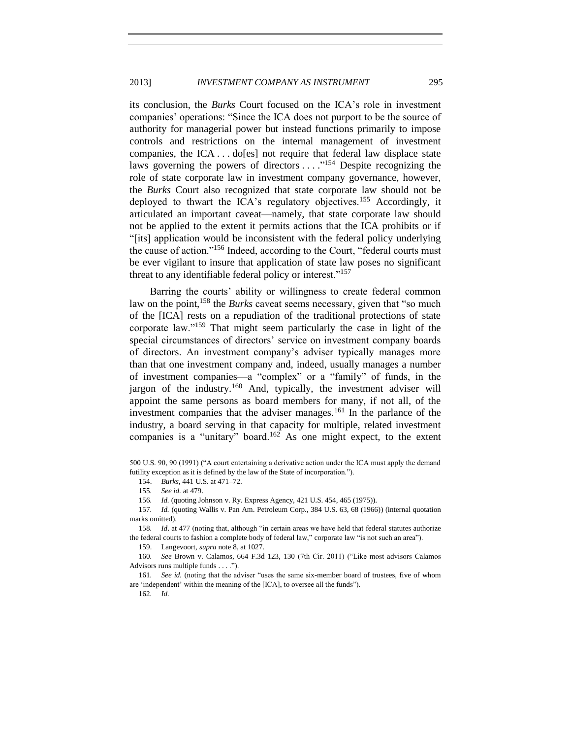its conclusion, the *Burks* Court focused on the ICA's role in investment companies' operations: "Since the ICA does not purport to be the source of authority for managerial power but instead functions primarily to impose controls and restrictions on the internal management of investment companies, the ICA . . . do[es] not require that federal law displace state laws governing the powers of directors  $\dots$ <sup>154</sup> Despite recognizing the role of state corporate law in investment company governance, however, the *Burks* Court also recognized that state corporate law should not be deployed to thwart the ICA's regulatory objectives.<sup>155</sup> Accordingly, it articulated an important caveat—namely, that state corporate law should not be applied to the extent it permits actions that the ICA prohibits or if "[its] application would be inconsistent with the federal policy underlying the cause of action."<sup>156</sup> Indeed, according to the Court, "federal courts must be ever vigilant to insure that application of state law poses no significant threat to any identifiable federal policy or interest."<sup>157</sup>

Barring the courts' ability or willingness to create federal common law on the point,<sup>158</sup> the *Burks* caveat seems necessary, given that "so much of the [ICA] rests on a repudiation of the traditional protections of state corporate law."<sup>159</sup> That might seem particularly the case in light of the special circumstances of directors' service on investment company boards of directors. An investment company's adviser typically manages more than that one investment company and, indeed, usually manages a number of investment companies—a "complex" or a "family" of funds, in the jargon of the industry.<sup>160</sup> And, typically, the investment adviser will appoint the same persons as board members for many, if not all, of the investment companies that the adviser manages.<sup>161</sup> In the parlance of the industry, a board serving in that capacity for multiple, related investment companies is a "unitary" board.<sup>162</sup> As one might expect, to the extent

159. Langevoort, *supra* note [8,](#page-3-2) at 1027.

<sup>500</sup> U.S. 90, 90 (1991) ("A court entertaining a derivative action under the ICA must apply the demand futility exception as it is defined by the law of the State of incorporation.").

<sup>154.</sup> *Burks*, 441 U.S. at 471–72.

<sup>155</sup>*. See id.* at 479.

<sup>156</sup>*. Id.* (quoting Johnson v. Ry. Express Agency, 421 U.S. 454, 465 (1975)).

<sup>157</sup>*. Id.* (quoting Wallis v. Pan Am. Petroleum Corp., 384 U.S. 63, 68 (1966)) (internal quotation marks omitted).

<sup>158</sup>*. Id*. at 477 (noting that, although "in certain areas we have held that federal statutes authorize the federal courts to fashion a complete body of federal law," corporate law "is not such an area").

<sup>160</sup>*. See* Brown v. Calamos, 664 F.3d 123, 130 (7th Cir. 2011) ("Like most advisors Calamos Advisors runs multiple funds . . . .").

<sup>161</sup>*. See id.* (noting that the adviser "uses the same six-member board of trustees, five of whom are 'independent' within the meaning of the [ICA], to oversee all the funds").

<sup>162</sup>*. Id.*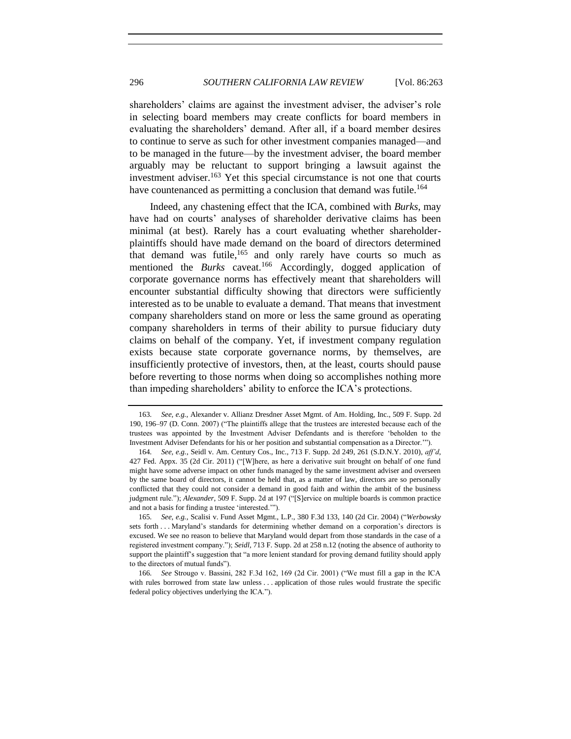shareholders' claims are against the investment adviser, the adviser's role in selecting board members may create conflicts for board members in evaluating the shareholders' demand. After all, if a board member desires to continue to serve as such for other investment companies managed—and to be managed in the future—by the investment adviser, the board member arguably may be reluctant to support bringing a lawsuit against the investment adviser.<sup>163</sup> Yet this special circumstance is not one that courts have countenanced as permitting a conclusion that demand was futile.<sup>164</sup>

Indeed, any chastening effect that the ICA, combined with *Burks*, may have had on courts' analyses of shareholder derivative claims has been minimal (at best). Rarely has a court evaluating whether shareholderplaintiffs should have made demand on the board of directors determined that demand was futile, $165$  and only rarely have courts so much as mentioned the *Burks* caveat.<sup>166</sup> Accordingly, dogged application of corporate governance norms has effectively meant that shareholders will encounter substantial difficulty showing that directors were sufficiently interested as to be unable to evaluate a demand. That means that investment company shareholders stand on more or less the same ground as operating company shareholders in terms of their ability to pursue fiduciary duty claims on behalf of the company. Yet, if investment company regulation exists because state corporate governance norms, by themselves, are insufficiently protective of investors, then, at the least, courts should pause before reverting to those norms when doing so accomplishes nothing more than impeding shareholders' ability to enforce the ICA's protections.

<sup>163</sup>*. See, e.g.*, Alexander v. Allianz Dresdner Asset Mgmt. of Am. Holding, Inc., 509 F. Supp. 2d 190, 196–97 (D. Conn. 2007) ("The plaintiffs allege that the trustees are interested because each of the trustees was appointed by the Investment Adviser Defendants and is therefore 'beholden to the Investment Adviser Defendants for his or her position and substantial compensation as a Director.'").

<sup>164</sup>*. See, e.g.*, Seidl v. Am. Century Cos., Inc., 713 F. Supp. 2d 249, 261 (S.D.N.Y. 2010), *aff'd*, 427 Fed. Appx. 35 (2d Cir. 2011) ("[W]here, as here a derivative suit brought on behalf of one fund might have some adverse impact on other funds managed by the same investment adviser and overseen by the same board of directors, it cannot be held that, as a matter of law, directors are so personally conflicted that they could not consider a demand in good faith and within the ambit of the business judgment rule."); *Alexander*, 509 F. Supp. 2d at 197 ("[S]ervice on multiple boards is common practice and not a basis for finding a trustee 'interested.'").

<sup>165</sup>*. See, e.g.*, Scalisi v. Fund Asset Mgmt., L.P., 380 F.3d 133, 140 (2d Cir. 2004) ("*Werbowsky* sets forth . . . Maryland's standards for determining whether demand on a corporation's directors is excused. We see no reason to believe that Maryland would depart from those standards in the case of a registered investment company."); *Seidl*, 713 F. Supp. 2d at 258 n.12 (noting the absence of authority to support the plaintiff's suggestion that "a more lenient standard for proving demand futility should apply to the directors of mutual funds").

<sup>166</sup>*. See* Strougo v. Bassini, 282 F.3d 162, 169 (2d Cir. 2001) ("We must fill a gap in the ICA with rules borrowed from state law unless . . . application of those rules would frustrate the specific federal policy objectives underlying the ICA.").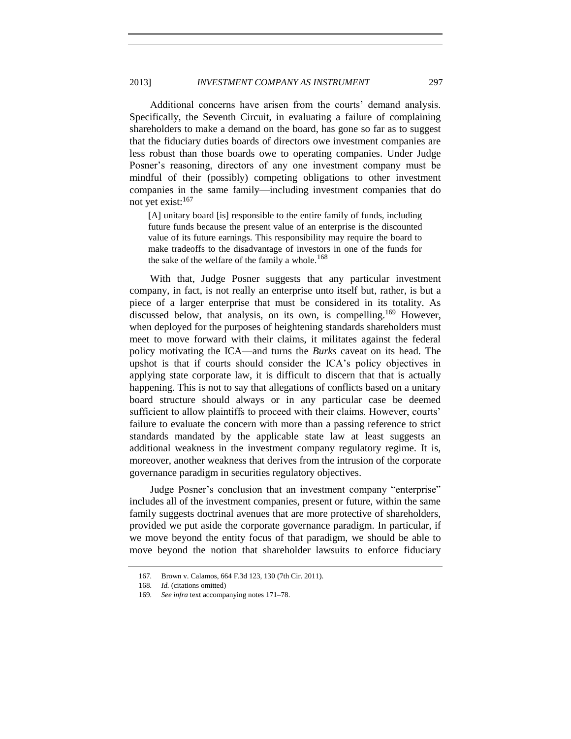Additional concerns have arisen from the courts' demand analysis. Specifically, the Seventh Circuit, in evaluating a failure of complaining shareholders to make a demand on the board, has gone so far as to suggest that the fiduciary duties boards of directors owe investment companies are less robust than those boards owe to operating companies. Under Judge Posner's reasoning, directors of any one investment company must be mindful of their (possibly) competing obligations to other investment companies in the same family—including investment companies that do not yet exist:<sup>167</sup>

[A] unitary board [is] responsible to the entire family of funds, including future funds because the present value of an enterprise is the discounted value of its future earnings. This responsibility may require the board to make tradeoffs to the disadvantage of investors in one of the funds for the sake of the welfare of the family a whole.<sup>168</sup>

With that, Judge Posner suggests that any particular investment company, in fact, is not really an enterprise unto itself but, rather, is but a piece of a larger enterprise that must be considered in its totality. As discussed below, that analysis, on its own, is compelling.<sup>169</sup> However, when deployed for the purposes of heightening standards shareholders must meet to move forward with their claims, it militates against the federal policy motivating the ICA—and turns the *Burks* caveat on its head. The upshot is that if courts should consider the ICA's policy objectives in applying state corporate law, it is difficult to discern that that is actually happening. This is not to say that allegations of conflicts based on a unitary board structure should always or in any particular case be deemed sufficient to allow plaintiffs to proceed with their claims. However, courts' failure to evaluate the concern with more than a passing reference to strict standards mandated by the applicable state law at least suggests an additional weakness in the investment company regulatory regime. It is, moreover, another weakness that derives from the intrusion of the corporate governance paradigm in securities regulatory objectives.

Judge Posner's conclusion that an investment company "enterprise" includes all of the investment companies, present or future, within the same family suggests doctrinal avenues that are more protective of shareholders, provided we put aside the corporate governance paradigm. In particular, if we move beyond the entity focus of that paradigm, we should be able to move beyond the notion that shareholder lawsuits to enforce fiduciary

<sup>167</sup>*.* Brown v. Calamos, 664 F.3d 123, 130 (7th Cir. 2011).

<sup>168</sup>*. Id.* (citations omitted)

<sup>169</sup>*. See infra* text accompanying notes [171](#page-35-1)[–78.](#page-36-2)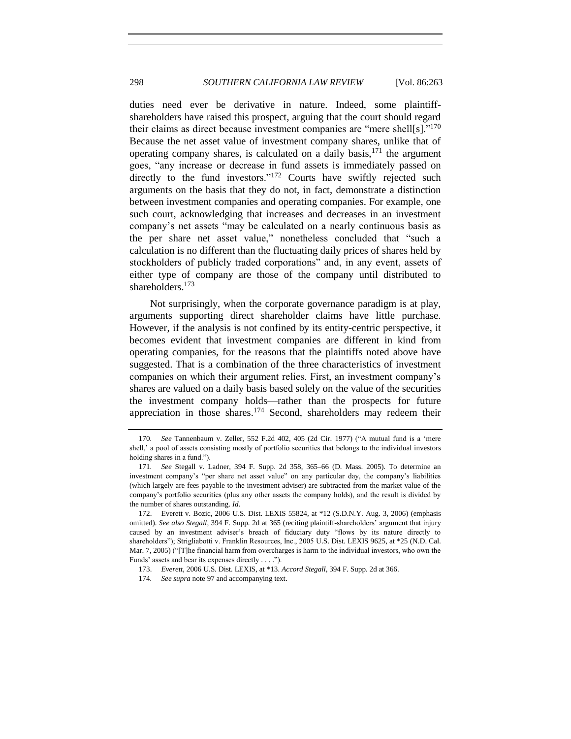<span id="page-35-1"></span>duties need ever be derivative in nature. Indeed, some plaintiffshareholders have raised this prospect, arguing that the court should regard their claims as direct because investment companies are "mere shell[s]. $170$ Because the net asset value of investment company shares, unlike that of operating company shares, is calculated on a daily basis,  $171$  the argument goes, "any increase or decrease in fund assets is immediately passed on directly to the fund investors."<sup>172</sup> Courts have swiftly rejected such arguments on the basis that they do not, in fact, demonstrate a distinction between investment companies and operating companies. For example, one such court, acknowledging that increases and decreases in an investment company's net assets "may be calculated on a nearly continuous basis as the per share net asset value," nonetheless concluded that "such a calculation is no different than the fluctuating daily prices of shares held by stockholders of publicly traded corporations" and, in any event, assets of either type of company are those of the company until distributed to shareholders.<sup>173</sup>

Not surprisingly, when the corporate governance paradigm is at play, arguments supporting direct shareholder claims have little purchase. However, if the analysis is not confined by its entity-centric perspective, it becomes evident that investment companies are different in kind from operating companies, for the reasons that the plaintiffs noted above have suggested. That is a combination of the three characteristics of investment companies on which their argument relies. First, an investment company's shares are valued on a daily basis based solely on the value of the securities the investment company holds—rather than the prospects for future appreciation in those shares.<sup>174</sup> Second, shareholders may redeem their

<span id="page-35-0"></span><sup>170</sup>*. See* Tannenbaum v. Zeller, 552 F.2d 402, 405 (2d Cir. 1977) ("A mutual fund is a 'mere shell,' a pool of assets consisting mostly of portfolio securities that belongs to the individual investors holding shares in a fund.").

<sup>171</sup>*. See* Stegall v. Ladner, 394 F. Supp. 2d 358, 365–66 (D. Mass. 2005). To determine an investment company's "per share net asset value" on any particular day, the company's liabilities (which largely are fees payable to the investment adviser) are subtracted from the market value of the company's portfolio securities (plus any other assets the company holds), and the result is divided by the number of shares outstanding. *Id.*

<sup>172.</sup> Everett v. Bozic, 2006 U.S. Dist. LEXIS 55824, at \*12 (S.D.N.Y. Aug. 3, 2006) (emphasis omitted). *See also Stegall*, 394 F. Supp. 2d at 365 (reciting plaintiff-shareholders' argument that injury caused by an investment adviser's breach of fiduciary duty "flows by its nature directly to shareholders"); Strigliabotti v. Franklin Resources, Inc., 2005 U.S. Dist. LEXIS 9625, at \*25 (N.D. Cal. Mar. 7, 2005) ("[T]he financial harm from overcharges is harm to the individual investors, who own the Funds' assets and bear its expenses directly . . . .").

<sup>173.</sup> *Everett*, 2006 U.S. Dist. LEXIS, at \*13. *Accord Stegall*, 394 F. Supp. 2d at 366.

<sup>174</sup>*. See supra* not[e 97](#page-22-2) and accompanying text.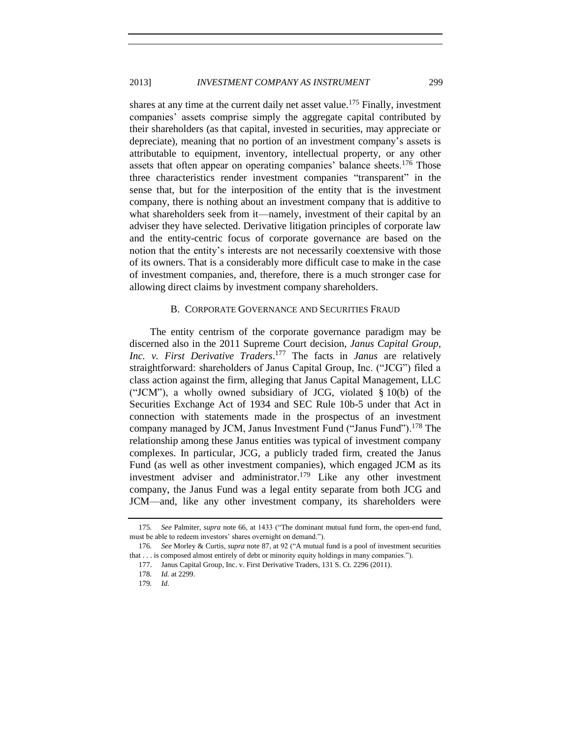## 2013] *INVESTMENT COMPANY AS INSTRUMENT* 299

shares at any time at the current daily net asset value.<sup>175</sup> Finally, investment companies' assets comprise simply the aggregate capital contributed by their shareholders (as that capital, invested in securities, may appreciate or depreciate), meaning that no portion of an investment company's assets is attributable to equipment, inventory, intellectual property, or any other assets that often appear on operating companies' balance sheets.<sup>176</sup> Those three characteristics render investment companies "transparent" in the sense that, but for the interposition of the entity that is the investment company, there is nothing about an investment company that is additive to what shareholders seek from it—namely, investment of their capital by an adviser they have selected. Derivative litigation principles of corporate law and the entity-centric focus of corporate governance are based on the notion that the entity's interests are not necessarily coextensive with those of its owners. That is a considerably more difficult case to make in the case of investment companies, and, therefore, there is a much stronger case for allowing direct claims by investment company shareholders.

## <span id="page-36-2"></span>B. CORPORATE GOVERNANCE AND SECURITIES FRAUD

<span id="page-36-0"></span>The entity centrism of the corporate governance paradigm may be discerned also in the 2011 Supreme Court decision, *Janus Capital Group, Inc. v. First Derivative Traders*. <sup>177</sup> The facts in *Janus* are relatively straightforward: shareholders of Janus Capital Group, Inc. ("JCG") filed a class action against the firm, alleging that Janus Capital Management, LLC ("JCM"), a wholly owned subsidiary of JCG, violated  $\S 10(b)$  of the Securities Exchange Act of 1934 and SEC Rule 10b-5 under that Act in connection with statements made in the prospectus of an investment company managed by JCM, Janus Investment Fund ("Janus Fund").<sup>178</sup> The relationship among these Janus entities was typical of investment company complexes. In particular, JCG, a publicly traded firm, created the Janus Fund (as well as other investment companies), which engaged JCM as its investment adviser and administrator.<sup>179</sup> Like any other investment company, the Janus Fund was a legal entity separate from both JCG and JCM—and, like any other investment company, its shareholders were

<span id="page-36-1"></span>

<sup>175</sup>*. See* Palmiter, *supra* not[e 66,](#page-15-2) at 1433 ("The dominant mutual fund form, the open-end fund, must be able to redeem investors' shares overnight on demand.").

<sup>176</sup>*. See* Morley & Curtis, *supra* note [87,](#page-20-1) at 92 ("A mutual fund is a pool of investment securities that . . . is composed almost entirely of debt or minority equity holdings in many companies.").

<sup>177.</sup> Janus Capital Group, Inc. v. First Derivative Traders, 131 S. Ct. 2296 (2011).

<sup>178</sup>*. Id.* at 2299.

<sup>179</sup>*. Id.*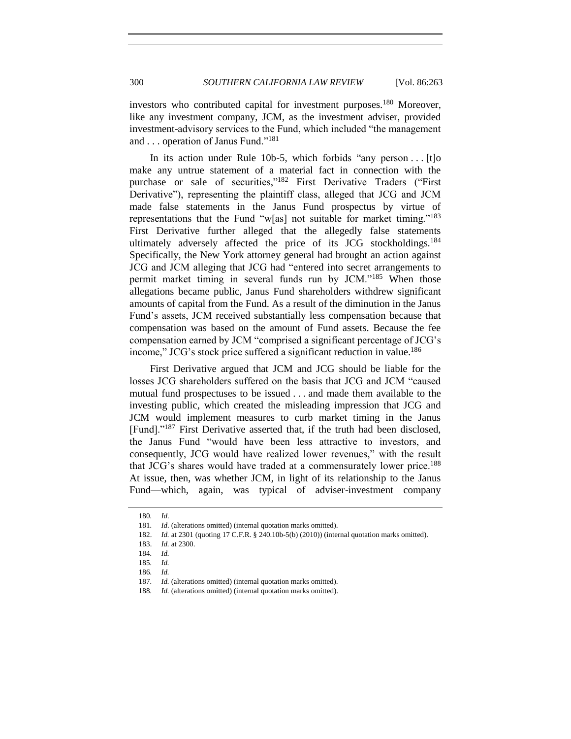investors who contributed capital for investment purposes.<sup>180</sup> Moreover, like any investment company, JCM, as the investment adviser, provided investment-advisory services to the Fund, which included "the management and . . . operation of Janus Fund."<sup>181</sup>

In its action under Rule 10b-5, which forbids "any person . . . [t]o make any untrue statement of a material fact in connection with the purchase or sale of securities,"<sup>182</sup> First Derivative Traders ("First Derivative"), representing the plaintiff class, alleged that JCG and JCM made false statements in the Janus Fund prospectus by virtue of representations that the Fund "w[as] not suitable for market timing."<sup>183</sup> First Derivative further alleged that the allegedly false statements ultimately adversely affected the price of its JCG stockholdings.<sup>184</sup> Specifically, the New York attorney general had brought an action against JCG and JCM alleging that JCG had "entered into secret arrangements to permit market timing in several funds run by JCM."<sup>185</sup> When those allegations became public, Janus Fund shareholders withdrew significant amounts of capital from the Fund. As a result of the diminution in the Janus Fund's assets, JCM received substantially less compensation because that compensation was based on the amount of Fund assets. Because the fee compensation earned by JCM "comprised a significant percentage of JCG's income," JCG's stock price suffered a significant reduction in value.<sup>186</sup>

First Derivative argued that JCM and JCG should be liable for the losses JCG shareholders suffered on the basis that JCG and JCM "caused mutual fund prospectuses to be issued . . . and made them available to the investing public, which created the misleading impression that JCG and JCM would implement measures to curb market timing in the Janus [Fund]."<sup>187</sup> First Derivative asserted that, if the truth had been disclosed, the Janus Fund "would have been less attractive to investors, and consequently, JCG would have realized lower revenues," with the result that JCG's shares would have traded at a commensurately lower price.<sup>188</sup> At issue, then, was whether JCM, in light of its relationship to the Janus Fund—which, again, was typical of adviser-investment company

<sup>180</sup>*. Id.*

<sup>181</sup>*. Id.* (alterations omitted) (internal quotation marks omitted).

<sup>182.</sup> *Id.* at 2301 (quoting 17 C.F.R. § 240.10b-5(b) (2010)) (internal quotation marks omitted).

<sup>183.</sup> *Id.* at 2300.

<sup>184</sup>*. Id.*

<sup>185</sup>*. Id.* 

<sup>186</sup>*. Id.*

<sup>187</sup>*. Id.* (alterations omitted) (internal quotation marks omitted).

<sup>188</sup>*. Id.* (alterations omitted) (internal quotation marks omitted).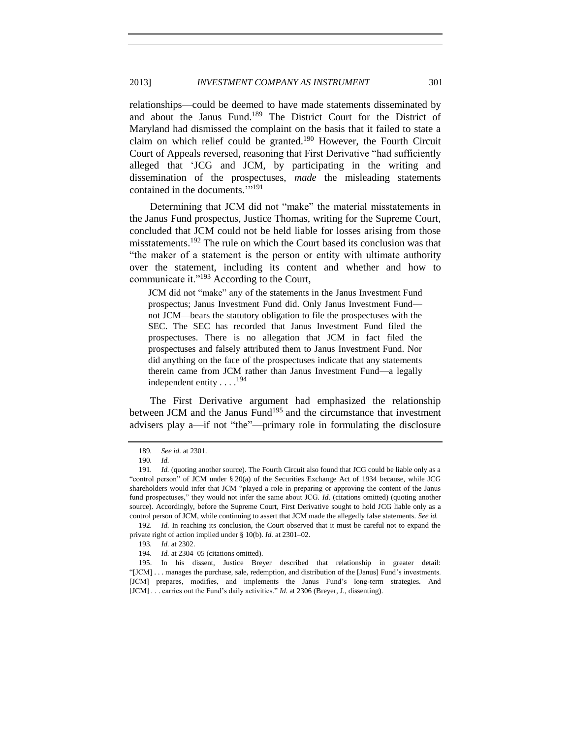relationships—could be deemed to have made statements disseminated by and about the Janus Fund.<sup>189</sup> The District Court for the District of Maryland had dismissed the complaint on the basis that it failed to state a claim on which relief could be granted.<sup>190</sup> However, the Fourth Circuit Court of Appeals reversed, reasoning that First Derivative "had sufficiently alleged that 'JCG and JCM, by participating in the writing and dissemination of the prospectuses, *made* the misleading statements contained in the documents."<sup>191</sup>

Determining that JCM did not "make" the material misstatements in the Janus Fund prospectus, Justice Thomas, writing for the Supreme Court, concluded that JCM could not be held liable for losses arising from those misstatements.<sup>192</sup> The rule on which the Court based its conclusion was that "the maker of a statement is the person or entity with ultimate authority over the statement, including its content and whether and how to communicate it."<sup>193</sup> According to the Court,

JCM did not "make" any of the statements in the Janus Investment Fund prospectus; Janus Investment Fund did. Only Janus Investment Fund not JCM—bears the statutory obligation to file the prospectuses with the SEC. The SEC has recorded that Janus Investment Fund filed the prospectuses. There is no allegation that JCM in fact filed the prospectuses and falsely attributed them to Janus Investment Fund. Nor did anything on the face of the prospectuses indicate that any statements therein came from JCM rather than Janus Investment Fund—a legally independent entity . . . .<sup>194</sup>

The First Derivative argument had emphasized the relationship between JCM and the Janus Fund<sup>195</sup> and the circumstance that investment advisers play a—if not "the"—primary role in formulating the disclosure

<sup>189</sup>*. See id.* at 2301.

<sup>190</sup>*. Id.*

<sup>191</sup>*. Id.* (quoting another source). The Fourth Circuit also found that JCG could be liable only as a "control person" of JCM under § 20(a) of the Securities Exchange Act of 1934 because, while JCG shareholders would infer that JCM "played a role in preparing or approving the content of the Janus fund prospectuses," they would not infer the same about JCG. *Id.* (citations omitted) (quoting another source). Accordingly, before the Supreme Court, First Derivative sought to hold JCG liable only as a control person of JCM, while continuing to assert that JCM made the allegedly false statements. *See id.*

<sup>192</sup>*. Id.* In reaching its conclusion, the Court observed that it must be careful not to expand the private right of action implied under § 10(b). *Id.* at 2301–02.

<sup>193</sup>*. Id.* at 2302.

<sup>194</sup>*. Id.* at 2304–05 (citations omitted).

<sup>195.</sup> In his dissent, Justice Breyer described that relationship in greater detail: "[JCM] . . . manages the purchase, sale, redemption, and distribution of the [Janus] Fund's investments. [JCM] prepares, modifies, and implements the Janus Fund's long-term strategies. And [JCM] . . . carries out the Fund's daily activities." *Id.* at 2306 (Breyer, J., dissenting).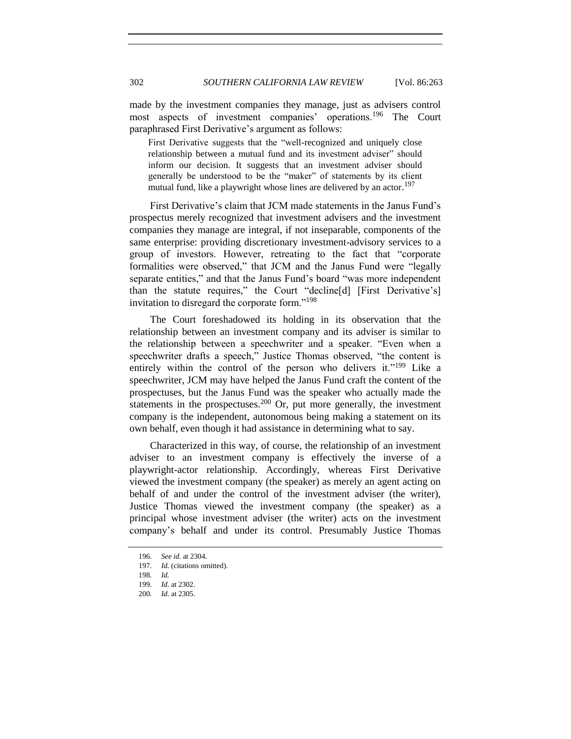made by the investment companies they manage, just as advisers control most aspects of investment companies' operations.<sup>196</sup> The Court paraphrased First Derivative's argument as follows:

First Derivative suggests that the "well-recognized and uniquely close relationship between a mutual fund and its investment adviser" should inform our decision. It suggests that an investment adviser should generally be understood to be the "maker" of statements by its client mutual fund, like a playwright whose lines are delivered by an actor.<sup>197</sup>

First Derivative's claim that JCM made statements in the Janus Fund's prospectus merely recognized that investment advisers and the investment companies they manage are integral, if not inseparable, components of the same enterprise: providing discretionary investment-advisory services to a group of investors. However, retreating to the fact that "corporate formalities were observed," that JCM and the Janus Fund were "legally separate entities," and that the Janus Fund's board "was more independent than the statute requires," the Court "decline[d] [First Derivative's] invitation to disregard the corporate form."<sup>198</sup>

The Court foreshadowed its holding in its observation that the relationship between an investment company and its adviser is similar to the relationship between a speechwriter and a speaker. "Even when a speechwriter drafts a speech," Justice Thomas observed, "the content is entirely within the control of the person who delivers it."<sup>199</sup> Like a speechwriter, JCM may have helped the Janus Fund craft the content of the prospectuses, but the Janus Fund was the speaker who actually made the statements in the prospectuses.<sup>200</sup> Or, put more generally, the investment company is the independent, autonomous being making a statement on its own behalf, even though it had assistance in determining what to say.

Characterized in this way, of course, the relationship of an investment adviser to an investment company is effectively the inverse of a playwright-actor relationship. Accordingly, whereas First Derivative viewed the investment company (the speaker) as merely an agent acting on behalf of and under the control of the investment adviser (the writer), Justice Thomas viewed the investment company (the speaker) as a principal whose investment adviser (the writer) acts on the investment company's behalf and under its control. Presumably Justice Thomas

<sup>196</sup>*. See id.* at 2304.

<sup>197</sup>*. Id.* (citations omitted).

<sup>198</sup>*. Id.*

<sup>199</sup>*. Id.* at 2302.

<sup>200</sup>*. Id.* at 2305.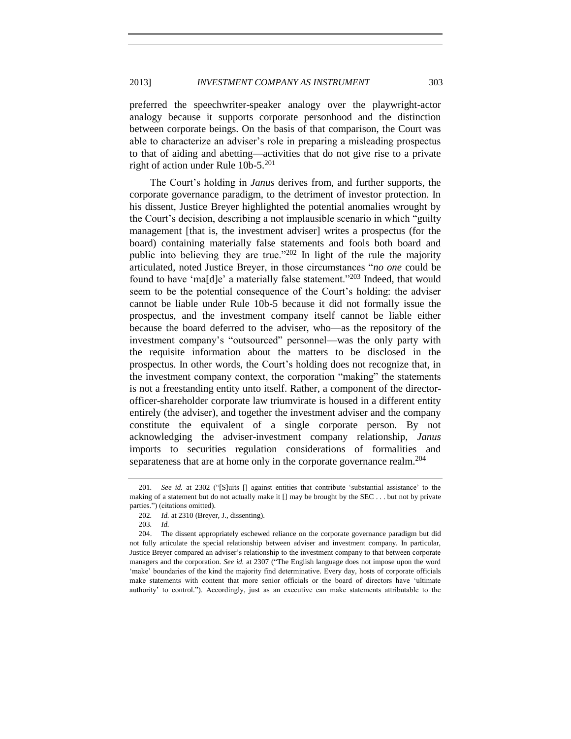preferred the speechwriter-speaker analogy over the playwright-actor analogy because it supports corporate personhood and the distinction between corporate beings. On the basis of that comparison, the Court was able to characterize an adviser's role in preparing a misleading prospectus to that of aiding and abetting—activities that do not give rise to a private right of action under Rule  $10b-5$ <sup>201</sup>

The Court's holding in *Janus* derives from, and further supports, the corporate governance paradigm, to the detriment of investor protection. In his dissent, Justice Breyer highlighted the potential anomalies wrought by the Court's decision, describing a not implausible scenario in which "guilty management [that is, the investment adviser] writes a prospectus (for the board) containing materially false statements and fools both board and public into believing they are true."<sup>202</sup> In light of the rule the majority articulated, noted Justice Breyer, in those circumstances "*no one* could be found to have 'ma[d]e' a materially false statement."<sup>203</sup> Indeed, that would seem to be the potential consequence of the Court's holding: the adviser cannot be liable under Rule 10b-5 because it did not formally issue the prospectus, and the investment company itself cannot be liable either because the board deferred to the adviser, who—as the repository of the investment company's "outsourced" personnel—was the only party with the requisite information about the matters to be disclosed in the prospectus. In other words, the Court's holding does not recognize that, in the investment company context, the corporation "making" the statements is not a freestanding entity unto itself. Rather, a component of the directorofficer-shareholder corporate law triumvirate is housed in a different entity entirely (the adviser), and together the investment adviser and the company constitute the equivalent of a single corporate person. By not acknowledging the adviser-investment company relationship, *Janus*  imports to securities regulation considerations of formalities and separateness that are at home only in the corporate governance realm.<sup>204</sup>

<sup>201</sup>*. See id.* at 2302 ("[S]uits [] against entities that contribute 'substantial assistance' to the making of a statement but do not actually make it [] may be brought by the SEC . . . but not by private parties.") (citations omitted).

<sup>202</sup>*. Id.* at 2310 (Breyer, J., dissenting).

<sup>203</sup>*. Id.*

<sup>204.</sup> The dissent appropriately eschewed reliance on the corporate governance paradigm but did not fully articulate the special relationship between adviser and investment company. In particular, Justice Breyer compared an adviser's relationship to the investment company to that between corporate managers and the corporation. *See id.* at 2307 ("The English language does not impose upon the word 'make' boundaries of the kind the majority find determinative. Every day, hosts of corporate officials make statements with content that more senior officials or the board of directors have 'ultimate authority' to control."). Accordingly, just as an executive can make statements attributable to the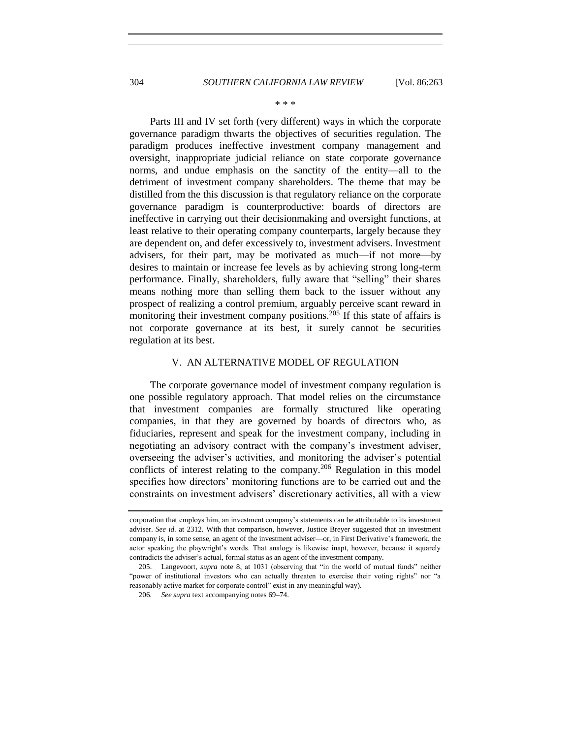\* \* \*

Parts III and IV set forth (very different) ways in which the corporate governance paradigm thwarts the objectives of securities regulation. The paradigm produces ineffective investment company management and oversight, inappropriate judicial reliance on state corporate governance norms, and undue emphasis on the sanctity of the entity—all to the detriment of investment company shareholders. The theme that may be distilled from the this discussion is that regulatory reliance on the corporate governance paradigm is counterproductive: boards of directors are ineffective in carrying out their decisionmaking and oversight functions, at least relative to their operating company counterparts, largely because they are dependent on, and defer excessively to, investment advisers. Investment advisers, for their part, may be motivated as much—if not more—by desires to maintain or increase fee levels as by achieving strong long-term performance. Finally, shareholders, fully aware that "selling" their shares means nothing more than selling them back to the issuer without any prospect of realizing a control premium, arguably perceive scant reward in monitoring their investment company positions.<sup>205</sup> If this state of affairs is not corporate governance at its best, it surely cannot be securities regulation at its best.

#### V. AN ALTERNATIVE MODEL OF REGULATION

<span id="page-41-0"></span>The corporate governance model of investment company regulation is one possible regulatory approach. That model relies on the circumstance that investment companies are formally structured like operating companies, in that they are governed by boards of directors who, as fiduciaries, represent and speak for the investment company, including in negotiating an advisory contract with the company's investment adviser, overseeing the adviser's activities, and monitoring the adviser's potential conflicts of interest relating to the company.<sup>206</sup> Regulation in this model specifies how directors' monitoring functions are to be carried out and the constraints on investment advisers' discretionary activities, all with a view

corporation that employs him, an investment company's statements can be attributable to its investment adviser. *See id.* at 2312. With that comparison, however, Justice Breyer suggested that an investment company is, in some sense, an agent of the investment adviser—or, in First Derivative's framework, the actor speaking the playwright's words. That analogy is likewise inapt, however, because it squarely contradicts the adviser's actual, formal status as an agent of the investment company.

<sup>205.</sup> Langevoort, *supra* note [8,](#page-3-2) at 1031 (observing that "in the world of mutual funds" neither "power of institutional investors who can actually threaten to exercise their voting rights" nor "a reasonably active market for corporate control" exist in any meaningful way).

<sup>206</sup>*. See supra* text accompanying notes [69–](#page-16-3)[74.](#page-17-1)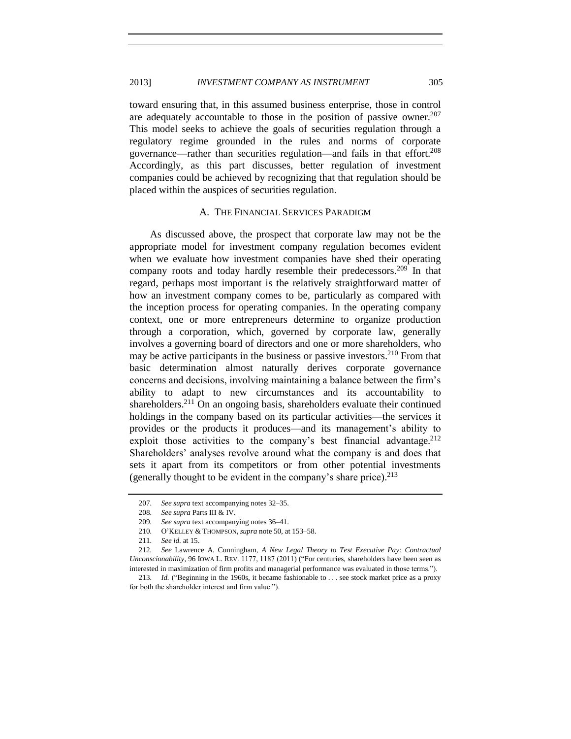## 2013] *INVESTMENT COMPANY AS INSTRUMENT* 305

toward ensuring that, in this assumed business enterprise, those in control are adequately accountable to those in the position of passive owner.<sup>207</sup> This model seeks to achieve the goals of securities regulation through a regulatory regime grounded in the rules and norms of corporate governance—rather than securities regulation—and fails in that effort.<sup>208</sup> Accordingly, as this part discusses, better regulation of investment companies could be achieved by recognizing that that regulation should be placed within the auspices of securities regulation.

#### A. THE FINANCIAL SERVICES PARADIGM

<span id="page-42-0"></span>As discussed above, the prospect that corporate law may not be the appropriate model for investment company regulation becomes evident when we evaluate how investment companies have shed their operating company roots and today hardly resemble their predecessors.<sup>209</sup> In that regard, perhaps most important is the relatively straightforward matter of how an investment company comes to be, particularly as compared with the inception process for operating companies. In the operating company context, one or more entrepreneurs determine to organize production through a corporation, which, governed by corporate law, generally involves a governing board of directors and one or more shareholders, who may be active participants in the business or passive investors.<sup>210</sup> From that basic determination almost naturally derives corporate governance concerns and decisions, involving maintaining a balance between the firm's ability to adapt to new circumstances and its accountability to shareholders.<sup>211</sup> On an ongoing basis, shareholders evaluate their continued holdings in the company based on its particular activities—the services it provides or the products it produces—and its management's ability to exploit those activities to the company's best financial advantage.  $2^{12}$ Shareholders' analyses revolve around what the company is and does that sets it apart from its competitors or from other potential investments (generally thought to be evident in the company's share price). 213

<sup>207</sup>*. See supra* text accompanying notes [32–](#page-9-0)[35.](#page-9-1)

<sup>208</sup>*. See supra* Parts III & IV.

<sup>209</sup>*. See supra* text accompanying notes [36–](#page-10-2)[41.](#page-10-3)

<sup>210</sup>*.* O'KELLEY & THOMPSON, *supra* not[e 50,](#page-12-0) at 153–58.

<sup>211</sup>*. See id.* at 15.

<sup>212</sup>*. See* Lawrence A. Cunningham, *A New Legal Theory to Test Executive Pay: Contractual Unconscionability*, 96 IOWA L. REV. 1177, 1187 (2011) ("For centuries, shareholders have been seen as interested in maximization of firm profits and managerial performance was evaluated in those terms.").

<sup>213</sup>*. Id.* ("Beginning in the 1960s, it became fashionable to . . . see stock market price as a proxy for both the shareholder interest and firm value.").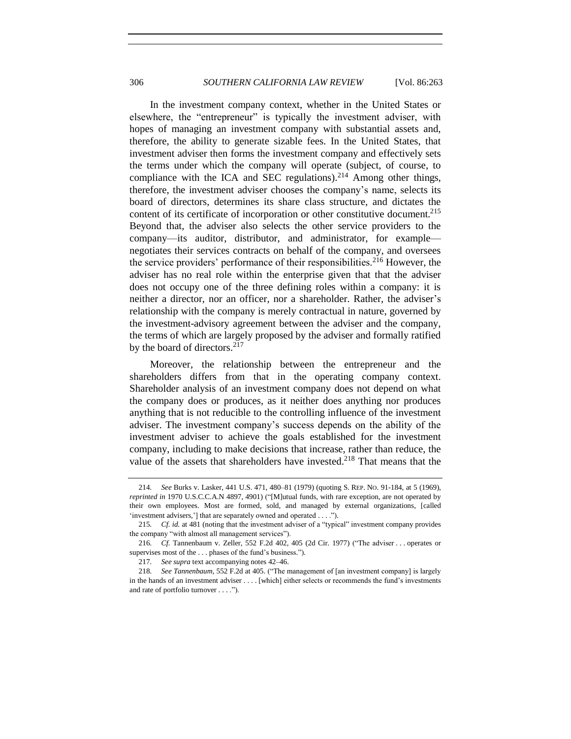In the investment company context, whether in the United States or elsewhere, the "entrepreneur" is typically the investment adviser, with hopes of managing an investment company with substantial assets and, therefore, the ability to generate sizable fees. In the United States, that investment adviser then forms the investment company and effectively sets the terms under which the company will operate (subject, of course, to compliance with the ICA and SEC regulations).<sup>214</sup> Among other things, therefore, the investment adviser chooses the company's name, selects its board of directors, determines its share class structure, and dictates the content of its certificate of incorporation or other constitutive document.<sup>215</sup> Beyond that, the adviser also selects the other service providers to the company—its auditor, distributor, and administrator, for example negotiates their services contracts on behalf of the company, and oversees the service providers' performance of their responsibilities.<sup>216</sup> However, the adviser has no real role within the enterprise given that that the adviser does not occupy one of the three defining roles within a company: it is neither a director, nor an officer, nor a shareholder. Rather, the adviser's relationship with the company is merely contractual in nature, governed by the investment-advisory agreement between the adviser and the company, the terms of which are largely proposed by the adviser and formally ratified by the board of directors. $2^{17}$ 

Moreover, the relationship between the entrepreneur and the shareholders differs from that in the operating company context. Shareholder analysis of an investment company does not depend on what the company does or produces, as it neither does anything nor produces anything that is not reducible to the controlling influence of the investment adviser. The investment company's success depends on the ability of the investment adviser to achieve the goals established for the investment company, including to make decisions that increase, rather than reduce, the value of the assets that shareholders have invested. <sup>218</sup> That means that the

<sup>214</sup>*. See* Burks v. Lasker, 441 U.S. 471, 480–81 (1979) (quoting S. REP. NO. 91-184, at 5 (1969), *reprinted in* 1970 U.S.C.C.A.N 4897, 4901) ("[M]utual funds, with rare exception, are not operated by their own employees. Most are formed, sold, and managed by external organizations, [called 'investment advisers,'] that are separately owned and operated . . . .").

<sup>215</sup>*. Cf. id.* at 481 (noting that the investment adviser of a "typical" investment company provides the company "with almost all management services").

<sup>216</sup>*. Cf.* Tannenbaum v. Zeller, 552 F.2d 402, 405 (2d Cir. 1977) ("The adviser . . . operates or supervises most of the . . . phases of the fund's business.")*.*

<sup>217</sup>*. See supra* text accompanying notes [42–](#page-11-1)[46.](#page-11-2)

<sup>218</sup>*. See Tannenbaum*, 552 F.2d at 405*.* ("The management of [an investment company] is largely in the hands of an investment adviser . . . . [which] either selects or recommends the fund's investments and rate of portfolio turnover . . . .").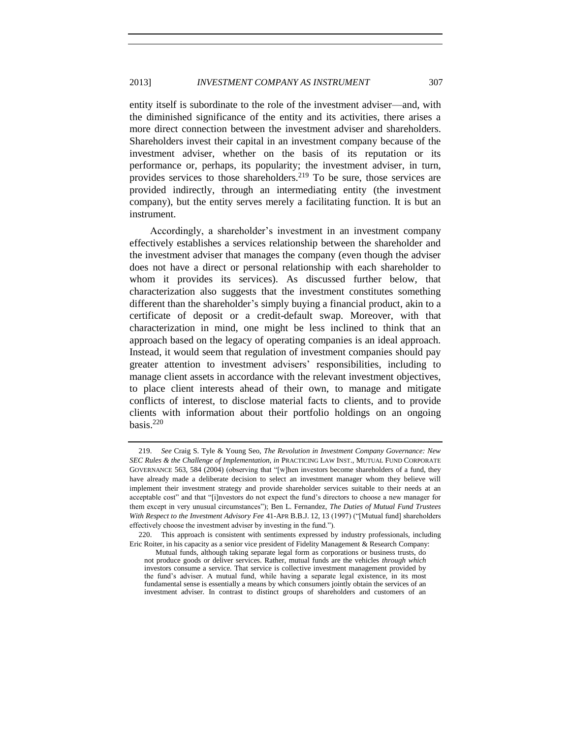entity itself is subordinate to the role of the investment adviser—and, with the diminished significance of the entity and its activities, there arises a more direct connection between the investment adviser and shareholders. Shareholders invest their capital in an investment company because of the investment adviser, whether on the basis of its reputation or its performance or, perhaps, its popularity; the investment adviser, in turn, provides services to those shareholders.<sup>219</sup> To be sure, those services are provided indirectly, through an intermediating entity (the investment company), but the entity serves merely a facilitating function. It is but an instrument.

<span id="page-44-0"></span>Accordingly, a shareholder's investment in an investment company effectively establishes a services relationship between the shareholder and the investment adviser that manages the company (even though the adviser does not have a direct or personal relationship with each shareholder to whom it provides its services). As discussed further below, that characterization also suggests that the investment constitutes something different than the shareholder's simply buying a financial product, akin to a certificate of deposit or a credit-default swap. Moreover, with that characterization in mind, one might be less inclined to think that an approach based on the legacy of operating companies is an ideal approach. Instead, it would seem that regulation of investment companies should pay greater attention to investment advisers' responsibilities, including to manage client assets in accordance with the relevant investment objectives, to place client interests ahead of their own, to manage and mitigate conflicts of interest, to disclose material facts to clients, and to provide clients with information about their portfolio holdings on an ongoing basis. 220

<sup>219.</sup> *See* Craig S. Tyle & Young Seo, *The Revolution in Investment Company Governance: New SEC Rules & the Challenge of Implementation, in* PRACTICING LAW INST., MUTUAL FUND CORPORATE GOVERNANCE 563, 584 (2004) (observing that "[w]hen investors become shareholders of a fund, they have already made a deliberate decision to select an investment manager whom they believe will implement their investment strategy and provide shareholder services suitable to their needs at an acceptable cost" and that "[i]nvestors do not expect the fund's directors to choose a new manager for them except in very unusual circumstances"); Ben L. Fernandez, *The Duties of Mutual Fund Trustees With Respect to the Investment Advisory Fee* 41-APR B.B.J. 12, 13 (1997) ("[Mutual fund] shareholders effectively choose the investment adviser by investing in the fund.").

<sup>220.</sup> This approach is consistent with sentiments expressed by industry professionals, including Eric Roiter, in his capacity as a senior vice president of Fidelity Management & Research Company:

Mutual funds, although taking separate legal form as corporations or business trusts, do not produce goods or deliver services. Rather, mutual funds are the vehicles *through which* investors consume a service. That service is collective investment management provided by the fund's adviser. A mutual fund, while having a separate legal existence, in its most fundamental sense is essentially a means by which consumers jointly obtain the services of an investment adviser. In contrast to distinct groups of shareholders and customers of an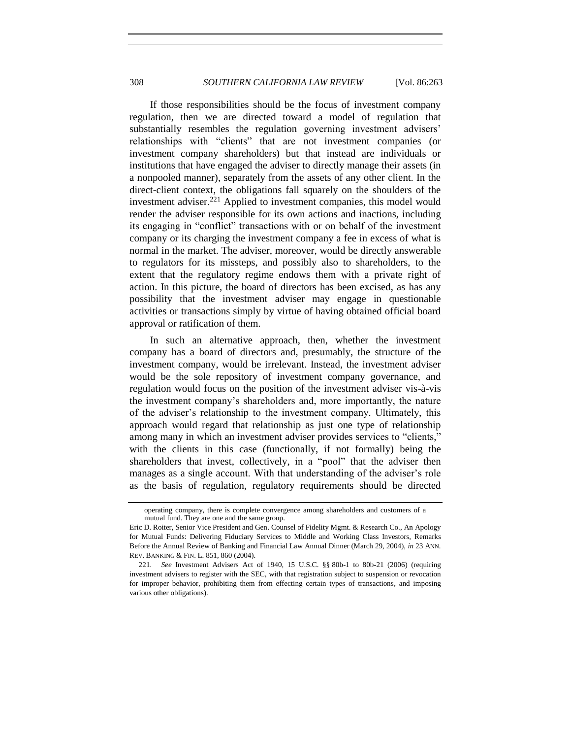If those responsibilities should be the focus of investment company regulation, then we are directed toward a model of regulation that substantially resembles the regulation governing investment advisers' relationships with "clients" that are not investment companies (or investment company shareholders) but that instead are individuals or institutions that have engaged the adviser to directly manage their assets (in a nonpooled manner), separately from the assets of any other client. In the direct-client context, the obligations fall squarely on the shoulders of the investment adviser.<sup>221</sup> Applied to investment companies, this model would render the adviser responsible for its own actions and inactions, including its engaging in "conflict" transactions with or on behalf of the investment company or its charging the investment company a fee in excess of what is normal in the market. The adviser, moreover, would be directly answerable to regulators for its missteps, and possibly also to shareholders, to the extent that the regulatory regime endows them with a private right of action. In this picture, the board of directors has been excised, as has any possibility that the investment adviser may engage in questionable activities or transactions simply by virtue of having obtained official board approval or ratification of them.

In such an alternative approach, then, whether the investment company has a board of directors and, presumably, the structure of the investment company, would be irrelevant. Instead, the investment adviser would be the sole repository of investment company governance, and regulation would focus on the position of the investment adviser vis-à-vis the investment company's shareholders and, more importantly, the nature of the adviser's relationship to the investment company. Ultimately, this approach would regard that relationship as just one type of relationship among many in which an investment adviser provides services to "clients," with the clients in this case (functionally, if not formally) being the shareholders that invest, collectively, in a "pool" that the adviser then manages as a single account. With that understanding of the adviser's role as the basis of regulation, regulatory requirements should be directed

operating company, there is complete convergence among shareholders and customers of a mutual fund. They are one and the same group.

Eric D. Roiter, Senior Vice President and Gen. Counsel of Fidelity Mgmt. & Research Co., An Apology for Mutual Funds: Delivering Fiduciary Services to Middle and Working Class Investors, Remarks Before the Annual Review of Banking and Financial Law Annual Dinner (March 29, 2004), *in* 23 ANN. REV. BANKING & FIN. L. 851, 860 (2004).

<sup>221</sup>*. See* Investment Advisers Act of 1940, 15 U.S.C. §§ 80b-1 to 80b-21 (2006) (requiring investment advisers to register with the SEC, with that registration subject to suspension or revocation for improper behavior, prohibiting them from effecting certain types of transactions, and imposing various other obligations).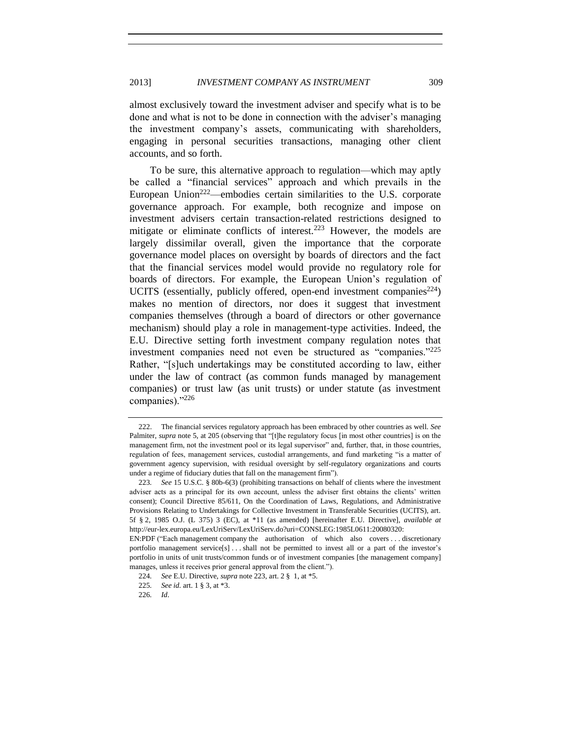almost exclusively toward the investment adviser and specify what is to be done and what is not to be done in connection with the adviser's managing the investment company's assets, communicating with shareholders, engaging in personal securities transactions, managing other client accounts, and so forth.

<span id="page-46-0"></span>To be sure, this alternative approach to regulation—which may aptly be called a "financial services" approach and which prevails in the European Union<sup>222</sup>—embodies certain similarities to the U.S. corporate governance approach. For example, both recognize and impose on investment advisers certain transaction-related restrictions designed to mitigate or eliminate conflicts of interest.<sup>223</sup> However, the models are largely dissimilar overall, given the importance that the corporate governance model places on oversight by boards of directors and the fact that the financial services model would provide no regulatory role for boards of directors. For example, the European Union's regulation of UCITS (essentially, publicly offered, open-end investment companies<sup>224</sup>) makes no mention of directors, nor does it suggest that investment companies themselves (through a board of directors or other governance mechanism) should play a role in management-type activities. Indeed, the E.U. Directive setting forth investment company regulation notes that investment companies need not even be structured as "companies."<sup>225</sup> Rather, "[s]uch undertakings may be constituted according to law, either under the law of contract (as common funds managed by management companies) or trust law (as unit trusts) or under statute (as investment companies)."<sup>226</sup>

<sup>222.</sup> The financial services regulatory approach has been embraced by other countries as well. *See*  Palmiter, *supra* note [5,](#page-3-3) at 205 (observing that "[t]he regulatory focus [in most other countries] is on the management firm, not the investment pool or its legal supervisor" and, further, that, in those countries, regulation of fees, management services, custodial arrangements, and fund marketing "is a matter of government agency supervision, with residual oversight by self-regulatory organizations and courts under a regime of fiduciary duties that fall on the management firm").

<sup>223</sup>*. See* 15 U.S.C. § 80b-6(3) (prohibiting transactions on behalf of clients where the investment adviser acts as a principal for its own account, unless the adviser first obtains the clients' written consent); Council Directive 85/611, On the Coordination of Laws, Regulations, and Administrative Provisions Relating to Undertakings for Collective Investment in Transferable Securities (UCITS), art. 5f § 2, 1985 O.J. (L 375) 3 (EC), at \*11 (as amended) [hereinafter E.U. Directive], *available at* http://eur-lex.europa.eu/LexUriServ/LexUriServ.do?uri=CONSLEG:1985L0611:20080320:

EN:PDF ("Each management company the authorisation of which also covers . . . discretionary portfolio management service[s] . . . shall not be permitted to invest all or a part of the investor's portfolio in units of unit trusts/common funds or of investment companies [the management company] manages, unless it receives prior general approval from the client.").

<sup>224</sup>*. See* E.U. Directive, *supra* not[e 223,](#page-46-0) art. 2 § 1, at \*5.

<sup>225</sup>*. See id.* art. 1 § 3, at \*3.

<sup>226</sup>*. Id*.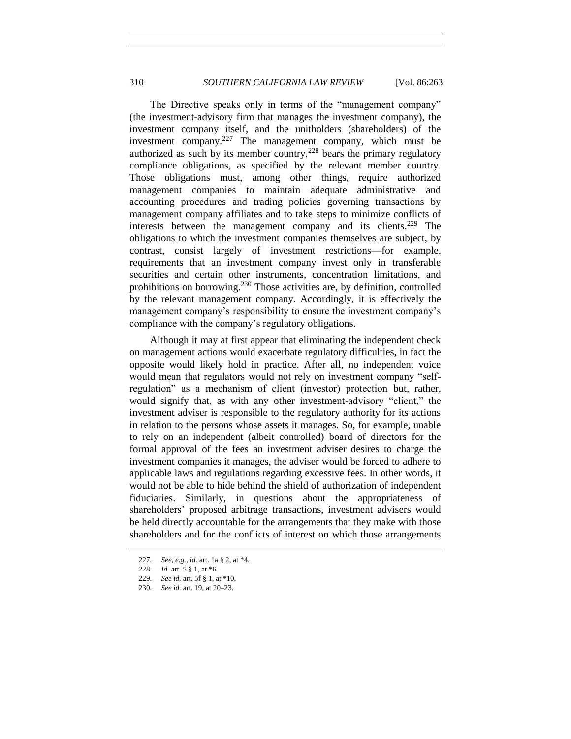The Directive speaks only in terms of the "management company" (the investment-advisory firm that manages the investment company), the investment company itself, and the unitholders (shareholders) of the investment company.<sup>227</sup> The management company, which must be authorized as such by its member country, $228$  bears the primary regulatory compliance obligations, as specified by the relevant member country. Those obligations must, among other things, require authorized management companies to maintain adequate administrative and accounting procedures and trading policies governing transactions by management company affiliates and to take steps to minimize conflicts of interests between the management company and its clients.<sup>229</sup> The obligations to which the investment companies themselves are subject, by contrast, consist largely of investment restrictions—for example, requirements that an investment company invest only in transferable securities and certain other instruments, concentration limitations, and prohibitions on borrowing.<sup>230</sup> Those activities are, by definition, controlled by the relevant management company. Accordingly, it is effectively the management company's responsibility to ensure the investment company's compliance with the company's regulatory obligations.

Although it may at first appear that eliminating the independent check on management actions would exacerbate regulatory difficulties, in fact the opposite would likely hold in practice. After all, no independent voice would mean that regulators would not rely on investment company "selfregulation" as a mechanism of client (investor) protection but, rather, would signify that, as with any other investment-advisory "client," the investment adviser is responsible to the regulatory authority for its actions in relation to the persons whose assets it manages. So, for example, unable to rely on an independent (albeit controlled) board of directors for the formal approval of the fees an investment adviser desires to charge the investment companies it manages, the adviser would be forced to adhere to applicable laws and regulations regarding excessive fees. In other words, it would not be able to hide behind the shield of authorization of independent fiduciaries. Similarly, in questions about the appropriateness of shareholders' proposed arbitrage transactions, investment advisers would be held directly accountable for the arrangements that they make with those shareholders and for the conflicts of interest on which those arrangements

<sup>227</sup>*. See, e.g.*, *id.* art. 1a § 2, at \*4.

<sup>228</sup>*. Id.* art. 5 § 1, at \*6.

<sup>229</sup>*. See id.* art. 5f § 1, at \*10.

<sup>230</sup>*. See id.* art. 19, at 20–23.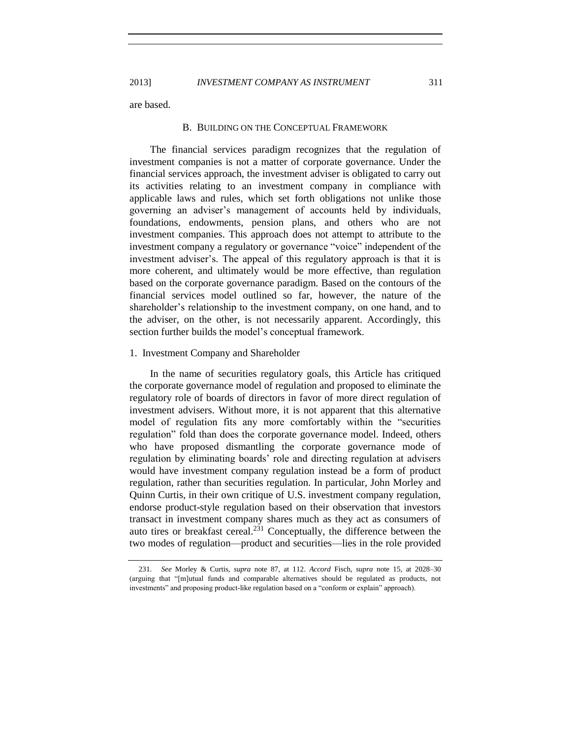2013] *INVESTMENT COMPANY AS INSTRUMENT* 311

<span id="page-48-0"></span>are based.

#### B. BUILDING ON THE CONCEPTUAL FRAMEWORK

The financial services paradigm recognizes that the regulation of investment companies is not a matter of corporate governance. Under the financial services approach, the investment adviser is obligated to carry out its activities relating to an investment company in compliance with applicable laws and rules, which set forth obligations not unlike those governing an adviser's management of accounts held by individuals, foundations, endowments, pension plans, and others who are not investment companies. This approach does not attempt to attribute to the investment company a regulatory or governance "voice" independent of the investment adviser's. The appeal of this regulatory approach is that it is more coherent, and ultimately would be more effective, than regulation based on the corporate governance paradigm. Based on the contours of the financial services model outlined so far, however, the nature of the shareholder's relationship to the investment company, on one hand, and to the adviser, on the other, is not necessarily apparent. Accordingly, this section further builds the model's conceptual framework.

## <span id="page-48-1"></span>1. Investment Company and Shareholder

In the name of securities regulatory goals, this Article has critiqued the corporate governance model of regulation and proposed to eliminate the regulatory role of boards of directors in favor of more direct regulation of investment advisers. Without more, it is not apparent that this alternative model of regulation fits any more comfortably within the "securities regulation" fold than does the corporate governance model. Indeed, others who have proposed dismantling the corporate governance mode of regulation by eliminating boards' role and directing regulation at advisers would have investment company regulation instead be a form of product regulation, rather than securities regulation. In particular, John Morley and Quinn Curtis, in their own critique of U.S. investment company regulation, endorse product-style regulation based on their observation that investors transact in investment company shares much as they act as consumers of auto tires or breakfast cereal.<sup>231</sup> Conceptually, the difference between the two modes of regulation—product and securities—lies in the role provided

<sup>231</sup>*. See* Morley & Curtis, *supra* note [87,](#page-20-1) at 112. *Accord* Fisch, *supra* note [15,](#page-4-1) at 2028–30 (arguing that "[m]utual funds and comparable alternatives should be regulated as products, not investments" and proposing product-like regulation based on a "conform or explain" approach).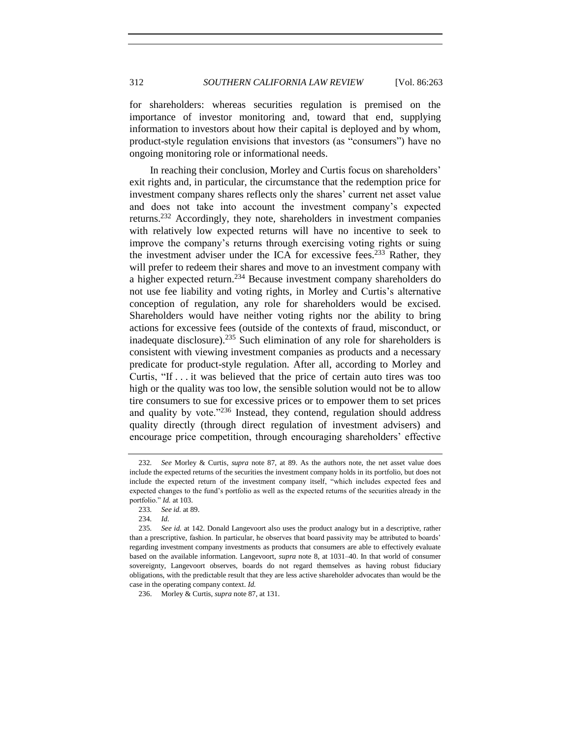for shareholders: whereas securities regulation is premised on the importance of investor monitoring and, toward that end, supplying information to investors about how their capital is deployed and by whom, product-style regulation envisions that investors (as "consumers") have no ongoing monitoring role or informational needs.

In reaching their conclusion, Morley and Curtis focus on shareholders' exit rights and, in particular, the circumstance that the redemption price for investment company shares reflects only the shares' current net asset value and does not take into account the investment company's expected returns.<sup>232</sup> Accordingly, they note, shareholders in investment companies with relatively low expected returns will have no incentive to seek to improve the company's returns through exercising voting rights or suing the investment adviser under the ICA for excessive fees.<sup>233</sup> Rather, they will prefer to redeem their shares and move to an investment company with a higher expected return.<sup>234</sup> Because investment company shareholders do not use fee liability and voting rights, in Morley and Curtis's alternative conception of regulation, any role for shareholders would be excised. Shareholders would have neither voting rights nor the ability to bring actions for excessive fees (outside of the contexts of fraud, misconduct, or inadequate disclosure).<sup>235</sup> Such elimination of any role for shareholders is consistent with viewing investment companies as products and a necessary predicate for product-style regulation. After all, according to Morley and Curtis, "If . . . it was believed that the price of certain auto tires was too high or the quality was too low, the sensible solution would not be to allow tire consumers to sue for excessive prices or to empower them to set prices and quality by vote."<sup>236</sup> Instead, they contend, regulation should address quality directly (through direct regulation of investment advisers) and encourage price competition, through encouraging shareholders' effective

<sup>232</sup>*. See* Morley & Curtis*, supra* note [87,](#page-20-1) at 89. As the authors note, the net asset value does include the expected returns of the securities the investment company holds in its portfolio, but does not include the expected return of the investment company itself, "which includes expected fees and expected changes to the fund's portfolio as well as the expected returns of the securities already in the portfolio." *Id.* at 103.

<sup>233</sup>*. See id.* at 89.

<sup>234</sup>*. Id.*

<sup>235</sup>*. See id.* at 142. Donald Langevoort also uses the product analogy but in a descriptive, rather than a prescriptive, fashion. In particular, he observes that board passivity may be attributed to boards' regarding investment company investments as products that consumers are able to effectively evaluate based on the available information. Langevoort, *supra* not[e 8,](#page-3-2) at 1031–40. In that world of consumer sovereignty, Langevoort observes, boards do not regard themselves as having robust fiduciary obligations, with the predictable result that they are less active shareholder advocates than would be the case in the operating company context. *Id.*

<sup>236.</sup> Morley & Curtis, *supra* not[e 87,](#page-20-1) at 131.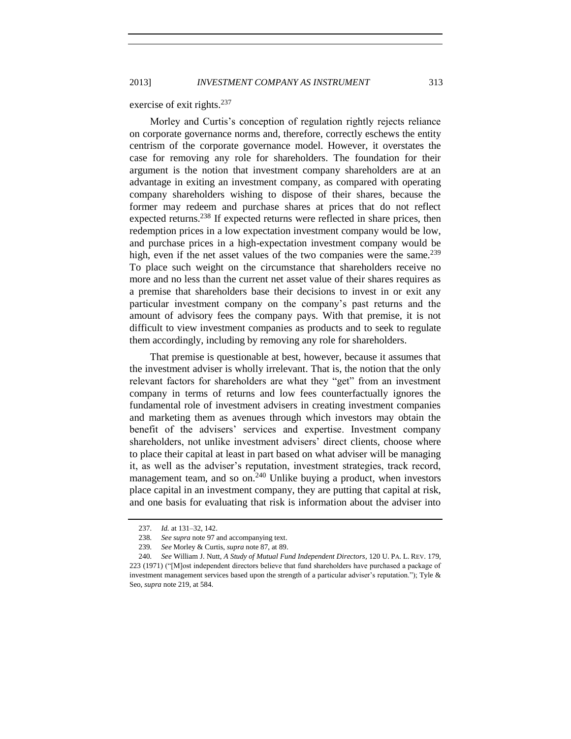exercise of exit rights.<sup>237</sup>

Morley and Curtis's conception of regulation rightly rejects reliance on corporate governance norms and, therefore, correctly eschews the entity centrism of the corporate governance model. However, it overstates the case for removing any role for shareholders. The foundation for their argument is the notion that investment company shareholders are at an advantage in exiting an investment company, as compared with operating company shareholders wishing to dispose of their shares, because the former may redeem and purchase shares at prices that do not reflect expected returns.<sup>238</sup> If expected returns were reflected in share prices, then redemption prices in a low expectation investment company would be low, and purchase prices in a high-expectation investment company would be high, even if the net asset values of the two companies were the same.<sup>239</sup> To place such weight on the circumstance that shareholders receive no more and no less than the current net asset value of their shares requires as a premise that shareholders base their decisions to invest in or exit any particular investment company on the company's past returns and the amount of advisory fees the company pays. With that premise, it is not difficult to view investment companies as products and to seek to regulate them accordingly, including by removing any role for shareholders.

That premise is questionable at best, however, because it assumes that the investment adviser is wholly irrelevant. That is, the notion that the only relevant factors for shareholders are what they "get" from an investment company in terms of returns and low fees counterfactually ignores the fundamental role of investment advisers in creating investment companies and marketing them as avenues through which investors may obtain the benefit of the advisers' services and expertise. Investment company shareholders, not unlike investment advisers' direct clients, choose where to place their capital at least in part based on what adviser will be managing it, as well as the adviser's reputation, investment strategies, track record, management team, and so on. $240$  Unlike buying a product, when investors place capital in an investment company, they are putting that capital at risk, and one basis for evaluating that risk is information about the adviser into

<sup>237</sup>*. Id.* at 131–32, 142.

<sup>238</sup>*. See supra* not[e 97](#page-22-2) and accompanying text.

<sup>239</sup>*. See* Morley & Curtis, *supra* not[e 87,](#page-20-1) at 89.

<sup>240</sup>*. See* William J. Nutt, *A Study of Mutual Fund Independent Directors*, 120 U. PA. L. REV. 179, 223 (1971) ("[M]ost independent directors believe that fund shareholders have purchased a package of investment management services based upon the strength of a particular adviser's reputation."); Tyle & Seo, *supra* not[e 219,](#page-44-0) at 584.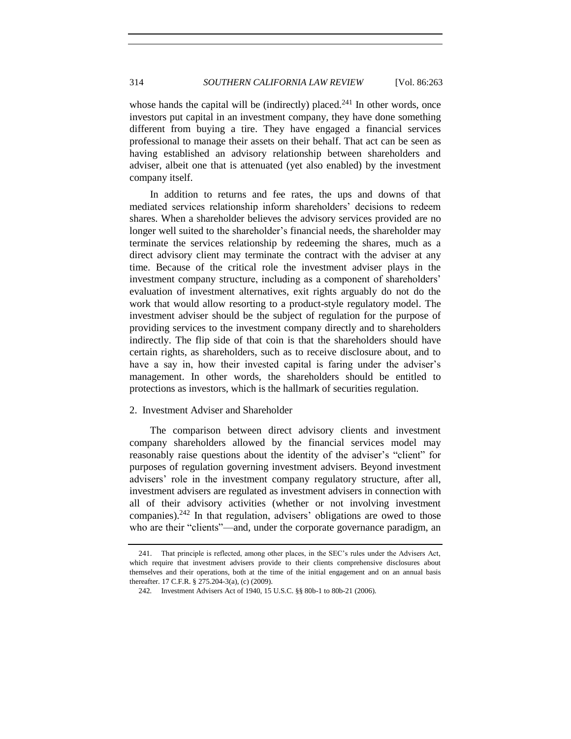whose hands the capital will be (indirectly) placed.<sup>241</sup> In other words, once investors put capital in an investment company, they have done something different from buying a tire. They have engaged a financial services professional to manage their assets on their behalf. That act can be seen as having established an advisory relationship between shareholders and adviser, albeit one that is attenuated (yet also enabled) by the investment company itself.

In addition to returns and fee rates, the ups and downs of that mediated services relationship inform shareholders' decisions to redeem shares. When a shareholder believes the advisory services provided are no longer well suited to the shareholder's financial needs, the shareholder may terminate the services relationship by redeeming the shares, much as a direct advisory client may terminate the contract with the adviser at any time. Because of the critical role the investment adviser plays in the investment company structure, including as a component of shareholders' evaluation of investment alternatives, exit rights arguably do not do the work that would allow resorting to a product-style regulatory model. The investment adviser should be the subject of regulation for the purpose of providing services to the investment company directly and to shareholders indirectly. The flip side of that coin is that the shareholders should have certain rights, as shareholders, such as to receive disclosure about, and to have a say in, how their invested capital is faring under the adviser's management. In other words, the shareholders should be entitled to protections as investors, which is the hallmark of securities regulation.

## <span id="page-51-0"></span>2. Investment Adviser and Shareholder

The comparison between direct advisory clients and investment company shareholders allowed by the financial services model may reasonably raise questions about the identity of the adviser's "client" for purposes of regulation governing investment advisers. Beyond investment advisers' role in the investment company regulatory structure, after all, investment advisers are regulated as investment advisers in connection with all of their advisory activities (whether or not involving investment companies). $242$  In that regulation, advisers' obligations are owed to those who are their "clients"—and, under the corporate governance paradigm, an

<sup>241.</sup> That principle is reflected, among other places, in the SEC's rules under the Advisers Act, which require that investment advisers provide to their clients comprehensive disclosures about themselves and their operations, both at the time of the initial engagement and on an annual basis thereafter. 17 C.F.R. § 275.204-3(a), (c) (2009).

<sup>242</sup>*.* Investment Advisers Act of 1940, 15 U.S.C. §§ 80b-1 to 80b-21 (2006).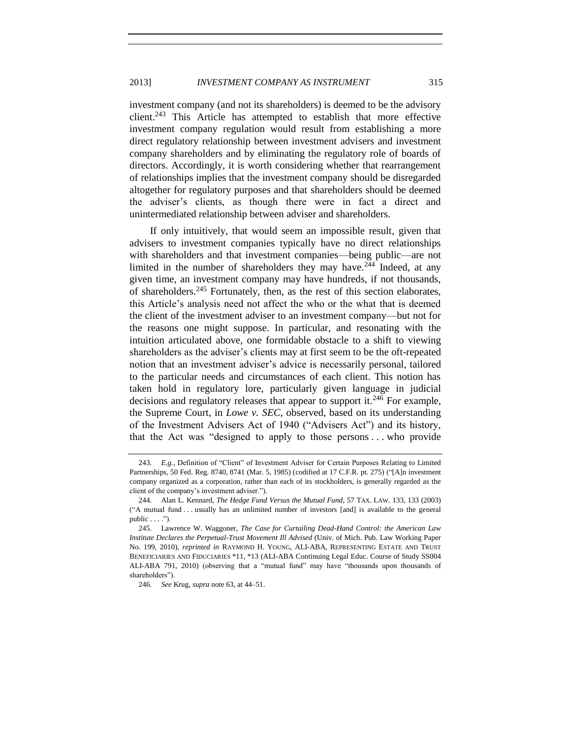## 2013] *INVESTMENT COMPANY AS INSTRUMENT* 315

investment company (and not its shareholders) is deemed to be the advisory client.<sup>243</sup> This Article has attempted to establish that more effective investment company regulation would result from establishing a more direct regulatory relationship between investment advisers and investment company shareholders and by eliminating the regulatory role of boards of directors. Accordingly, it is worth considering whether that rearrangement of relationships implies that the investment company should be disregarded altogether for regulatory purposes and that shareholders should be deemed the adviser's clients, as though there were in fact a direct and unintermediated relationship between adviser and shareholders.

<span id="page-52-0"></span>If only intuitively, that would seem an impossible result, given that advisers to investment companies typically have no direct relationships with shareholders and that investment companies—being public—are not limited in the number of shareholders they may have.<sup>244</sup> Indeed, at any given time, an investment company may have hundreds, if not thousands, of shareholders.<sup>245</sup> Fortunately, then, as the rest of this section elaborates, this Article's analysis need not affect the who or the what that is deemed the client of the investment adviser to an investment company—but not for the reasons one might suppose. In particular, and resonating with the intuition articulated above, one formidable obstacle to a shift to viewing shareholders as the adviser's clients may at first seem to be the oft-repeated notion that an investment adviser's advice is necessarily personal, tailored to the particular needs and circumstances of each client. This notion has taken hold in regulatory lore, particularly given language in judicial decisions and regulatory releases that appear to support it.<sup>246</sup> For example, the Supreme Court, in *Lowe v. SEC*, observed, based on its understanding of the Investment Advisers Act of 1940 ("Advisers Act") and its history, that the Act was "designed to apply to those persons . . . who provide

<span id="page-52-1"></span><sup>243</sup>*. E.g.,* Definition of "Client" of Investment Adviser for Certain Purposes Relating to Limited Partnerships, 50 Fed. Reg. 8740, 8741 (Mar. 5, 1985) (codified at 17 C.F.R. pt. 275) ("[A]n investment company organized as a corporation, rather than each of its stockholders, is generally regarded as the client of the company's investment adviser.").

<sup>244</sup>*.* Alan L. Kennard, *The Hedge Fund Versus the Mutual Fund*, 57 TAX. LAW. 133, 133 (2003) ("A mutual fund . . . usually has an unlimited number of investors [and] is available to the general  $public \ldots$ .").

<sup>245</sup>*.* Lawrence W. Waggoner, *The Case for Curtailing Dead-Hand Control: the American Law Institute Declares the Perpetual-Trust Movement Ill Advised* (Univ. of Mich. Pub. Law Working Paper No. 199, 2010), *reprinted in* RAYMOND H. YOUNG, ALI-ABA, REPRESENTING ESTATE AND TRUST BENEFICIARIES AND FIDUCIARIES \*11, \*13 (ALI-ABA Continuing Legal Educ. Course of Study SS004 ALI-ABA 791, 2010) (observing that a "mutual fund" may have "thousands upon thousands of shareholders").

<sup>246</sup>*. See* Krug, *supra* not[e 63,](#page-14-0) at 44–51.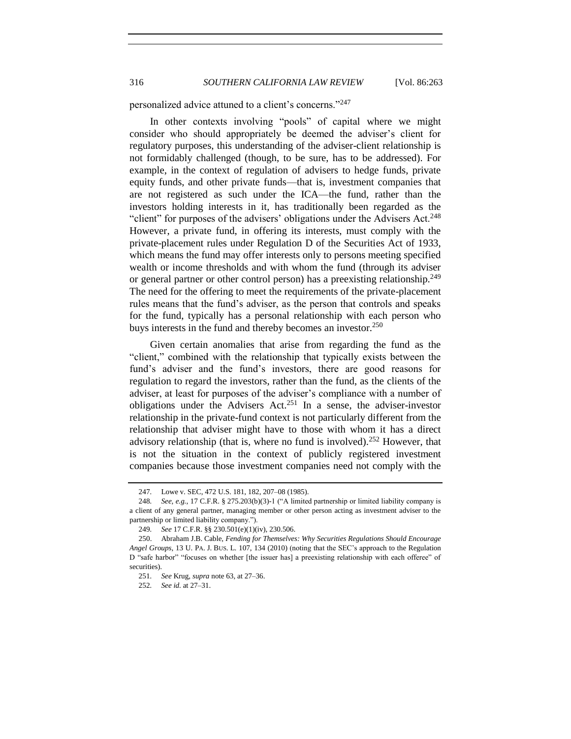personalized advice attuned to a client's concerns."<sup>247</sup>

In other contexts involving "pools" of capital where we might consider who should appropriately be deemed the adviser's client for regulatory purposes, this understanding of the adviser-client relationship is not formidably challenged (though, to be sure, has to be addressed). For example, in the context of regulation of advisers to hedge funds, private equity funds, and other private funds—that is, investment companies that are not registered as such under the ICA—the fund, rather than the investors holding interests in it, has traditionally been regarded as the "client" for purposes of the advisers' obligations under the Advisers Act.<sup>248</sup> However, a private fund, in offering its interests, must comply with the private-placement rules under Regulation D of the Securities Act of 1933, which means the fund may offer interests only to persons meeting specified wealth or income thresholds and with whom the fund (through its adviser or general partner or other control person) has a preexisting relationship.<sup>249</sup> The need for the offering to meet the requirements of the private-placement rules means that the fund's adviser, as the person that controls and speaks for the fund, typically has a personal relationship with each person who buys interests in the fund and thereby becomes an investor.<sup>250</sup>

<span id="page-53-0"></span>Given certain anomalies that arise from regarding the fund as the "client," combined with the relationship that typically exists between the fund's adviser and the fund's investors, there are good reasons for regulation to regard the investors, rather than the fund, as the clients of the adviser, at least for purposes of the adviser's compliance with a number of obligations under the Advisers Act.<sup>251</sup> In a sense, the adviser-investor relationship in the private-fund context is not particularly different from the relationship that adviser might have to those with whom it has a direct advisory relationship (that is, where no fund is involved).<sup>252</sup> However, that is not the situation in the context of publicly registered investment companies because those investment companies need not comply with the

<span id="page-53-1"></span><sup>247</sup>*.* Lowe v. SEC, 472 U.S. 181, 182, 207–08 (1985).

<sup>248</sup>*. See, e.g.*, 17 C.F.R. § 275.203(b)(3)-1 ("A limited partnership or limited liability company is a client of any general partner, managing member or other person acting as investment adviser to the partnership or limited liability company.").

<sup>249</sup>*. See* 17 C.F.R. §§ 230.501(e)(1)(iv), 230.506.

<sup>250.</sup> Abraham J.B. Cable, *Fending for Themselves: Why Securities Regulations Should Encourage Angel Groups*, 13 U. PA. J. BUS. L. 107, 134 (2010) (noting that the SEC's approach to the Regulation D "safe harbor" "focuses on whether [the issuer has] a preexisting relationship with each offeree" of securities).

<sup>251</sup>*. See* Krug, *supra* not[e 63,](#page-14-0) at 27–36.

<sup>252</sup>*. See id.* at 27–31.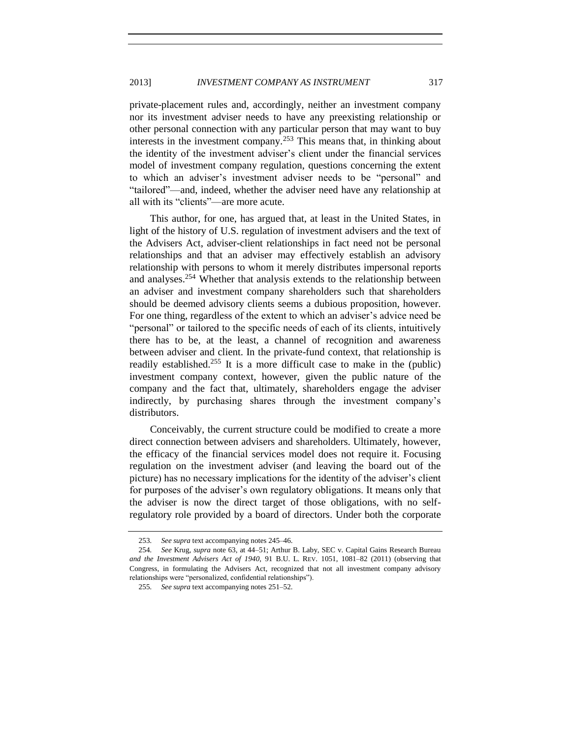private-placement rules and, accordingly, neither an investment company nor its investment adviser needs to have any preexisting relationship or other personal connection with any particular person that may want to buy interests in the investment company.<sup>253</sup> This means that, in thinking about the identity of the investment adviser's client under the financial services model of investment company regulation, questions concerning the extent to which an adviser's investment adviser needs to be "personal" and "tailored"—and, indeed, whether the adviser need have any relationship at all with its "clients"—are more acute.

This author, for one, has argued that, at least in the United States, in light of the history of U.S. regulation of investment advisers and the text of the Advisers Act, adviser-client relationships in fact need not be personal relationships and that an adviser may effectively establish an advisory relationship with persons to whom it merely distributes impersonal reports and analyses.<sup>254</sup> Whether that analysis extends to the relationship between an adviser and investment company shareholders such that shareholders should be deemed advisory clients seems a dubious proposition, however. For one thing, regardless of the extent to which an adviser's advice need be "personal" or tailored to the specific needs of each of its clients, intuitively there has to be, at the least, a channel of recognition and awareness between adviser and client. In the private-fund context, that relationship is readily established.<sup>255</sup> It is a more difficult case to make in the (public) investment company context, however, given the public nature of the company and the fact that, ultimately, shareholders engage the adviser indirectly, by purchasing shares through the investment company's distributors.

Conceivably, the current structure could be modified to create a more direct connection between advisers and shareholders. Ultimately, however, the efficacy of the financial services model does not require it. Focusing regulation on the investment adviser (and leaving the board out of the picture) has no necessary implications for the identity of the adviser's client for purposes of the adviser's own regulatory obligations. It means only that the adviser is now the direct target of those obligations, with no selfregulatory role provided by a board of directors. Under both the corporate

<sup>253</sup>*. See supra* text accompanying notes [245–](#page-52-0)[46.](#page-52-1)

<sup>254</sup>*. See* Krug, *supra* note [63,](#page-14-0) at 44–51; Arthur B. Laby, SEC v. Capital Gains Research Bureau *and the Investment Advisers Act of 1940*, 91 B.U. L. REV. 1051, 1081–82 (2011) (observing that Congress, in formulating the Advisers Act, recognized that not all investment company advisory relationships were "personalized, confidential relationships").

<sup>255</sup>*. See supra* text accompanying notes [251–](#page-53-0)[52.](#page-53-1)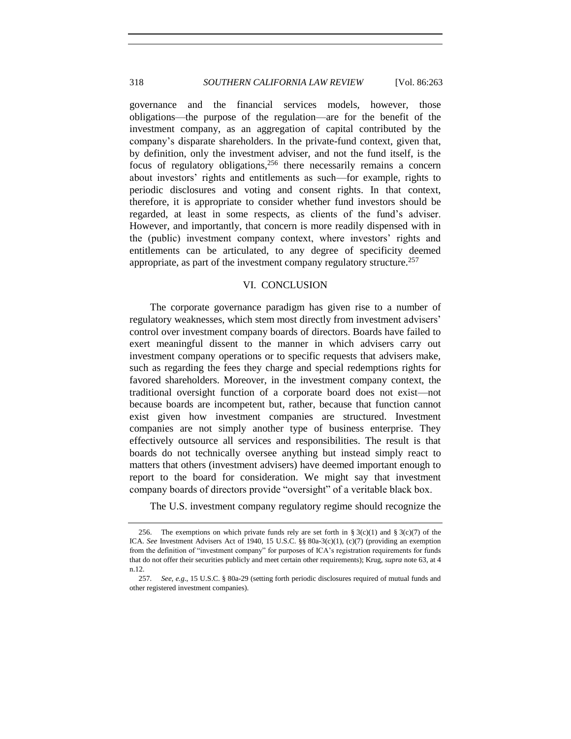governance and the financial services models, however, those obligations—the purpose of the regulation—are for the benefit of the investment company, as an aggregation of capital contributed by the company's disparate shareholders. In the private-fund context, given that, by definition, only the investment adviser, and not the fund itself, is the focus of regulatory obligations,<sup>256</sup> there necessarily remains a concern about investors' rights and entitlements as such—for example, rights to periodic disclosures and voting and consent rights. In that context, therefore, it is appropriate to consider whether fund investors should be regarded, at least in some respects, as clients of the fund's adviser. However, and importantly, that concern is more readily dispensed with in the (public) investment company context, where investors' rights and entitlements can be articulated, to any degree of specificity deemed appropriate, as part of the investment company regulatory structure.<sup>257</sup>

#### VI. CONCLUSION

<span id="page-55-0"></span>The corporate governance paradigm has given rise to a number of regulatory weaknesses, which stem most directly from investment advisers' control over investment company boards of directors. Boards have failed to exert meaningful dissent to the manner in which advisers carry out investment company operations or to specific requests that advisers make, such as regarding the fees they charge and special redemptions rights for favored shareholders. Moreover, in the investment company context, the traditional oversight function of a corporate board does not exist—not because boards are incompetent but, rather, because that function cannot exist given how investment companies are structured. Investment companies are not simply another type of business enterprise. They effectively outsource all services and responsibilities. The result is that boards do not technically oversee anything but instead simply react to matters that others (investment advisers) have deemed important enough to report to the board for consideration. We might say that investment company boards of directors provide "oversight" of a veritable black box.

The U.S. investment company regulatory regime should recognize the

<sup>256.</sup> The exemptions on which private funds rely are set forth in § 3(c)(1) and § 3(c)(7) of the ICA. *See* Investment Advisers Act of 1940, 15 U.S.C. §§ 80a-3(c)(1), (c)(7) (providing an exemption from the definition of "investment company" for purposes of ICA's registration requirements for funds that do not offer their securities publicly and meet certain other requirements); Krug, *supra* not[e 63,](#page-14-0) at 4 n.12.

<sup>257</sup>*. See, e.g*., 15 U.S.C. § 80a-29 (setting forth periodic disclosures required of mutual funds and other registered investment companies).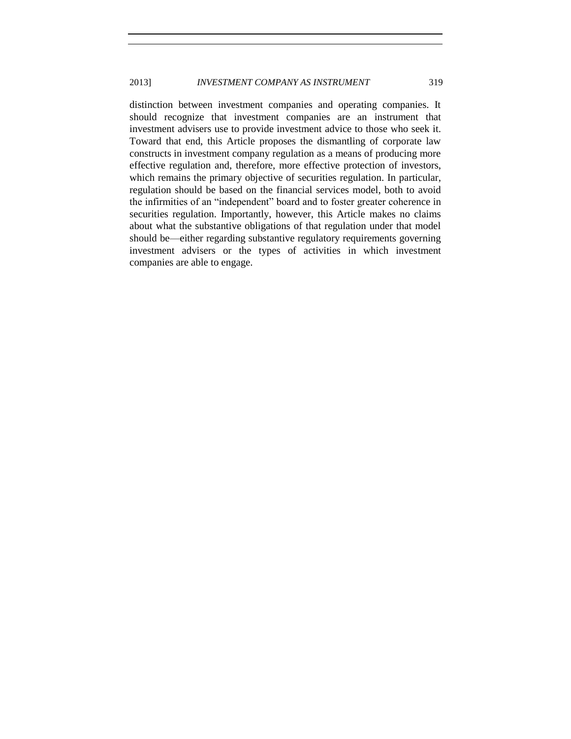distinction between investment companies and operating companies. It should recognize that investment companies are an instrument that investment advisers use to provide investment advice to those who seek it. Toward that end, this Article proposes the dismantling of corporate law constructs in investment company regulation as a means of producing more effective regulation and, therefore, more effective protection of investors, which remains the primary objective of securities regulation. In particular, regulation should be based on the financial services model, both to avoid the infirmities of an "independent" board and to foster greater coherence in securities regulation. Importantly, however, this Article makes no claims about what the substantive obligations of that regulation under that model should be—either regarding substantive regulatory requirements governing investment advisers or the types of activities in which investment companies are able to engage.